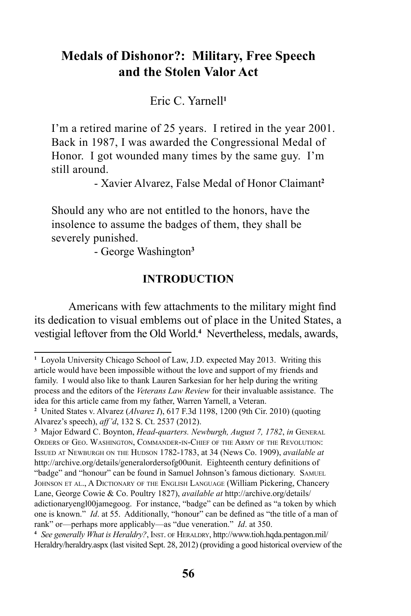# **Medals of Dishonor?: Military, Free Speech and the Stolen Valor Act**

Eric C. Yarnell**<sup>1</sup>**

I'm a retired marine of 25 years. I retired in the year 2001. Back in 1987, I was awarded the Congressional Medal of Honor. I got wounded many times by the same guy. I'm still around.

- Xavier Alvarez, False Medal of Honor Claimant**<sup>2</sup>**

Should any who are not entitled to the honors, have the insolence to assume the badges of them, they shall be severely punished.

- George Washington**<sup>3</sup>**

#### **INTRODUCTION**

Americans with few attachments to the military might find its dedication to visual emblems out of place in the United States, a vestigial leftover from the Old World.**<sup>4</sup>** Nevertheless, medals, awards,

**<sup>1</sup>** Loyola University Chicago School of Law, J.D. expected May 2013. Writing this article would have been impossible without the love and support of my friends and family. I would also like to thank Lauren Sarkesian for her help during the writing process and the editors of the *Veterans Law Review* for their invaluable assistance. The idea for this article came from my father, Warren Yarnell, a Veteran.

**<sup>2</sup>** United States v. Alvarez (*Alvarez I*), 617 F.3d 1198, 1200 (9th Cir. 2010) (quoting Alvarez's speech), *aff'd*, 132 S. Ct. 2537 (2012).

**<sup>3</sup>** Major Edward C. Boynton, *Head-quarters. Newburgh, August 7, 1782*, *in* General Orders of Geo. Washington, Commander-in-Chief of the Army of the Revolution: Issued at Newburgh on the Hudson 1782-1783, at 34 (News Co. 1909), *available at*  http://archive.org/details/generalordersofg00unit. Eighteenth century definitions of "badge" and "honour" can be found in Samuel Johnson's famous dictionary. Samuel JOHNSON ET AL., A DICTIONARY OF THE ENGLISH LANGUAGE (William Pickering, Chancery Lane, George Cowie & Co. Poultry 1827), *available at* http://archive.org/details/ adictionaryengl00jamegoog. For instance, "badge" can be defined as "a token by which one is known." *Id*. at 55. Additionally, "honour" can be defined as "the title of a man of rank" or—perhaps more applicably—as "due veneration." *Id*. at 350.

<sup>&</sup>lt;sup>4</sup> See generally What is Heraldry?, INST. OF HERALDRY, http://www.tioh.hqda.pentagon.mil/ Heraldry/heraldry.aspx (last visited Sept. 28, 2012) (providing a good historical overview of the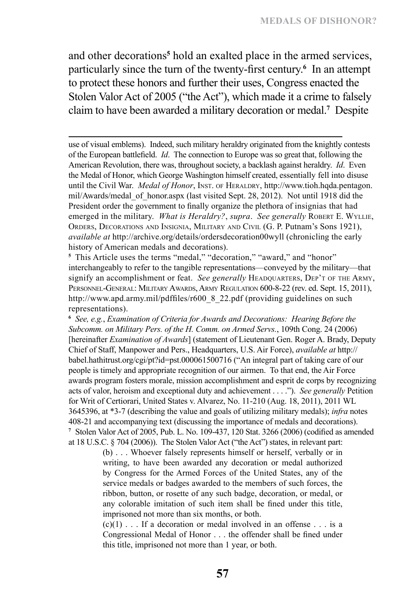and other decorations**<sup>5</sup>** hold an exalted place in the armed services, particularly since the turn of the twenty-first century.**<sup>6</sup>** In an attempt to protect these honors and further their uses, Congress enacted the Stolen Valor Act of 2005 ("the Act"), which made it a crime to falsely claim to have been awarded a military decoration or medal.**<sup>7</sup>** Despite

use of visual emblems). Indeed, such military heraldry originated from the knightly contests of the European battlefield. *Id*. The connection to Europe was so great that, following the American Revolution, there was, throughout society, a backlash against heraldry. *Id*. Even the Medal of Honor, which George Washington himself created, essentially fell into disuse until the Civil War. *Medal of Honor*, INST. OF HERALDRY, http://www.tioh.hqda.pentagon. mil/Awards/medal\_of\_honor.aspx (last visited Sept. 28, 2012). Not until 1918 did the President order the government to finally organize the plethora of insignias that had emerged in the military. *What is Heraldry?*, *supra. See generally* ROBERT E. WYLLIE, Orders, Decorations and Insignia, Military and Civil (G. P. Putnam's Sons 1921), *available at* http://archive.org/details/ordersdecoration00wyll (chronicling the early history of American medals and decorations).

<sup>5</sup> This Article uses the terms "medal," "decoration," "award," and "honor" interchangeably to refer to the tangible representations—conveyed by the military—that signify an accomplishment or feat. *See generally* HEADQUARTERS, DEP'T OF THE ARMY, PERSONNEL-GENERAL: MILITARY AWARDS, ARMY REGULATION 600-8-22 (rev. ed. Sept. 15, 2011), http://www.apd.army.mil/pdffiles/r600\_8\_22.pdf (providing guidelines on such representations).

**<sup>6</sup>** *See, e.g.*, *Examination of Criteria for Awards and Decorations: Hearing Before the Subcomm. on Military Pers. of the H. Comm. on Armed Servs.*, 109th Cong. 24 (2006) [hereinafter *Examination of Awards*] (statement of Lieutenant Gen. Roger A. Brady, Deputy Chief of Staff, Manpower and Pers., Headquarters, U.S. Air Force), *available at* http:// babel.hathitrust.org/cgi/pt?id=pst.000061500716 ("An integral part of taking care of our people is timely and appropriate recognition of our airmen. To that end, the Air Force awards program fosters morale, mission accomplishment and esprit de corps by recognizing acts of valor, heroism and exceptional duty and achievement . . . ."). *See generally* Petition for Writ of Certiorari, United States v. Alvarez, No. 11-210 (Aug. 18, 2011), 2011 WL 3645396, at \*3-7 (describing the value and goals of utilizing military medals); *infra* notes 408-21 and accompanying text (discussing the importance of medals and decorations). **7** Stolen Valor Act of 2005, Pub. L. No. 109-437, 120 Stat. 3266 (2006) (codified as amended at 18 U.S.C. § 704 (2006)). The Stolen Valor Act ("the Act") states, in relevant part:

> (b) . . . Whoever falsely represents himself or herself, verbally or in writing, to have been awarded any decoration or medal authorized by Congress for the Armed Forces of the United States, any of the service medals or badges awarded to the members of such forces, the ribbon, button, or rosette of any such badge, decoration, or medal, or any colorable imitation of such item shall be fined under this title, imprisoned not more than six months, or both.

> $(c)(1)$ ... If a decoration or medal involved in an offense... is a Congressional Medal of Honor . . . the offender shall be fined under this title, imprisoned not more than 1 year, or both.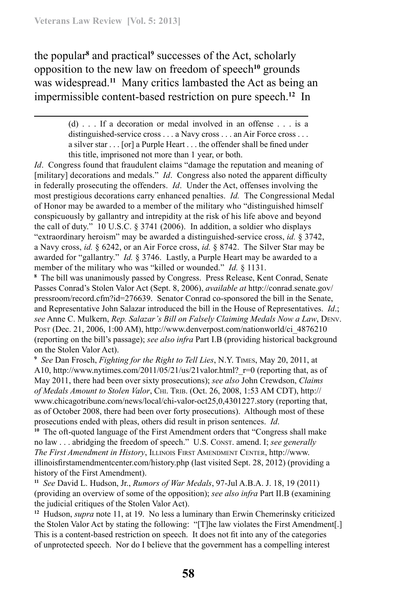the popular<sup>8</sup> and practical<sup>9</sup> successes of the Act, scholarly opposition to the new law on freedom of speech**<sup>10</sup>** grounds was widespread.**<sup>11</sup>** Many critics lambasted the Act as being an impermissible content-based restriction on pure speech.**<sup>12</sup>** In

*Id.* Congress found that fraudulent claims "damage the reputation and meaning of [military] decorations and medals." *Id.* Congress also noted the apparent difficulty in federally prosecuting the offenders. *Id*. Under the Act, offenses involving the most prestigious decorations carry enhanced penalties. *Id.* The Congressional Medal of Honor may be awarded to a member of the military who "distinguished himself conspicuously by gallantry and intrepidity at the risk of his life above and beyond the call of duty." 10 U.S.C. § 3741 (2006). In addition, a soldier who displays "extraordinary heroism" may be awarded a distinguished-service cross, *id.* § 3742, a Navy cross, *id.* § 6242, or an Air Force cross, *id.* § 8742. The Silver Star may be awarded for "gallantry." *Id.* § 3746. Lastly, a Purple Heart may be awarded to a member of the military who was "killed or wounded." *Id.* § 1131.

**8** The bill was unanimously passed by Congress. Press Release, Kent Conrad, Senate Passes Conrad's Stolen Valor Act (Sept. 8, 2006), *available at* http://conrad.senate.gov/ pressroom/record.cfm?id=276639. Senator Conrad co-sponsored the bill in the Senate, and Representative John Salazar introduced the bill in the House of Representatives. *Id*.; *see* Anne C. Mulkern, *Rep. Salazar's Bill on Falsely Claiming Medals Now a Law*, Denv. Post (Dec. 21, 2006, 1:00 AM), http://www.denverpost.com/nationworld/ci\_4876210 (reporting on the bill's passage); *see also infra* Part I.B (providing historical background on the Stolen Valor Act).

**<sup>9</sup>** *See* Dan Frosch, *Fighting for the Right to Tell Lies*, N.Y. Times, May 20, 2011, at A10, http://www.nytimes.com/2011/05/21/us/21valor.html? $r=0$  (reporting that, as of May 2011, there had been over sixty prosecutions); *see also* John Crewdson, *Claims of Medals Amount to Stolen Valor*, Chi. Trib. (Oct. 26, 2008, 1:53 AM CDT), http:// www.chicagotribune.com/news/local/chi-valor-oct25,0,4301227.story (reporting that, as of October 2008, there had been over forty prosecutions). Although most of these prosecutions ended with pleas, others did result in prison sentences. *Id*.

**<sup>10</sup>** The oft-quoted language of the First Amendment orders that "Congress shall make no law . . . abridging the freedom of speech." U.S. Const. amend. I; *see generally The First Amendment in History*, Illinois First Amendment Center, http://www. illinoisfirstamendmentcenter.com/history.php (last visited Sept. 28, 2012) (providing a history of the First Amendment).

**<sup>11</sup>** *See* David L. Hudson, Jr., *Rumors of War Medals*, 97-Jul A.B.A. J. 18, 19 (2011) (providing an overview of some of the opposition); *see also infra* Part II.B (examining the judicial critiques of the Stolen Valor Act).

**<sup>12</sup>** Hudson, *supra* note 11, at 19. No less a luminary than Erwin Chemerinsky criticized the Stolen Valor Act by stating the following: "[T]he law violates the First Amendment[.] This is a content-based restriction on speech. It does not fit into any of the categories of unprotected speech. Nor do I believe that the government has a compelling interest

<sup>(</sup>d) . . . If a decoration or medal involved in an offense . . . is a distinguished-service cross . . . a Navy cross . . . an Air Force cross . . . a silver star . . . [or] a Purple Heart . . . the offender shall be fined under this title, imprisoned not more than 1 year, or both.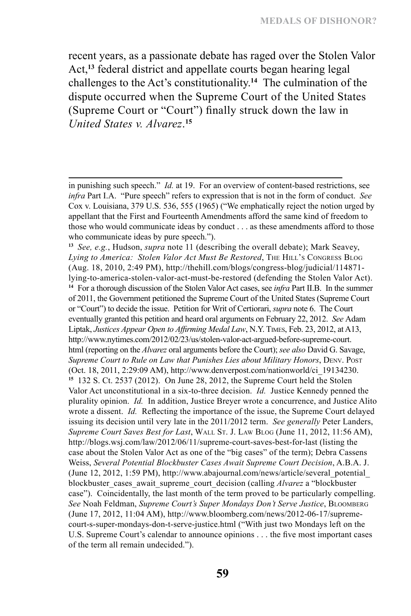recent years, as a passionate debate has raged over the Stolen Valor Act,**<sup>13</sup>** federal district and appellate courts began hearing legal challenges to the Act's constitutionality.**<sup>14</sup>** The culmination of the dispute occurred when the Supreme Court of the United States (Supreme Court or "Court") finally struck down the law in *United States v. Alvarez*. **15**

**<sup>13</sup>** *See, e.g.*, Hudson, *supra* note 11 (describing the overall debate); Mark Seavey, Lying to America: Stolen Valor Act Must Be Restored, THE HILL'S CONGRESS BLOG (Aug. 18, 2010, 2:49 PM), http://thehill.com/blogs/congress-blog/judicial/114871 lying-to-america-stolen-valor-act-must-be-restored (defending the Stolen Valor Act). **<sup>14</sup>** For a thorough discussion of the Stolen Valor Act cases, see *infra* Part II.B. In the summer of 2011, the Government petitioned the Supreme Court of the United States (Supreme Court or "Court") to decide the issue. Petition for Writ of Certiorari, *supra* note 6. The Court eventually granted this petition and heard oral arguments on February 22, 2012. *See* Adam Liptak, *Justices Appear Open to Affirming Medal Law*, N.Y. Times, Feb. 23, 2012, at A13, http://www.nytimes.com/2012/02/23/us/stolen-valor-act-argued-before-supreme-court. html (reporting on the *Alvarez* oral arguments before the Court); *see also* David G. Savage, *Supreme Court to Rule on Law that Punishes Lies about Military Honors*, Denv. Post (Oct. 18, 2011, 2:29:09 AM), http://www.denverpost.com/nationworld/ci\_19134230. **<sup>15</sup>** 132 S. Ct. 2537 (2012). On June 28, 2012, the Supreme Court held the Stolen Valor Act unconstitutional in a six-to-three decision. *Id.* Justice Kennedy penned the plurality opinion. *Id.* In addition, Justice Breyer wrote a concurrence, and Justice Alito wrote a dissent. *Id.* Reflecting the importance of the issue, the Supreme Court delayed issuing its decision until very late in the 2011/2012 term. *See generally* Peter Landers, *Supreme Court Saves Best for Last*, Wall St. J. Law Blog (June 11, 2012, 11:56 AM), http://blogs.wsj.com/law/2012/06/11/supreme-court-saves-best-for-last (listing the case about the Stolen Valor Act as one of the "big cases" of the term); Debra Cassens Weiss, *Several Potential Blockbuster Cases Await Supreme Court Decision*, A.B.A. J. (June 12, 2012, 1:59 PM), http://www.abajournal.com/news/article/several\_potential\_ blockbuster\_cases\_await\_supreme\_court\_decision (calling *Alvarez* a "blockbuster case"). Coincidentally, the last month of the term proved to be particularly compelling. *See* Noah Feldman, *Supreme Court's Super Mondays Don't Serve Justice*, Bloomberg (June 17, 2012, 11:04 AM), http://www.bloomberg.com/news/2012-06-17/supremecourt-s-super-mondays-don-t-serve-justice.html ("With just two Mondays left on the U.S. Supreme Court's calendar to announce opinions . . . the five most important cases of the term all remain undecided.").

in punishing such speech." *Id.* at 19. For an overview of content-based restrictions, see *infra* Part I.A. "Pure speech" refers to expression that is not in the form of conduct. *See*  Cox v. Louisiana, 379 U.S. 536, 555 (1965) ("We emphatically reject the notion urged by appellant that the First and Fourteenth Amendments afford the same kind of freedom to those who would communicate ideas by conduct . . . as these amendments afford to those who communicate ideas by pure speech.").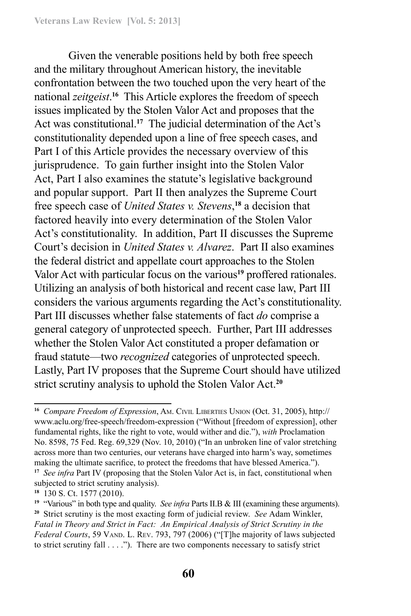Given the venerable positions held by both free speech and the military throughout American history, the inevitable confrontation between the two touched upon the very heart of the national *zeitgeist*. **<sup>16</sup>** This Article explores the freedom of speech issues implicated by the Stolen Valor Act and proposes that the Act was constitutional.**<sup>17</sup>** The judicial determination of the Act's constitutionality depended upon a line of free speech cases, and Part I of this Article provides the necessary overview of this jurisprudence. To gain further insight into the Stolen Valor Act, Part I also examines the statute's legislative background and popular support. Part II then analyzes the Supreme Court free speech case of *United States v. Stevens*, **<sup>18</sup>** a decision that factored heavily into every determination of the Stolen Valor Act's constitutionality. In addition, Part II discusses the Supreme Court's decision in *United States v. Alvarez*. Part II also examines the federal district and appellate court approaches to the Stolen Valor Act with particular focus on the various**<sup>19</sup>** proffered rationales. Utilizing an analysis of both historical and recent case law, Part III considers the various arguments regarding the Act's constitutionality. Part III discusses whether false statements of fact *do* comprise a general category of unprotected speech. Further, Part III addresses whether the Stolen Valor Act constituted a proper defamation or fraud statute—two *recognized* categories of unprotected speech. Lastly, Part IV proposes that the Supreme Court should have utilized strict scrutiny analysis to uphold the Stolen Valor Act.**<sup>20</sup>**

**<sup>16</sup>** *Compare Freedom of Expression*, Am. Civil Liberties Union (Oct. 31, 2005), http:// www.aclu.org/free-speech/freedom-expression ("Without [freedom of expression], other fundamental rights, like the right to vote, would wither and die."), *with* Proclamation No. 8598, 75 Fed. Reg. 69,329 (Nov. 10, 2010) ("In an unbroken line of valor stretching across more than two centuries, our veterans have charged into harm's way, sometimes making the ultimate sacrifice, to protect the freedoms that have blessed America."). **<sup>17</sup>** *See infra* Part IV (proposing that the Stolen Valor Act is, in fact, constitutional when subjected to strict scrutiny analysis).

**<sup>18</sup>** 130 S. Ct. 1577 (2010).

**<sup>19</sup>** "Various" in both type and quality. *See infra* Parts II.B & III (examining these arguments). **<sup>20</sup>** Strict scrutiny is the most exacting form of judicial review. *See* Adam Winkler, *Fatal in Theory and Strict in Fact: An Empirical Analysis of Strict Scrutiny in the*  Federal Courts, 59 VAND. L. REV. 793, 797 (2006) ("[T]he majority of laws subjected to strict scrutiny fall . . . ."). There are two components necessary to satisfy strict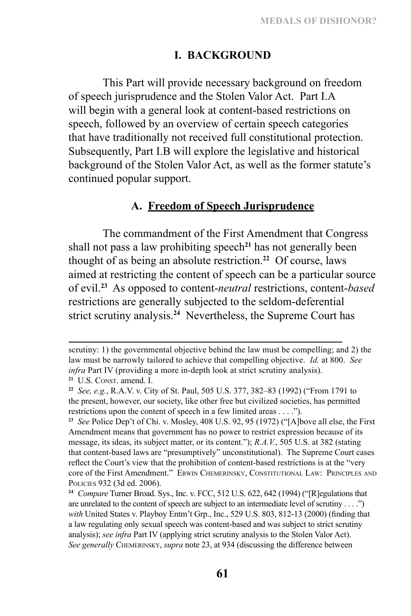## **I. Background**

This Part will provide necessary background on freedom of speech jurisprudence and the Stolen Valor Act. Part I.A will begin with a general look at content-based restrictions on speech, followed by an overview of certain speech categories that have traditionally not received full constitutional protection. Subsequently, Part I.B will explore the legislative and historical background of the Stolen Valor Act, as well as the former statute's continued popular support.

#### **A. Freedom of Speech Jurisprudence**

The commandment of the First Amendment that Congress shall not pass a law prohibiting speech**<sup>21</sup>** has not generally been thought of as being an absolute restriction.**<sup>22</sup>** Of course, laws aimed at restricting the content of speech can be a particular source of evil.**<sup>23</sup>** As opposed to content-*neutral* restrictions, content-*based* restrictions are generally subjected to the seldom-deferential strict scrutiny analysis.**<sup>24</sup>** Nevertheless, the Supreme Court has

scrutiny: 1) the governmental objective behind the law must be compelling; and 2) the law must be narrowly tailored to achieve that compelling objective. *Id.* at 800. *See infra* Part IV (providing a more in-depth look at strict scrutiny analysis). <sup>21</sup> U.S. CONST. amend. I.

**<sup>22</sup>** *See, e.g.*, R.A.V. v. City of St. Paul, 505 U.S. 377, 382–83 (1992) ("From 1791 to the present, however, our society, like other free but civilized societies, has permitted restrictions upon the content of speech in a few limited areas . . . .").

**<sup>23</sup>** *See* Police Dep't of Chi. v. Mosley, 408 U.S. 92, 95 (1972) ("[A]bove all else, the First Amendment means that government has no power to restrict expression because of its message, its ideas, its subject matter, or its content."); *R.A.V.*, 505 U.S. at 382 (stating that content-based laws are "presumptively" unconstitutional). The Supreme Court cases reflect the Court's view that the prohibition of content-based restrictions is at the "very core of the First Amendment." Erwin Chemerinsky, Constitutional Law: Principles and Policies 932 (3d ed. 2006).

**<sup>24</sup>** *Compare* Turner Broad. Sys., Inc. v. FCC, 512 U.S. 622, 642 (1994) ("[R]egulations that are unrelated to the content of speech are subject to an intermediate level of scrutiny . . . .") with United States v. Playboy Entm't Grp., Inc., 529 U.S. 803, 812-13 (2000) (finding that a law regulating only sexual speech was content-based and was subject to strict scrutiny analysis); *see infra* Part IV (applying strict scrutiny analysis to the Stolen Valor Act). *See generally* Chemerinsky, *supra* note 23, at 934 (discussing the difference between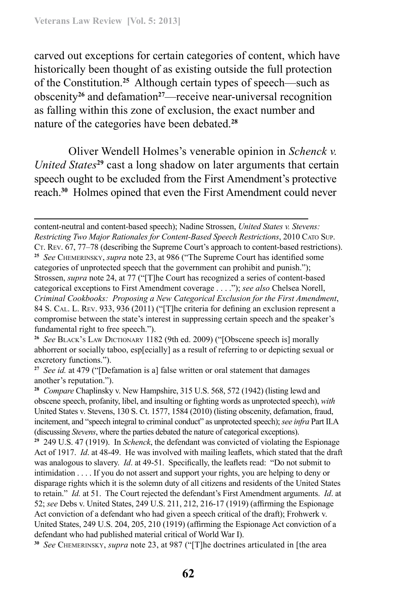carved out exceptions for certain categories of content, which have historically been thought of as existing outside the full protection of the Constitution.**<sup>25</sup>** Although certain types of speech—such as obscenity**<sup>26</sup>** and defamation**<sup>27</sup>**—receive near-universal recognition as falling within this zone of exclusion, the exact number and nature of the categories have been debated.**<sup>28</sup>**

Oliver Wendell Holmes's venerable opinion in *Schenck v. United States***<sup>29</sup>** cast a long shadow on later arguments that certain speech ought to be excluded from the First Amendment's protective reach.**<sup>30</sup>** Holmes opined that even the First Amendment could never

content-neutral and content-based speech); Nadine Strossen, *United States v. Stevens: Restricting Two Major Rationales for Content-Based Speech Restrictions*, 2010 Cato Sup. CT. Rev. 67, 77–78 (describing the Supreme Court's approach to content-based restrictions). **<sup>25</sup>** *See* Chemerinsky, *supra* note 23, at 986 ("The Supreme Court has identified some categories of unprotected speech that the government can prohibit and punish."); Strossen, *supra* note 24, at 77 ("[T]he Court has recognized a series of content-based categorical exceptions to First Amendment coverage . . . ."); *see also* Chelsea Norell, *Criminal Cookbooks: Proposing a New Categorical Exclusion for the First Amendment*, 84 S. Cal. L. Rev. 933, 936 (2011) ("[T]he criteria for defining an exclusion represent a compromise between the state's interest in suppressing certain speech and the speaker's fundamental right to free speech.").

**<sup>26</sup>** *See* Black's Law Dictionary 1182 (9th ed. 2009) ("[Obscene speech is] morally abhorrent or socially taboo, esp[ecially] as a result of referring to or depicting sexual or excretory functions.").

**<sup>27</sup>** *See id.* at 479 ("[Defamation is a] false written or oral statement that damages another's reputation.").

**<sup>28</sup>** *Compare* Chaplinsky v. New Hampshire, 315 U.S. 568, 572 (1942) (listing lewd and obscene speech, profanity, libel, and insulting or fighting words as unprotected speech), *with*  United States v. Stevens, 130 S. Ct. 1577, 1584 (2010) (listing obscenity, defamation, fraud, incitement, and "speech integral to criminal conduct" as unprotected speech); *see infra* Part II.A (discussing *Stevens*, where the parties debated the nature of categorical exceptions).

**<sup>29</sup>** 249 U.S. 47 (1919). In *Schenck*, the defendant was convicted of violating the Espionage Act of 1917. *Id*. at 48-49. He was involved with mailing leaflets, which stated that the draft was analogous to slavery. *Id*. at 49-51. Specifically, the leaflets read: "Do not submit to intimidation . . . . If you do not assert and support your rights, you are helping to deny or disparage rights which it is the solemn duty of all citizens and residents of the United States to retain." *Id.* at 51. The Court rejected the defendant's First Amendment arguments. *Id*. at 52; *see* Debs v. United States, 249 U.S. 211, 212, 216-17 (1919) (affirming the Espionage Act conviction of a defendant who had given a speech critical of the draft); Frohwerk v. United States, 249 U.S. 204, 205, 210 (1919) (affirming the Espionage Act conviction of a defendant who had published material critical of World War I).

**<sup>30</sup>** *See* Chemerinsky, *supra* note 23, at 987 ("[T]he doctrines articulated in [the area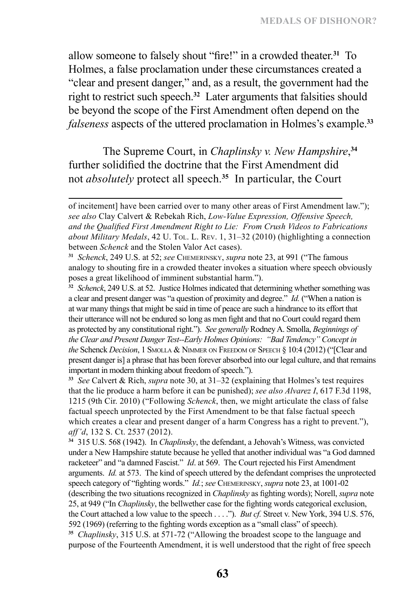allow someone to falsely shout "fire!" in a crowded theater.**<sup>31</sup>** To Holmes, a false proclamation under these circumstances created a "clear and present danger," and, as a result, the government had the right to restrict such speech.**<sup>32</sup>** Later arguments that falsities should be beyond the scope of the First Amendment often depend on the *falseness* aspects of the uttered proclamation in Holmes's example.**<sup>33</sup>**

The Supreme Court, in *Chaplinsky v. New Hampshire*, **34** further solidified the doctrine that the First Amendment did not *absolutely* protect all speech.**<sup>35</sup>** In particular, the Court

**<sup>33</sup>** *See* Calvert & Rich, *supra* note 30, at 31–32 (explaining that Holmes's test requires that the lie produce a harm before it can be punished); *see also Alvarez I*, 617 F.3d 1198, 1215 (9th Cir. 2010) ("Following *Schenck*, then, we might articulate the class of false factual speech unprotected by the First Amendment to be that false factual speech which creates a clear and present danger of a harm Congress has a right to prevent."), *aff'd*, 132 S. Ct. 2537 (2012).

**<sup>34</sup>** 315 U.S. 568 (1942). In *Chaplinsky*, the defendant, a Jehovah's Witness, was convicted under a New Hampshire statute because he yelled that another individual was "a God damned racketeer" and "a damned Fascist." *Id*. at 569. The Court rejected his First Amendment arguments. *Id.* at 573. The kind of speech uttered by the defendant comprises the unprotected speech category of "fighting words." *Id.*; *see* Chemerinsky, *supra* note 23, at 1001-02 (describing the two situations recognized in *Chaplinsky* as fighting words); Norell, *supra* note 25, at 949 ("In *Chaplinsky*, the bellwether case for the fighting words categorical exclusion, the Court attached a low value to the speech . . . ."). *But cf.* Street v. New York, 394 U.S. 576, 592 (1969) (referring to the fighting words exception as a "small class" of speech). **<sup>35</sup>** *Chaplinsky*, 315 U.S. at 571-72 ("Allowing the broadest scope to the language and purpose of the Fourteenth Amendment, it is well understood that the right of free speech

of incitement] have been carried over to many other areas of First Amendment law."); *see also* Clay Calvert & Rebekah Rich, *Low-Value Expression, Offensive Speech, and the Qualified First Amendment Right to Lie: From Crush Videos to Fabrications about Military Medals*, 42 U. Tol. L. Rev. 1, 31–32 (2010) (highlighting a connection between *Schenck* and the Stolen Valor Act cases).

**<sup>31</sup>** *Schenck*, 249 U.S. at 52; *see* Chemerinsky, *supra* note 23, at 991 ("The famous analogy to shouting fire in a crowded theater invokes a situation where speech obviously poses a great likelihood of imminent substantial harm.").

**<sup>32</sup>** *Schenck*, 249 U.S. at 52. Justice Holmes indicated that determining whether something was a clear and present danger was "a question of proximity and degree." *Id.* ("When a nation is at war many things that might be said in time of peace are such a hindrance to its effort that their utterance will not be endured so long as men fight and that no Court could regard them as protected by any constitutional right."). *See generally* Rodney A. Smolla, *Beginnings of the Clear and Present Danger Test--Early Holmes Opinions: "Bad Tendency" Concept in the* Schenck *Decision*, 1 Smolla & Nimmer on Freedom of Speech § 10:4 (2012) ("[Clear and present danger is] a phrase that has been forever absorbed into our legal culture, and that remains important in modern thinking about freedom of speech.").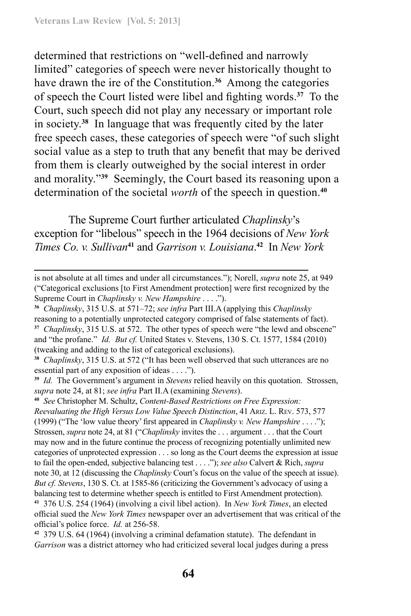determined that restrictions on "well-defined and narrowly limited" categories of speech were never historically thought to have drawn the ire of the Constitution.**<sup>36</sup>** Among the categories of speech the Court listed were libel and fighting words.**<sup>37</sup>** To the Court, such speech did not play any necessary or important role in society.**<sup>38</sup>** In language that was frequently cited by the later free speech cases, these categories of speech were "of such slight social value as a step to truth that any benefit that may be derived from them is clearly outweighed by the social interest in order and morality."**<sup>39</sup>** Seemingly, the Court based its reasoning upon a determination of the societal *worth* of the speech in question.**<sup>40</sup>**

The Supreme Court further articulated *Chaplinsky*'s exception for "libelous" speech in the 1964 decisions of *New York Times Co. v. Sullivan***<sup>41</sup>** and *Garrison v. Louisiana*. **<sup>42</sup>** In *New York* 

**<sup>39</sup>** *Id.* The Government's argument in *Stevens* relied heavily on this quotation. Strossen, *supra* note 24, at 81; *see infra* Part II.A (examining *Stevens*).

is not absolute at all times and under all circumstances."); Norell, *supra* note 25, at 949 ("Categorical exclusions [to First Amendment protection] were first recognized by the Supreme Court in *Chaplinsky v. New Hampshire* . . . .").

**<sup>36</sup>** *Chaplinsky*, 315 U.S. at 571–72; *see infra* Part III.A (applying this *Chaplinsky* reasoning to a potentially unprotected category comprised of false statements of fact). **<sup>37</sup>** *Chaplinsky*, 315 U.S. at 572. The other types of speech were "the lewd and obscene" and "the profane." *Id. But cf.* United States v. Stevens, 130 S. Ct. 1577, 1584 (2010) (tweaking and adding to the list of categorical exclusions).

**<sup>38</sup>** *Chaplinsky*, 315 U.S. at 572 ("It has been well observed that such utterances are no essential part of any exposition of ideas . . . .").

**<sup>40</sup>** *See* Christopher M. Schultz, *Content-Based Restrictions on Free Expression: Reevaluating the High Versus Low Value Speech Distinction*, 41 Ariz. L. Rev. 573, 577 (1999) ("The 'low value theory' first appeared in *Chaplinsky v. New Hampshire* . . . ."); Strossen, *supra* note 24, at 81 ("*Chaplinsky* invites the . . . argument . . . that the Court may now and in the future continue the process of recognizing potentially unlimited new categories of unprotected expression . . . so long as the Court deems the expression at issue to fail the open-ended, subjective balancing test . . . ."); *see also* Calvert & Rich, *supra* note 30, at 12 (discussing the *Chaplinsky* Court's focus on the value of the speech at issue). *But cf. Stevens*, 130 S. Ct. at 1585-86 (criticizing the Government's advocacy of using a balancing test to determine whether speech is entitled to First Amendment protection). **<sup>41</sup>** 376 U.S. 254 (1964) (involving a civil libel action). In *New York Times*, an elected official sued the *New York Times* newspaper over an advertisement that was critical of the

official's police force. *Id.* at 256-58.

**<sup>42</sup>** 379 U.S. 64 (1964) (involving a criminal defamation statute). The defendant in *Garrison* was a district attorney who had criticized several local judges during a press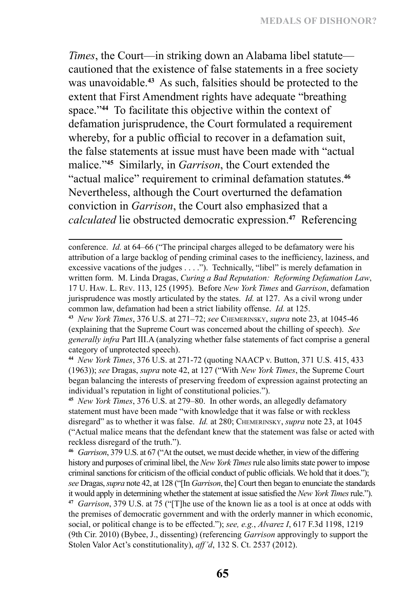*Times*, the Court—in striking down an Alabama libel statute cautioned that the existence of false statements in a free society was unavoidable.**<sup>43</sup>** As such, falsities should be protected to the extent that First Amendment rights have adequate "breathing space."<sup>44</sup> To facilitate this objective within the context of defamation jurisprudence, the Court formulated a requirement whereby, for a public official to recover in a defamation suit, the false statements at issue must have been made with "actual malice."**<sup>45</sup>** Similarly, in *Garrison*, the Court extended the "actual malice" requirement to criminal defamation statutes.**<sup>46</sup>** Nevertheless, although the Court overturned the defamation conviction in *Garrison*, the Court also emphasized that a *calculated* lie obstructed democratic expression.**<sup>47</sup>** Referencing

**<sup>44</sup>** *New York Times*, 376 U.S. at 271-72 (quoting NAACP v. Button, 371 U.S. 415, 433 (1963)); *see* Dragas, *supra* note 42, at 127 ("With *New York Times*, the Supreme Court began balancing the interests of preserving freedom of expression against protecting an individual's reputation in light of constitutional policies.").

**<sup>45</sup>** *New York Times*, 376 U.S. at 279–80. In other words, an allegedly defamatory statement must have been made "with knowledge that it was false or with reckless disregard" as to whether it was false. *Id.* at 280; Chemerinsky, *supra* note 23, at 1045 ("Actual malice means that the defendant knew that the statement was false or acted with reckless disregard of the truth.").

**<sup>46</sup>** *Garrison*, 379 U.S. at 67 ("At the outset, we must decide whether, in view of the differing history and purposes of criminal libel, the *New York Times* rule also limits state power to impose criminal sanctions for criticism of the official conduct of public officials. We hold that it does."); *see* Dragas, *supra* note 42, at 128 ("[In *Garrison*, the] Court then began to enunciate the standards it would apply in determining whether the statement at issue satisfied the *New York Times* rule."). **<sup>47</sup>** *Garrison*, 379 U.S. at 75 ("[T]he use of the known lie as a tool is at once at odds with the premises of democratic government and with the orderly manner in which economic,

social, or political change is to be effected."); *see, e.g.*, *Alvarez I*, 617 F.3d 1198, 1219 (9th Cir. 2010) (Bybee, J., dissenting) (referencing *Garrison* approvingly to support the Stolen Valor Act's constitutionality), *aff'd*, 132 S. Ct. 2537 (2012).

conference. *Id.* at 64–66 ("The principal charges alleged to be defamatory were his attribution of a large backlog of pending criminal cases to the inefficiency, laziness, and excessive vacations of the judges . . . ."). Technically, "libel" is merely defamation in written form. M. Linda Dragas, *Curing a Bad Reputation: Reforming Defamation Law*, 17 U. Haw. L. Rev. 113, 125 (1995). Before *New York Times* and *Garrison*, defamation jurisprudence was mostly articulated by the states. *Id.* at 127. As a civil wrong under common law, defamation had been a strict liability offense. *Id.* at 125.

**<sup>43</sup>** *New York Times*, 376 U.S. at 271–72; *see* Chemerinsky, *supra* note 23, at 1045-46 (explaining that the Supreme Court was concerned about the chilling of speech). *See generally infra* Part III.A (analyzing whether false statements of fact comprise a general category of unprotected speech).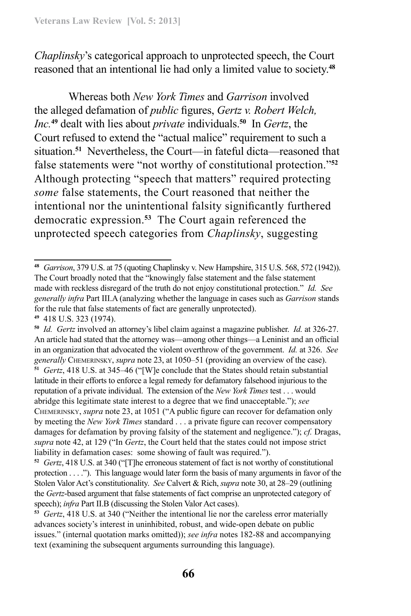*Chaplinsky*'s categorical approach to unprotected speech, the Court reasoned that an intentional lie had only a limited value to society.**<sup>48</sup>**

Whereas both *New York Times* and *Garrison* involved the alleged defamation of *public* figures, *Gertz v. Robert Welch, Inc.***<sup>49</sup>** dealt with lies about *private* individuals.**<sup>50</sup>** In *Gertz*, the Court refused to extend the "actual malice" requirement to such a situation.**<sup>51</sup>** Nevertheless, the Court—in fateful dicta—reasoned that false statements were "not worthy of constitutional protection."**<sup>52</sup>** Although protecting "speech that matters" required protecting *some* false statements, the Court reasoned that neither the intentional nor the unintentional falsity significantly furthered democratic expression.**<sup>53</sup>** The Court again referenced the unprotected speech categories from *Chaplinsky*, suggesting

**<sup>48</sup>** *Garrison*, 379 U.S. at 75 (quoting Chaplinsky v. New Hampshire, 315 U.S. 568, 572 (1942)). The Court broadly noted that the "knowingly false statement and the false statement made with reckless disregard of the truth do not enjoy constitutional protection." *Id. See generally infra* Part III.A (analyzing whether the language in cases such as *Garrison* stands for the rule that false statements of fact are generally unprotected). **<sup>49</sup>** 418 U.S. 323 (1974).

**<sup>50</sup>** *Id. Gertz* involved an attorney's libel claim against a magazine publisher. *Id.* at 326-27. An article had stated that the attorney was—among other things—a Leninist and an official in an organization that advocated the violent overthrow of the government. *Id.* at 326. *See generally* Chemerinsky, *supra* note 23, at 1050–51 (providing an overview of the case). **<sup>51</sup>** *Gertz*, 418 U.S. at 345–46 ("[W]e conclude that the States should retain substantial latitude in their efforts to enforce a legal remedy for defamatory falsehood injurious to the reputation of a private individual. The extension of the *New York Times* test . . . would abridge this legitimate state interest to a degree that we find unacceptable."); *see*  Chemerinsky, *supra* note 23, at 1051 ("A public figure can recover for defamation only by meeting the *New York Times* standard . . . a private figure can recover compensatory damages for defamation by proving falsity of the statement and negligence."); *cf.* Dragas, *supra* note 42, at 129 ("In *Gertz*, the Court held that the states could not impose strict liability in defamation cases: some showing of fault was required.").

**<sup>52</sup>** *Gertz*, 418 U.S. at 340 ("[T]he erroneous statement of fact is not worthy of constitutional protection . . . ."). This language would later form the basis of many arguments in favor of the Stolen Valor Act's constitutionality. *See* Calvert & Rich, *supra* note 30, at 28–29 (outlining the *Gertz*-based argument that false statements of fact comprise an unprotected category of speech); *infra* Part II.B (discussing the Stolen Valor Act cases).

**<sup>53</sup>** *Gertz*, 418 U.S. at 340 ("Neither the intentional lie nor the careless error materially advances society's interest in uninhibited, robust, and wide-open debate on public issues." (internal quotation marks omitted)); *see infra* notes 182-88 and accompanying text (examining the subsequent arguments surrounding this language).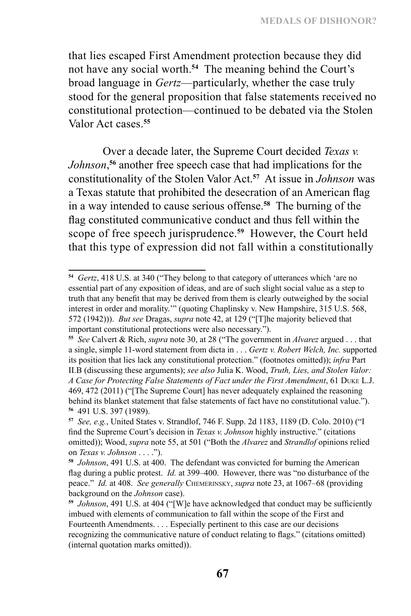that lies escaped First Amendment protection because they did not have any social worth.**<sup>54</sup>** The meaning behind the Court's broad language in *Gertz*—particularly, whether the case truly stood for the general proposition that false statements received no constitutional protection—continued to be debated via the Stolen Valor Act cases.**<sup>55</sup>**

Over a decade later, the Supreme Court decided *Texas v. Johnson*, **<sup>56</sup>** another free speech case that had implications for the constitutionality of the Stolen Valor Act.**<sup>57</sup>** At issue in *Johnson* was a Texas statute that prohibited the desecration of an American flag in a way intended to cause serious offense.**<sup>58</sup>** The burning of the flag constituted communicative conduct and thus fell within the scope of free speech jurisprudence.**<sup>59</sup>** However, the Court held that this type of expression did not fall within a constitutionally

**<sup>54</sup>** *Gertz*, 418 U.S. at 340 ("They belong to that category of utterances which 'are no essential part of any exposition of ideas, and are of such slight social value as a step to truth that any benefit that may be derived from them is clearly outweighed by the social interest in order and morality.'" (quoting Chaplinsky v. New Hampshire, 315 U.S. 568, 572 (1942))). *But see* Dragas, *supra* note 42, at 129 ("[T]he majority believed that important constitutional protections were also necessary.").

**<sup>55</sup>** *See* Calvert & Rich, *supra* note 30, at 28 ("The government in *Alvarez* argued . . . that a single, simple 11-word statement from dicta in . . . *Gertz v. Robert Welch, Inc.* supported its position that lies lack any constitutional protection." (footnotes omitted)); *infra* Part II.B (discussing these arguments); *see also* Julia K. Wood, *Truth, Lies, and Stolen Valor: A Case for Protecting False Statements of Fact under the First Amendment*, 61 Duke L.J. 469, 472 (2011) ("[The Supreme Court] has never adequately explained the reasoning behind its blanket statement that false statements of fact have no constitutional value."). **<sup>56</sup>** 491 U.S. 397 (1989).

**<sup>57</sup>** *See, e.g.*, United States v. Strandlof, 746 F. Supp. 2d 1183, 1189 (D. Colo. 2010) ("I find the Supreme Court's decision in *Texas v. Johnson* highly instructive." (citations omitted)); Wood, *supra* note 55, at 501 ("Both the *Alvarez* and *Strandlof* opinions relied on *Texas v. Johnson* . . . .").

**<sup>58</sup>** *Johnson*, 491 U.S. at 400. The defendant was convicted for burning the American flag during a public protest. *Id.* at 399–400. However, there was "no disturbance of the peace." *Id.* at 408. *See generally* Chemerinsky, *supra* note 23, at 1067–68 (providing background on the *Johnson* case).

**<sup>59</sup>** *Johnson*, 491 U.S. at 404 ("[W]e have acknowledged that conduct may be sufficiently imbued with elements of communication to fall within the scope of the First and Fourteenth Amendments. . . . Especially pertinent to this case are our decisions recognizing the communicative nature of conduct relating to flags." (citations omitted) (internal quotation marks omitted)).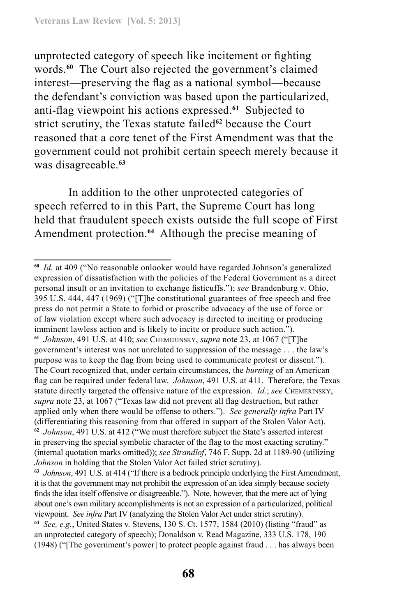unprotected category of speech like incitement or fighting words.**<sup>60</sup>** The Court also rejected the government's claimed interest—preserving the flag as a national symbol—because the defendant's conviction was based upon the particularized, anti-flag viewpoint his actions expressed.**<sup>61</sup>** Subjected to strict scrutiny, the Texas statute failed**<sup>62</sup>** because the Court reasoned that a core tenet of the First Amendment was that the government could not prohibit certain speech merely because it was disagreeable.**<sup>63</sup>**

In addition to the other unprotected categories of speech referred to in this Part, the Supreme Court has long held that fraudulent speech exists outside the full scope of First Amendment protection.**<sup>64</sup>** Although the precise meaning of

**<sup>60</sup>** *Id.* at 409 ("No reasonable onlooker would have regarded Johnson's generalized expression of dissatisfaction with the policies of the Federal Government as a direct personal insult or an invitation to exchange fisticuffs."); *see* Brandenburg v. Ohio, 395 U.S. 444, 447 (1969) ("[T]he constitutional guarantees of free speech and free press do not permit a State to forbid or proscribe advocacy of the use of force or of law violation except where such advocacy is directed to inciting or producing imminent lawless action and is likely to incite or produce such action."). **<sup>61</sup>** *Johnson*, 491 U.S. at 410; *see* Chemerinsky, *supra* note 23, at 1067 ("[T]he government's interest was not unrelated to suppression of the message . . . the law's purpose was to keep the flag from being used to communicate protest or dissent."). The Court recognized that, under certain circumstances, the *burning* of an American flag can be required under federal law. *Johnson*, 491 U.S. at 411. Therefore, the Texas statute directly targeted the offensive nature of the expression. *Id.*; *see* Chemerinsky, *supra* note 23, at 1067 ("Texas law did not prevent all flag destruction, but rather applied only when there would be offense to others."). *See generally infra* Part IV (differentiating this reasoning from that offered in support of the Stolen Valor Act). **<sup>62</sup>** *Johnson*, 491 U.S. at 412 ("We must therefore subject the State's asserted interest in preserving the special symbolic character of the flag to the most exacting scrutiny." (internal quotation marks omitted)); *see Strandlof*, 746 F. Supp. 2d at 1189-90 (utilizing *Johnson* in holding that the Stolen Valor Act failed strict scrutiny).

**<sup>63</sup>** *Johnson*, 491 U.S. at 414 ("If there is a bedrock principle underlying the First Amendment, it is that the government may not prohibit the expression of an idea simply because society finds the idea itself offensive or disagreeable."). Note, however, that the mere act of lying about one's own military accomplishments is not an expression of a particularized, political viewpoint. *See infra* Part IV (analyzing the Stolen Valor Act under strict scrutiny). **<sup>64</sup>** *See, e.g.*, United States v. Stevens, 130 S. Ct. 1577, 1584 (2010) (listing "fraud" as an unprotected category of speech); Donaldson v. Read Magazine, 333 U.S. 178, 190 (1948) ("[The government's power] to protect people against fraud . . . has always been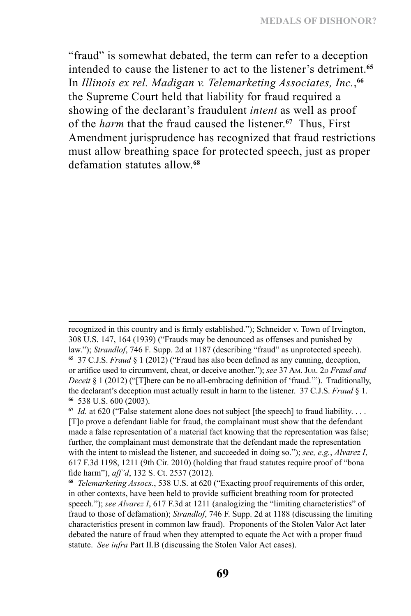"fraud" is somewhat debated, the term can refer to a deception intended to cause the listener to act to the listener's detriment.**<sup>65</sup>** In *Illinois ex rel. Madigan v. Telemarketing Associates, Inc.*, **66** the Supreme Court held that liability for fraud required a showing of the declarant's fraudulent *intent* as well as proof of the *harm* that the fraud caused the listener.**<sup>67</sup>** Thus, First Amendment jurisprudence has recognized that fraud restrictions must allow breathing space for protected speech, just as proper defamation statutes allow.**<sup>68</sup>**

recognized in this country and is firmly established."); Schneider v. Town of Irvington, 308 U.S. 147, 164 (1939) ("Frauds may be denounced as offenses and punished by law."); *Strandlof*, 746 F. Supp. 2d at 1187 (describing "fraud" as unprotected speech). **<sup>65</sup>** 37 C.J.S. *Fraud* § 1 (2012) ("Fraud has also been defined as any cunning, deception, or artifice used to circumvent, cheat, or deceive another."); *see* 37 Am. Jur. 2D *Fraud and Deceit* § 1 (2012) ("[T]here can be no all-embracing definition of 'fraud.""). Traditionally, the declarant's deception must actually result in harm to the listener. 37 C.J.S. *Fraud* § 1. **<sup>66</sup>** 538 U.S. 600 (2003).

**<sup>67</sup>** *Id.* at 620 ("False statement alone does not subject [the speech] to fraud liability. . . . [T]o prove a defendant liable for fraud, the complainant must show that the defendant made a false representation of a material fact knowing that the representation was false; further, the complainant must demonstrate that the defendant made the representation with the intent to mislead the listener, and succeeded in doing so."); *see, e.g.*, *Alvarez I*, 617 F.3d 1198, 1211 (9th Cir. 2010) (holding that fraud statutes require proof of "bona fide harm"), *aff'd*, 132 S. Ct. 2537 (2012).

**<sup>68</sup>** *Telemarketing Assocs.*, 538 U.S. at 620 ("Exacting proof requirements of this order, in other contexts, have been held to provide sufficient breathing room for protected speech."); *see Alvarez I*, 617 F.3d at 1211 (analogizing the "limiting characteristics" of fraud to those of defamation); *Strandlof*, 746 F. Supp. 2d at 1188 (discussing the limiting characteristics present in common law fraud). Proponents of the Stolen Valor Act later debated the nature of fraud when they attempted to equate the Act with a proper fraud statute. *See infra* Part II.B (discussing the Stolen Valor Act cases).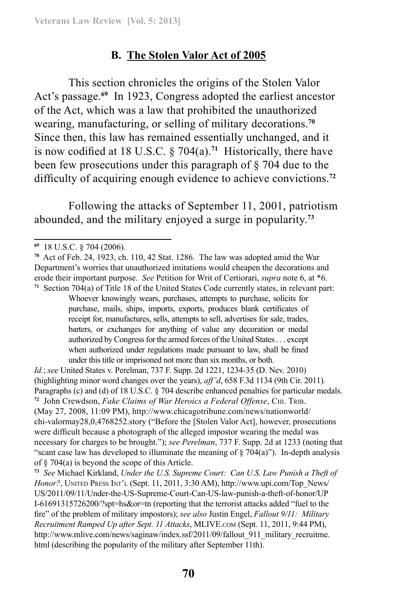### **B. The Stolen Valor Act of 2005**

This section chronicles the origins of the Stolen Valor Act's passage.**<sup>69</sup>** In 1923, Congress adopted the earliest ancestor of the Act, which was a law that prohibited the unauthorized wearing, manufacturing, or selling of military decorations.**<sup>70</sup>** Since then, this law has remained essentially unchanged, and it is now codified at 18 U.S.C. § 704(a).**<sup>71</sup>** Historically, there have been few prosecutions under this paragraph of § 704 due to the difficulty of acquiring enough evidence to achieve convictions.**<sup>72</sup>**

Following the attacks of September 11, 2001, patriotism abounded, and the military enjoyed a surge in popularity.**<sup>73</sup>**

*Id.*; *see* United States v. Perelman, 737 F. Supp. 2d 1221, 1234-35 (D. Nev. 2010) (highlighting minor word changes over the years), *aff'd*, 658 F.3d 1134 (9th Cir. 2011)*.*  Paragraphs (c) and (d) of 18 U.S.C. § 704 describe enhanced penalties for particular medals. **<sup>72</sup>** John Crewdson, *Fake Claims of War Heroics a Federal Offense*, Chi. Trib. (May 27, 2008, 11:09 PM), http://www.chicagotribune.com/news/nationworld/ chi-valormay28,0,4768252.story ("Before the [Stolen Valor Act], however, prosecutions were difficult because a photograph of the alleged impostor wearing the medal was necessary for charges to be brought."); *see Perelman*, 737 F. Supp. 2d at 1233 (noting that "scant case law has developed to illuminate the meaning of  $\S 704(a)$ "). In-depth analysis of § 704(a) is beyond the scope of this Article.

**<sup>73</sup>** *See* Michael Kirkland, *Under the U.S. Supreme Court: Can U.S. Law Punish a Theft of Honor?*, UNITED PRESS INT'L (Sept. 11, 2011, 3:30 AM), http://www.upi.com/Top\_News/ US/2011/09/11/Under-the-US-Supreme-Court-Can-US-law-punish-a-theft-of-honor/UP I-61691315726200/?spt=hs&or=tn (reporting that the terrorist attacks added "fuel to the fire" of the problem of military impostors); *see also* Justin Engel, *Fallout 9/11: Military Recruitment Ramped Up after Sept. 11 Attacks*, MLIVE.com (Sept. 11, 2011, 9:44 PM), http://www.mlive.com/news/saginaw/index.ssf/2011/09/fallout\_911\_military\_recruitme. html (describing the popularity of the military after September 11th).

**<sup>69</sup>** 18 U.S.C. § 704 (2006).

**<sup>70</sup>** Act of Feb. 24, 1923, ch. 110, 42 Stat. 1286. The law was adopted amid the War Department's worries that unauthorized imitations would cheapen the decorations and erode their important purpose. *See* Petition for Writ of Certiorari, *supra* note 6, at \*6. **<sup>71</sup>** Section 704(a) of Title 18 of the United States Code currently states, in relevant part:

Whoever knowingly wears, purchases, attempts to purchase, solicits for purchase, mails, ships, imports, exports, produces blank certificates of receipt for, manufactures, sells, attempts to sell, advertises for sale, trades, barters, or exchanges for anything of value any decoration or medal authorized by Congress for the armed forces of the United States . . . except when authorized under regulations made pursuant to law, shall be fined under this title or imprisoned not more than six months, or both.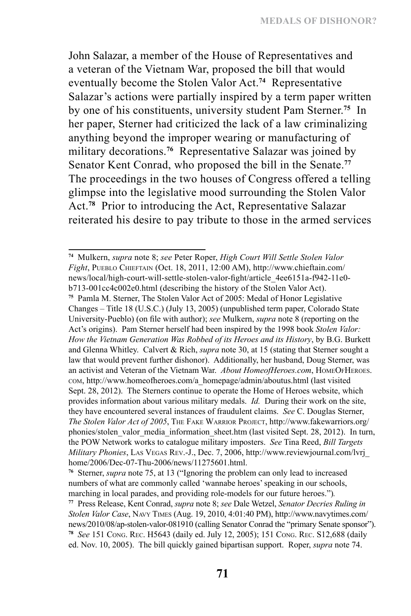John Salazar, a member of the House of Representatives and a veteran of the Vietnam War, proposed the bill that would eventually become the Stolen Valor Act.**<sup>74</sup>** Representative Salazar's actions were partially inspired by a term paper written by one of his constituents, university student Pam Sterner.**<sup>75</sup>** In her paper, Sterner had criticized the lack of a law criminalizing anything beyond the improper wearing or manufacturing of military decorations.**<sup>76</sup>** Representative Salazar was joined by Senator Kent Conrad, who proposed the bill in the Senate.**<sup>77</sup>** The proceedings in the two houses of Congress offered a telling glimpse into the legislative mood surrounding the Stolen Valor Act.**<sup>78</sup>** Prior to introducing the Act, Representative Salazar reiterated his desire to pay tribute to those in the armed services

**<sup>74</sup>** Mulkern, *supra* note 8; *see* Peter Roper, *High Court Will Settle Stolen Valor Fight*, Pueblo Chieftain (Oct. 18, 2011, 12:00 AM), http://www.chieftain.com/ news/local/high-court-will-settle-stolen-valor-fight/article\_4ee6151a-f942-11e0 b713-001cc4c002e0.html (describing the history of the Stolen Valor Act).

**<sup>75</sup>** Pamla M. Sterner, The Stolen Valor Act of 2005: Medal of Honor Legislative Changes – Title 18 (U.S.C.) (July 13, 2005) (unpublished term paper, Colorado State University-Pueblo) (on file with author); *see* Mulkern, *supra* note 8 (reporting on the Act's origins). Pam Sterner herself had been inspired by the 1998 book *Stolen Valor: How the Vietnam Generation Was Robbed of its Heroes and its History*, by B.G. Burkett and Glenna Whitley. Calvert & Rich, *supra* note 30, at 15 (stating that Sterner sought a law that would prevent further dishonor). Additionally, her husband, Doug Sterner, was an activist and Veteran of the Vietnam War. *About HomeofHeroes.com*, HOMEOFHEROES. com, http://www.homeofheroes.com/a\_homepage/admin/aboutus.html (last visited Sept. 28, 2012). The Sterners continue to operate the Home of Heroes website, which provides information about various military medals. *Id.* During their work on the site, they have encountered several instances of fraudulent claims. *See* C. Douglas Sterner, *The Stolen Valor Act of 2005*, The Fake Warrior Project, http://www.fakewarriors.org/ phonies/stolen\_valor\_media\_information\_sheet.htm (last visited Sept. 28, 2012). In turn, the POW Network works to catalogue military imposters. *See* Tina Reed, *Bill Targets Military Phonies*, Las Vegas Rev.-J., Dec. 7, 2006, http://www.reviewjournal.com/lvrj\_ home/2006/Dec-07-Thu-2006/news/11275601.html.

**<sup>76</sup>** Sterner, *supra* note 75, at 13 ("Ignoring the problem can only lead to increased numbers of what are commonly called 'wannabe heroes' speaking in our schools, marching in local parades, and providing role-models for our future heroes.")*.*

**<sup>77</sup>** Press Release, Kent Conrad, *supra* note 8; *see* Dale Wetzel, *Senator Decries Ruling in Stolen Valor Case*, Navy Times (Aug. 19, 2010, 4:01:40 PM), http://www.navytimes.com/ news/2010/08/ap-stolen-valor-081910 (calling Senator Conrad the "primary Senate sponsor"). **<sup>78</sup>** *See* 151 Cong. Rec. H5643 (daily ed. July 12, 2005); 151 Cong. Rec. S12,688 (daily ed. Nov. 10, 2005). The bill quickly gained bipartisan support. Roper, *supra* note 74.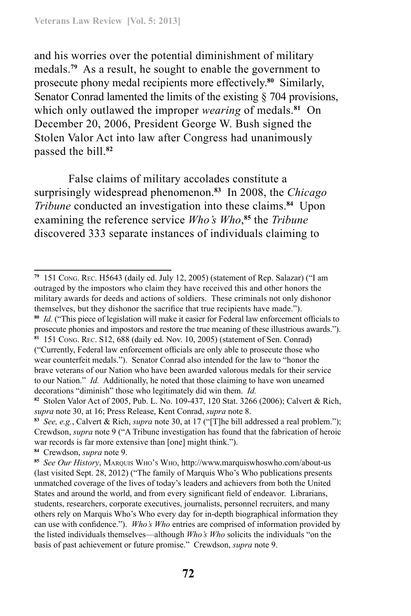and his worries over the potential diminishment of military medals.**<sup>79</sup>** As a result, he sought to enable the government to prosecute phony medal recipients more effectively.**<sup>80</sup>** Similarly, Senator Conrad lamented the limits of the existing § 704 provisions, which only outlawed the improper *wearing* of medals.**<sup>81</sup>** On December 20, 2006, President George W. Bush signed the Stolen Valor Act into law after Congress had unanimously passed the bill.**<sup>82</sup>**

False claims of military accolades constitute a surprisingly widespread phenomenon.**<sup>83</sup>** In 2008, the *Chicago Tribune* conducted an investigation into these claims.**<sup>84</sup>** Upon examining the reference service *Who's Who*, **<sup>85</sup>** the *Tribune* discovered 333 separate instances of individuals claiming to

**<sup>79</sup>** 151 Cong. Rec. H5643 (daily ed. July 12, 2005) (statement of Rep. Salazar) ("I am outraged by the impostors who claim they have received this and other honors the military awards for deeds and actions of soldiers. These criminals not only dishonor themselves, but they dishonor the sacrifice that true recipients have made.").

**<sup>80</sup>** *Id.* ("This piece of legislation will make it easier for Federal law enforcement officials to prosecute phonies and impostors and restore the true meaning of these illustrious awards.").

**<sup>81</sup>** 151 Cong. Rec. S12, 688 (daily ed. Nov. 10, 2005) (statement of Sen. Conrad) ("Currently, Federal law enforcement officials are only able to prosecute those who wear counterfeit medals."). Senator Conrad also intended for the law to "honor the brave veterans of our Nation who have been awarded valorous medals for their service to our Nation." *Id.* Additionally, he noted that those claiming to have won unearned decorations "diminish" those who legitimately did win them. *Id.*

**<sup>82</sup>** Stolen Valor Act of 2005, Pub. L. No. 109-437, 120 Stat. 3266 (2006); Calvert & Rich, *supra* note 30, at 16; Press Release, Kent Conrad, *supra* note 8.

**<sup>83</sup>** *See, e.g.*, Calvert & Rich, *supra* note 30, at 17 ("[T]he bill addressed a real problem."); Crewdson, *supra* note 9 ("A Tribune investigation has found that the fabrication of heroic war records is far more extensive than [one] might think.").

**<sup>84</sup>** Crewdson, *supra* note 9.

**<sup>85</sup>** *See Our History*, Marquis Who's Who, http://www.marquiswhoswho.com/about-us (last visited Sept. 28, 2012) ("The family of Marquis Who's Who publications presents unmatched coverage of the lives of today's leaders and achievers from both the United States and around the world, and from every significant field of endeavor. Librarians, students, researchers, corporate executives, journalists, personnel recruiters, and many others rely on Marquis Who's Who every day for in-depth biographical information they can use with confidence."). *Who's Who* entries are comprised of information provided by the listed individuals themselves—although *Who's Who* solicits the individuals "on the basis of past achievement or future promise." Crewdson, *supra* note 9.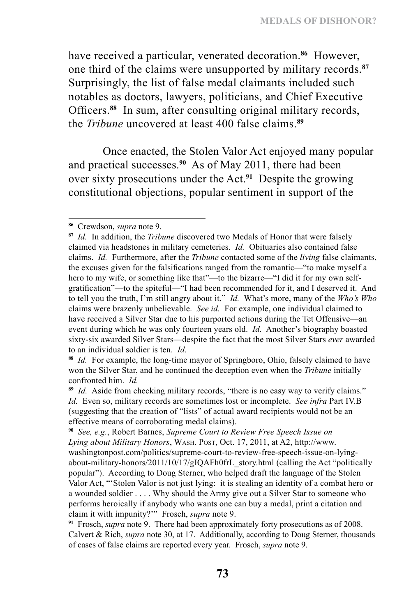have received a particular, venerated decoration.**<sup>86</sup>** However, one third of the claims were unsupported by military records.**<sup>87</sup>** Surprisingly, the list of false medal claimants included such notables as doctors, lawyers, politicians, and Chief Executive Officers.**<sup>88</sup>** In sum, after consulting original military records, the *Tribune* uncovered at least 400 false claims.**<sup>89</sup>**

Once enacted, the Stolen Valor Act enjoyed many popular and practical successes.**<sup>90</sup>** As of May 2011, there had been over sixty prosecutions under the Act.**<sup>91</sup>** Despite the growing constitutional objections, popular sentiment in support of the

**<sup>86</sup>** Crewdson, *supra* note 9.

**<sup>87</sup>** *Id.* In addition, the *Tribune* discovered two Medals of Honor that were falsely claimed via headstones in military cemeteries. *Id.* Obituaries also contained false claims. *Id.* Furthermore, after the *Tribune* contacted some of the *living* false claimants, the excuses given for the falsifications ranged from the romantic—"to make myself a hero to my wife, or something like that"—to the bizarre—"I did it for my own selfgratification"—to the spiteful—"I had been recommended for it, and I deserved it. And to tell you the truth, I'm still angry about it." *Id.* What's more, many of the *Who's Who* claims were brazenly unbelievable. *See id.* For example, one individual claimed to have received a Silver Star due to his purported actions during the Tet Offensive—an event during which he was only fourteen years old. *Id.* Another's biography boasted sixty-six awarded Silver Stars—despite the fact that the most Silver Stars *ever* awarded to an individual soldier is ten. *Id.*

**<sup>88</sup>** *Id.* For example, the long-time mayor of Springboro, Ohio, falsely claimed to have won the Silver Star, and he continued the deception even when the *Tribune* initially confronted him. *Id.*

**<sup>89</sup>** *Id.* Aside from checking military records, "there is no easy way to verify claims." *Id.* Even so, military records are sometimes lost or incomplete. *See infra* Part IV.B (suggesting that the creation of "lists" of actual award recipients would not be an effective means of corroborating medal claims).

**<sup>90</sup>** *See, e.g.*, Robert Barnes, *Supreme Court to Review Free Speech Issue on Lying about Military Honors*, Wash. Post, Oct. 17, 2011, at A2, http://www. washingtonpost.com/politics/supreme-court-to-review-free-speech-issue-on-lyingabout-military-honors/2011/10/17/gIQAFh0frL\_story.html (calling the Act "politically popular"). According to Doug Sterner, who helped draft the language of the Stolen Valor Act, "'Stolen Valor is not just lying: it is stealing an identity of a combat hero or a wounded soldier . . . . Why should the Army give out a Silver Star to someone who performs heroically if anybody who wants one can buy a medal, print a citation and claim it with impunity?'" Frosch, *supra* note 9.

**<sup>91</sup>** Frosch, *supra* note 9. There had been approximately forty prosecutions as of 2008. Calvert & Rich, *supra* note 30, at 17. Additionally, according to Doug Sterner, thousands of cases of false claims are reported every year. Frosch, *supra* note 9.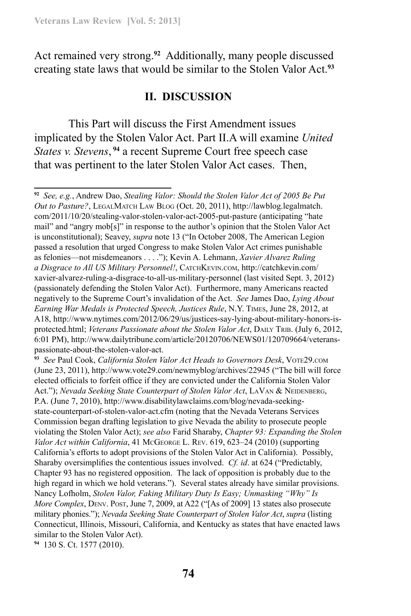Act remained very strong.**<sup>92</sup>** Additionally, many people discussed creating state laws that would be similar to the Stolen Valor Act.**<sup>93</sup>**

#### **II. DISCUSSION**

This Part will discuss the First Amendment issues implicated by the Stolen Valor Act. Part II.A will examine *United States v. Stevens*, **<sup>94</sup>** a recent Supreme Court free speech case that was pertinent to the later Stolen Valor Act cases. Then,

**<sup>93</sup>** *See* Paul Cook, *California Stolen Valor Act Heads to Governors Desk*, Vote29.com (June 23, 2011), http://www.vote29.com/newmyblog/archives/22945 ("The bill will force elected officials to forfeit office if they are convicted under the California Stolen Valor Act."); *Nevada Seeking State Counterpart of Stolen Valor Act*, LAVAN & NEIDENBERG, P.A. (June 7, 2010), http://www.disabilitylawclaims.com/blog/nevada-seekingstate-counterpart-of-stolen-valor-act.cfm (noting that the Nevada Veterans Services Commission began drafting legislation to give Nevada the ability to prosecute people violating the Stolen Valor Act); *see also* Farid Sharaby, *Chapter 93: Expanding the Stolen Valor Act within California*, 41 McGeorge L. Rev. 619, 623–24 (2010) (supporting California's efforts to adopt provisions of the Stolen Valor Act in California). Possibly, Sharaby oversimplifies the contentious issues involved. *Cf. id*. at 624 ("Predictably, Chapter 93 has no registered opposition. The lack of opposition is probably due to the high regard in which we hold veterans."). Several states already have similar provisions. Nancy Lofholm, *Stolen Valor, Faking Military Duty Is Easy; Unmasking "Why" Is More Complex*, DENV. POST, June 7, 2009, at A22 ("[As of 2009] 13 states also prosecute military phonies."); *Nevada Seeking State Counterpart of Stolen Valor Act*, *supra* (listing Connecticut, Illinois, Missouri, California, and Kentucky as states that have enacted laws similar to the Stolen Valor Act).

**94** 130 S. Ct. 1577 (2010).

**<sup>92</sup>** *See, e.g.*, Andrew Dao, *Stealing Valor: Should the Stolen Valor Act of 2005 Be Put Out to Pasture?*, LEGALMATCH LAW BLOG (Oct. 20, 2011), http://lawblog.legalmatch. com/2011/10/20/stealing-valor-stolen-valor-act-2005-put-pasture (anticipating "hate mail" and "angry mob[s]" in response to the author's opinion that the Stolen Valor Act is unconstitutional); Seavey, *supra* note 13 ("In October 2008, The American Legion passed a resolution that urged Congress to make Stolen Valor Act crimes punishable as felonies—not misdemeanors . . . ."); Kevin A. Lehmann, *Xavier Alvarez Ruling a Disgrace to All US Military Personnel!*, CatchKevin.com, http://catchkevin.com/ xavier-alvarez-ruling-a-disgrace-to-all-us-military-personnel (last visited Sept. 3, 2012) (passionately defending the Stolen Valor Act). Furthermore, many Americans reacted negatively to the Supreme Court's invalidation of the Act. *See* James Dao, *Lying About Earning War Medals is Protected Speech, Justices Rule*, N.Y. Times, June 28, 2012, at A18, http://www.nytimes.com/2012/06/29/us/justices-say-lying-about-military-honors-isprotected.html; *Veterans Passionate about the Stolen Valor Act*, DAILY TRIB. (July 6, 2012, 6:01 PM), http://www.dailytribune.com/article/20120706/NEWS01/120709664/veteranspassionate-about-the-stolen-valor-act.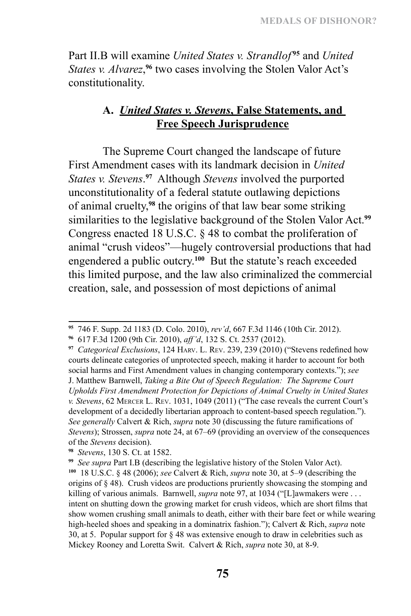Part II.B will examine *United States v. Strandlof*<sup>95</sup> and *United* States v. Alvarez,<sup>96</sup> two cases involving the Stolen Valor Act's constitutionality.

### **A.** *United States v. Stevens***, False Statements, and Free Speech Jurisprudence**

The Supreme Court changed the landscape of future First Amendment cases with its landmark decision in *United States v. Stevens*. **<sup>97</sup>** Although *Stevens* involved the purported unconstitutionality of a federal statute outlawing depictions of animal cruelty,**<sup>98</sup>** the origins of that law bear some striking similarities to the legislative background of the Stolen Valor Act.**<sup>99</sup>** Congress enacted 18 U.S.C. § 48 to combat the proliferation of animal "crush videos"—hugely controversial productions that had engendered a public outcry.**<sup>100</sup>** But the statute's reach exceeded this limited purpose, and the law also criminalized the commercial creation, sale, and possession of most depictions of animal

**<sup>95</sup>** 746 F. Supp. 2d 1183 (D. Colo. 2010), *rev'd*, 667 F.3d 1146 (10th Cir. 2012).

**<sup>96</sup>** 617 F.3d 1200 (9th Cir. 2010), *aff'd*, 132 S. Ct. 2537 (2012).

**<sup>97</sup>** *Categorical Exclusions*, 124 Harv. L. Rev. 239, 239 (2010) ("Stevens redefined how courts delineate categories of unprotected speech, making it harder to account for both social harms and First Amendment values in changing contemporary contexts."); *see* 

J. Matthew Barnwell, *Taking a Bite Out of Speech Regulation: The Supreme Court Upholds First Amendment Protection for Depictions of Animal Cruelty in United States v. Stevens*, 62 Mercer L. Rev. 1031, 1049 (2011) ("The case reveals the current Court's development of a decidedly libertarian approach to content-based speech regulation."). *See generally* Calvert & Rich, *supra* note 30 (discussing the future ramifications of *Stevens*); Strossen, *supra* note 24, at 67–69 (providing an overview of the consequences of the *Stevens* decision).

**<sup>98</sup>** *Stevens*, 130 S. Ct. at 1582.

**<sup>99</sup>** *See supra* Part I.B (describing the legislative history of the Stolen Valor Act).

**<sup>100</sup>** 18 U.S.C. § 48 (2006); *see* Calvert & Rich, *supra* note 30, at 5–9 (describing the origins of § 48). Crush videos are productions pruriently showcasing the stomping and killing of various animals. Barnwell, *supra* note 97, at 1034 ("[L]awmakers were . . . intent on shutting down the growing market for crush videos, which are short films that show women crushing small animals to death, either with their bare feet or while wearing high-heeled shoes and speaking in a dominatrix fashion."); Calvert & Rich, *supra* note 30, at 5. Popular support for § 48 was extensive enough to draw in celebrities such as Mickey Rooney and Loretta Swit. Calvert & Rich, *supra* note 30, at 8-9.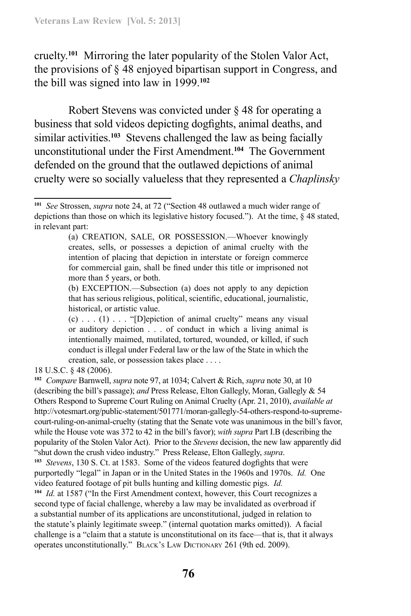cruelty.**<sup>101</sup>** Mirroring the later popularity of the Stolen Valor Act, the provisions of § 48 enjoyed bipartisan support in Congress, and the bill was signed into law in 1999.**<sup>102</sup>**

Robert Stevens was convicted under § 48 for operating a business that sold videos depicting dogfights, animal deaths, and similar activities.**<sup>103</sup>** Stevens challenged the law as being facially unconstitutional under the First Amendment.**<sup>104</sup>** The Government defended on the ground that the outlawed depictions of animal cruelty were so socially valueless that they represented a *Chaplinsky*

18 U.S.C. § 48 (2006).

**<sup>102</sup>** *Compare* Barnwell, *supra* note 97, at 1034; Calvert & Rich, *supra* note 30, at 10 (describing the bill's passage); *and* Press Release, Elton Gallegly, Moran, Gallegly & 54 Others Respond to Supreme Court Ruling on Animal Cruelty (Apr. 21, 2010), *available at*  http://votesmart.org/public-statement/501771/moran-gallegly-54-others-respond-to-supremecourt-ruling-on-animal-cruelty (stating that the Senate vote was unanimous in the bill's favor, while the House vote was 372 to 42 in the bill's favor); *with supra* Part I.B (describing the popularity of the Stolen Valor Act). Prior to the *Stevens* decision, the new law apparently did "shut down the crush video industry." Press Release, Elton Gallegly, *supra*. **<sup>103</sup>** *Stevens*, 130 S. Ct. at 1583. Some of the videos featured dogfights that were purportedly "legal" in Japan or in the United States in the 1960s and 1970s. *Id.* One video featured footage of pit bulls hunting and killing domestic pigs. *Id.* **<sup>104</sup>** *Id.* at 1587 ("In the First Amendment context, however, this Court recognizes a second type of facial challenge, whereby a law may be invalidated as overbroad if a substantial number of its applications are unconstitutional, judged in relation to the statute's plainly legitimate sweep." (internal quotation marks omitted)). A facial challenge is a "claim that a statute is unconstitutional on its face—that is, that it always operates unconstitutionally." BLACK's LAW DICTIONARY 261 (9th ed. 2009).

**<sup>101</sup>** *See* Strossen, *supra* note 24, at 72 ("Section 48 outlawed a much wider range of depictions than those on which its legislative history focused."). At the time, § 48 stated, in relevant part:

<sup>(</sup>a) CREATION, SALE, OR POSSESSION.—Whoever knowingly creates, sells, or possesses a depiction of animal cruelty with the intention of placing that depiction in interstate or foreign commerce for commercial gain, shall be fined under this title or imprisoned not more than 5 years, or both.

<sup>(</sup>b) EXCEPTION.—Subsection (a) does not apply to any depiction that has serious religious, political, scientific, educational, journalistic, historical, or artistic value.

 $(c)$ ...  $(1)$ ... "[D]epiction of animal cruelty" means any visual or auditory depiction . . . of conduct in which a living animal is intentionally maimed, mutilated, tortured, wounded, or killed, if such conduct is illegal under Federal law or the law of the State in which the creation, sale, or possession takes place . . . .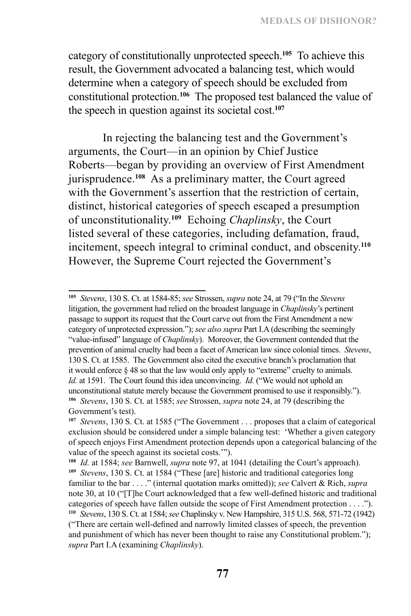category of constitutionally unprotected speech.**<sup>105</sup>** To achieve this result, the Government advocated a balancing test, which would determine when a category of speech should be excluded from constitutional protection.**<sup>106</sup>** The proposed test balanced the value of the speech in question against its societal cost.**<sup>107</sup>**

In rejecting the balancing test and the Government's arguments, the Court—in an opinion by Chief Justice Roberts—began by providing an overview of First Amendment jurisprudence.**<sup>108</sup>** As a preliminary matter, the Court agreed with the Government's assertion that the restriction of certain, distinct, historical categories of speech escaped a presumption of unconstitutionality.**<sup>109</sup>** Echoing *Chaplinsky*, the Court listed several of these categories, including defamation, fraud, incitement, speech integral to criminal conduct, and obscenity.**<sup>110</sup>** However, the Supreme Court rejected the Government's

**<sup>105</sup>** *Stevens*, 130 S. Ct. at 1584-85; *see* Strossen, *supra* note 24, at 79 ("In the *Stevens* litigation, the government had relied on the broadest language in *Chaplinsky*'s pertinent passage to support its request that the Court carve out from the First Amendment a new category of unprotected expression."); *see also supra* Part I.A (describing the seemingly "value-infused" language of *Chaplinsky*). Moreover, the Government contended that the prevention of animal cruelty had been a facet of American law since colonial times. *Stevens*, 130 S. Ct. at 1585. The Government also cited the executive branch's proclamation that it would enforce § 48 so that the law would only apply to "extreme" cruelty to animals. *Id.* at 1591. The Court found this idea unconvincing. *Id.* ("We would not uphold an unconstitutional statute merely because the Government promised to use it responsibly."). **<sup>106</sup>** *Stevens*, 130 S. Ct. at 1585; *see* Strossen, *supra* note 24, at 79 (describing the Government's test).

**<sup>107</sup>** *Stevens*, 130 S. Ct. at 1585 ("The Government . . . proposes that a claim of categorical exclusion should be considered under a simple balancing test: 'Whether a given category of speech enjoys First Amendment protection depends upon a categorical balancing of the value of the speech against its societal costs.'").

**<sup>108</sup>** *Id.* at 1584; *see* Barnwell, *supra* note 97, at 1041 (detailing the Court's approach). **<sup>109</sup>** *Stevens*, 130 S. Ct. at 1584 ("These [are] historic and traditional categories long familiar to the bar . . . ." (internal quotation marks omitted)); *see* Calvert & Rich, *supra*  note 30, at 10 ("[T]he Court acknowledged that a few well-defined historic and traditional categories of speech have fallen outside the scope of First Amendment protection . . . ."). **<sup>110</sup>** *Stevens*, 130 S. Ct. at 1584; *see* Chaplinsky v. New Hampshire, 315 U.S. 568, 571-72 (1942) ("There are certain well-defined and narrowly limited classes of speech, the prevention and punishment of which has never been thought to raise any Constitutional problem."); *supra* Part I.A (examining *Chaplinsky*).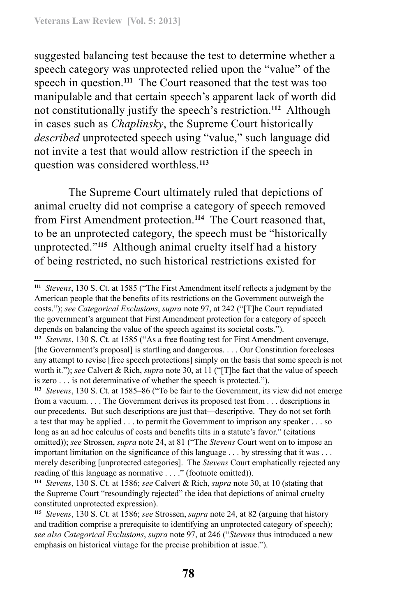suggested balancing test because the test to determine whether a speech category was unprotected relied upon the "value" of the speech in question.**<sup>111</sup>** The Court reasoned that the test was too manipulable and that certain speech's apparent lack of worth did not constitutionally justify the speech's restriction.**<sup>112</sup>** Although in cases such as *Chaplinsky*, the Supreme Court historically *described* unprotected speech using "value," such language did not invite a test that would allow restriction if the speech in question was considered worthless.**<sup>113</sup>**

The Supreme Court ultimately ruled that depictions of animal cruelty did not comprise a category of speech removed from First Amendment protection.**<sup>114</sup>** The Court reasoned that, to be an unprotected category, the speech must be "historically unprotected."**<sup>115</sup>** Although animal cruelty itself had a history of being restricted, no such historical restrictions existed for

**<sup>111</sup>** *Stevens*, 130 S. Ct. at 1585 ("The First Amendment itself reflects a judgment by the American people that the benefits of its restrictions on the Government outweigh the costs."); *see Categorical Exclusions*, *supra* note 97, at 242 ("[T]he Court repudiated the government's argument that First Amendment protection for a category of speech depends on balancing the value of the speech against its societal costs.").

**<sup>112</sup>** *Stevens*, 130 S. Ct. at 1585 ("As a free floating test for First Amendment coverage, [the Government's proposal] is startling and dangerous. . . . Our Constitution forecloses any attempt to revise [free speech protections] simply on the basis that some speech is not worth it."); *see* Calvert & Rich, *supra* note 30, at 11 ("[T]he fact that the value of speech is zero . . . is not determinative of whether the speech is protected.").

**<sup>113</sup>** *Stevens*, 130 S. Ct. at 1585–86 ("To be fair to the Government, its view did not emerge from a vacuum. . . . The Government derives its proposed test from . . . descriptions in our precedents. But such descriptions are just that—descriptive. They do not set forth a test that may be applied . . . to permit the Government to imprison any speaker . . . so long as an ad hoc calculus of costs and benefits tilts in a statute's favor." (citations omitted)); *see* Strossen, *supra* note 24, at 81 ("The *Stevens* Court went on to impose an important limitation on the significance of this language . . . by stressing that it was . . . merely describing [unprotected categories]. The *Stevens* Court emphatically rejected any reading of this language as normative . . . ." (footnote omitted)).

**<sup>114</sup>** *Stevens*, 130 S. Ct. at 1586; *see* Calvert & Rich, *supra* note 30, at 10 (stating that the Supreme Court "resoundingly rejected" the idea that depictions of animal cruelty constituted unprotected expression).

**<sup>115</sup>** *Stevens*, 130 S. Ct. at 1586; *see* Strossen, *supra* note 24, at 82 (arguing that history and tradition comprise a prerequisite to identifying an unprotected category of speech); *see also Categorical Exclusions*, *supra* note 97, at 246 ("*Stevens* thus introduced a new emphasis on historical vintage for the precise prohibition at issue.").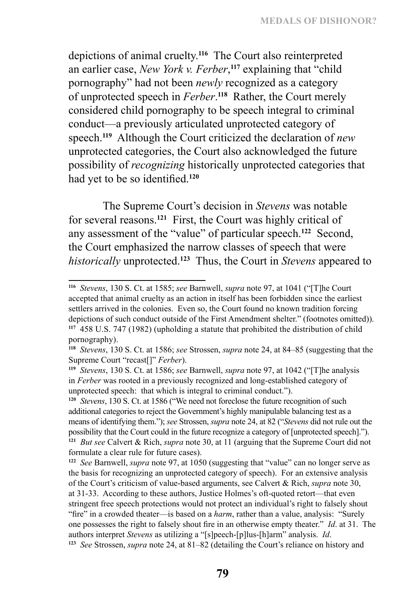depictions of animal cruelty.**<sup>116</sup>** The Court also reinterpreted an earlier case, *New York v. Ferber*, **<sup>117</sup>** explaining that "child pornography" had not been *newly* recognized as a category of unprotected speech in *Ferber*. **<sup>118</sup>** Rather, the Court merely considered child pornography to be speech integral to criminal conduct—a previously articulated unprotected category of speech.**<sup>119</sup>** Although the Court criticized the declaration of *new* unprotected categories, the Court also acknowledged the future possibility of *recognizing* historically unprotected categories that had yet to be so identified.**<sup>120</sup>**

The Supreme Court's decision in *Stevens* was notable for several reasons.**<sup>121</sup>** First, the Court was highly critical of any assessment of the "value" of particular speech.**<sup>122</sup>** Second, the Court emphasized the narrow classes of speech that were *historically* unprotected.**<sup>123</sup>** Thus, the Court in *Stevens* appeared to

**<sup>116</sup>** *Stevens*, 130 S. Ct. at 1585; *see* Barnwell, *supra* note 97, at 1041 ("[T]he Court accepted that animal cruelty as an action in itself has been forbidden since the earliest settlers arrived in the colonies. Even so, the Court found no known tradition forcing depictions of such conduct outside of the First Amendment shelter." (footnotes omitted)). **<sup>117</sup>** 458 U.S. 747 (1982) (upholding a statute that prohibited the distribution of child pornography).

**<sup>118</sup>** *Stevens*, 130 S. Ct. at 1586; *see* Strossen, *supra* note 24, at 84–85 (suggesting that the Supreme Court "recast[]" *Ferber*).

**<sup>119</sup>** *Stevens*, 130 S. Ct. at 1586; *see* Barnwell, *supra* note 97, at 1042 ("[T]he analysis in *Ferber* was rooted in a previously recognized and long-established category of unprotected speech: that which is integral to criminal conduct.").

**<sup>120</sup>** *Stevens*, 130 S. Ct. at 1586 ("We need not foreclose the future recognition of such additional categories to reject the Government's highly manipulable balancing test as a means of identifying them."); *see* Strossen, *supra* note 24, at 82 ("*Stevens* did not rule out the possibility that the Court could in the future recognize a category of [unprotected speech]."). **<sup>121</sup>** *But see* Calvert & Rich, *supra* note 30, at 11 (arguing that the Supreme Court did not formulate a clear rule for future cases).

**<sup>122</sup>** *See* Barnwell, *supra* note 97, at 1050 (suggesting that "value" can no longer serve as the basis for recognizing an unprotected category of speech). For an extensive analysis of the Court's criticism of value-based arguments, see Calvert & Rich, *supra* note 30, at 31-33. According to these authors, Justice Holmes's oft-quoted retort—that even stringent free speech protections would not protect an individual's right to falsely shout "fire" in a crowded theater—is based on a *harm*, rather than a value, analysis: "Surely one possesses the right to falsely shout fire in an otherwise empty theater." *Id*. at 31. The authors interpret *Stevens* as utilizing a "[s]peech-[p]lus-[h]arm" analysis. *Id*. **<sup>123</sup>** *See* Strossen, *supra* note 24, at 81–82 (detailing the Court's reliance on history and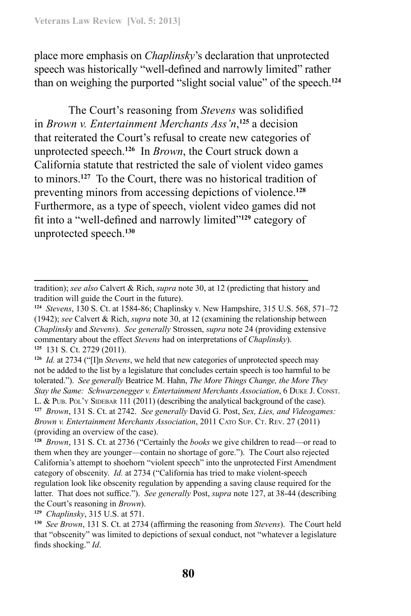place more emphasis on *Chaplinsky*'s declaration that unprotected speech was historically "well-defined and narrowly limited" rather than on weighing the purported "slight social value" of the speech.**<sup>124</sup>**

The Court's reasoning from *Stevens* was solidified in *Brown v. Entertainment Merchants Ass'n*, **<sup>125</sup>** a decision that reiterated the Court's refusal to create new categories of unprotected speech.**<sup>126</sup>** In *Brown*, the Court struck down a California statute that restricted the sale of violent video games to minors.**<sup>127</sup>** To the Court, there was no historical tradition of preventing minors from accessing depictions of violence.**<sup>128</sup>** Furthermore, as a type of speech, violent video games did not fit into a "well-defined and narrowly limited"**<sup>129</sup>** category of unprotected speech.**<sup>130</sup>**

**<sup>129</sup>** *Chaplinsky*, 315 U.S. at 571.

tradition); *see also* Calvert & Rich, *supra* note 30, at 12 (predicting that history and tradition will guide the Court in the future).

**<sup>124</sup>** *Stevens*, 130 S. Ct. at 1584-86; Chaplinsky v. New Hampshire, 315 U.S. 568, 571–72 (1942); *see* Calvert & Rich, *supra* note 30, at 12 (examining the relationship between *Chaplinsky* and *Stevens*). *See generally* Strossen, *supra* note 24 (providing extensive commentary about the effect *Stevens* had on interpretations of *Chaplinsky*). **<sup>125</sup>** 131 S. Ct. 2729 (2011).

**<sup>126</sup>** *Id.* at 2734 ("[I]n *Stevens*, we held that new categories of unprotected speech may not be added to the list by a legislature that concludes certain speech is too harmful to be tolerated."). *See generally* Beatrice M. Hahn, *The More Things Change, the More They Stay the Same: Schwarzenegger v. Entertainment Merchants Association*, 6 Duke J. Const. L. & PUB. POL'Y SIDEBAR 111 (2011) (describing the analytical background of the case). **<sup>127</sup>** *Brown*, 131 S. Ct. at 2742. *See generally* David G. Post, *Sex, Lies, and Videogames: Brown v. Entertainment Merchants Association*, 2011 CATO SUP. CT. REV. 27 (2011) (providing an overview of the case).

**<sup>128</sup>** *Brown*, 131 S. Ct. at 2736 ("Certainly the *books* we give children to read—or read to them when they are younger—contain no shortage of gore."). The Court also rejected California's attempt to shoehorn "violent speech" into the unprotected First Amendment category of obscenity. *Id.* at 2734 ("California has tried to make violent-speech regulation look like obscenity regulation by appending a saving clause required for the latter. That does not suffice.").*See generally* Post, *supra* note 127, at 38-44 (describing the Court's reasoning in *Brown*).

**<sup>130</sup>** *See Brown*, 131 S. Ct. at 2734 (affirming the reasoning from *Stevens*). The Court held that "obscenity" was limited to depictions of sexual conduct, not "whatever a legislature finds shocking." *Id*.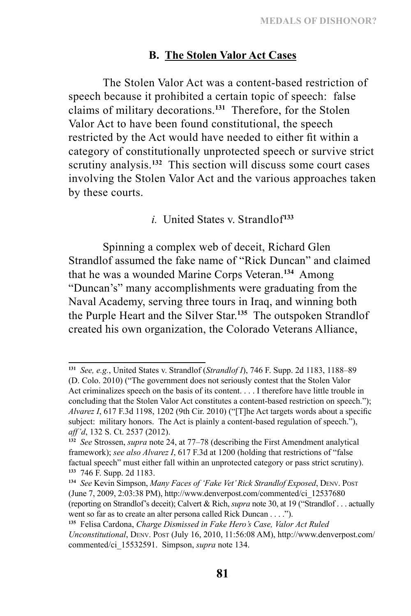#### **B. The Stolen Valor Act Cases**

The Stolen Valor Act was a content-based restriction of speech because it prohibited a certain topic of speech: false claims of military decorations.**<sup>131</sup>** Therefore, for the Stolen Valor Act to have been found constitutional, the speech restricted by the Act would have needed to either fit within a category of constitutionally unprotected speech or survive strict scrutiny analysis.<sup>132</sup> This section will discuss some court cases involving the Stolen Valor Act and the various approaches taken by these courts.

*i.* United States v. Strandlof**<sup>133</sup>**

Spinning a complex web of deceit, Richard Glen Strandlof assumed the fake name of "Rick Duncan" and claimed that he was a wounded Marine Corps Veteran.**<sup>134</sup>** Among "Duncan's" many accomplishments were graduating from the Naval Academy, serving three tours in Iraq, and winning both the Purple Heart and the Silver Star.**<sup>135</sup>** The outspoken Strandlof created his own organization, the Colorado Veterans Alliance,

**<sup>131</sup>** *See, e.g.*, United States v. Strandlof (*Strandlof I*), 746 F. Supp. 2d 1183, 1188–89 (D. Colo. 2010) ("The government does not seriously contest that the Stolen Valor Act criminalizes speech on the basis of its content. . . . I therefore have little trouble in concluding that the Stolen Valor Act constitutes a content-based restriction on speech."); *Alvarez I*, 617 F.3d 1198, 1202 (9th Cir. 2010) ("[T]he Act targets words about a specific subject: military honors. The Act is plainly a content-based regulation of speech."), *aff'd*, 132 S. Ct. 2537 (2012).

**<sup>132</sup>** *See* Strossen, *supra* note 24, at 77–78 (describing the First Amendment analytical framework); *see also Alvarez I*, 617 F.3d at 1200 (holding that restrictions of "false factual speech" must either fall within an unprotected category or pass strict scrutiny). **133** 746 F. Supp. 2d 1183.

**<sup>134</sup>** *See* Kevin Simpson, *Many Faces of 'Fake Vet' Rick Strandlof Exposed*, Denv. Post (June 7, 2009, 2:03:38 PM), http://www.denverpost.com/commented/ci\_12537680 (reporting on Strandlof's deceit); Calvert & Rich, *supra* note 30, at 19 ("Strandlof . . . actually went so far as to create an alter persona called Rick Duncan . . . .").

**<sup>135</sup>** Felisa Cardona, *Charge Dismissed in Fake Hero's Case, Valor Act Ruled Unconstitutional*, Denv. Post (July 16, 2010, 11:56:08 AM), http://www.denverpost.com/ commented/ci\_15532591. Simpson, *supra* note 134.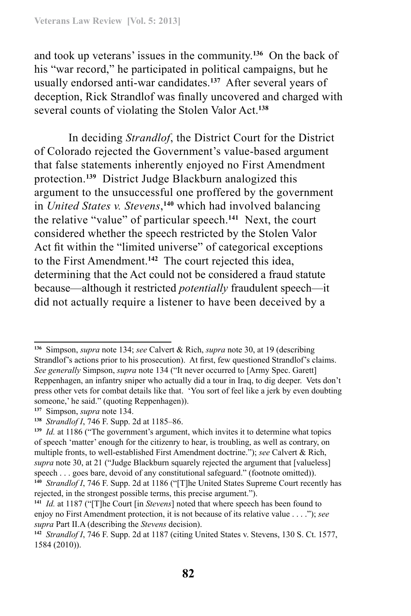and took up veterans' issues in the community.**<sup>136</sup>** On the back of his "war record," he participated in political campaigns, but he usually endorsed anti-war candidates.**<sup>137</sup>** After several years of deception, Rick Strandlof was finally uncovered and charged with several counts of violating the Stolen Valor Act.**<sup>138</sup>**

In deciding *Strandlof*, the District Court for the District of Colorado rejected the Government's value-based argument that false statements inherently enjoyed no First Amendment protection.**<sup>139</sup>** District Judge Blackburn analogized this argument to the unsuccessful one proffered by the government in *United States v. Stevens*, **<sup>140</sup>** which had involved balancing the relative "value" of particular speech.**<sup>141</sup>** Next, the court considered whether the speech restricted by the Stolen Valor Act fit within the "limited universe" of categorical exceptions to the First Amendment.**<sup>142</sup>** The court rejected this idea, determining that the Act could not be considered a fraud statute because—although it restricted *potentially* fraudulent speech—it did not actually require a listener to have been deceived by a

**<sup>136</sup>** Simpson, *supra* note 134; *see* Calvert & Rich, *supra* note 30, at 19 (describing Strandlof's actions prior to his prosecution). At first, few questioned Strandlof's claims. *See generally* Simpson, *supra* note 134 ("It never occurred to [Army Spec. Garett] Reppenhagen, an infantry sniper who actually did a tour in Iraq, to dig deeper. Vets don't press other vets for combat details like that. 'You sort of feel like a jerk by even doubting someone,' he said." (quoting Reppenhagen)).

**<sup>137</sup>** Simpson, *supra* note 134.

**<sup>138</sup>** *Strandlof I*, 746 F. Supp. 2d at 1185–86.

**<sup>139</sup>** *Id.* at 1186 ("The government's argument, which invites it to determine what topics of speech 'matter' enough for the citizenry to hear, is troubling, as well as contrary, on multiple fronts, to well-established First Amendment doctrine."); *see* Calvert & Rich, *supra* note 30, at 21 ("Judge Blackburn squarely rejected the argument that [valueless] speech . . . goes bare, devoid of any constitutional safeguard." (footnote omitted)). **<sup>140</sup>** *Strandlof I*, 746 F. Supp. 2d at 1186 ("[T]he United States Supreme Court recently has rejected, in the strongest possible terms, this precise argument.").

**<sup>141</sup>** *Id.* at 1187 ("[T]he Court [in *Stevens*] noted that where speech has been found to enjoy no First Amendment protection, it is not because of its relative value . . . ."); *see supra* Part II.A (describing the *Stevens* decision).

**<sup>142</sup>** *Strandlof I*, 746 F. Supp. 2d at 1187 (citing United States v. Stevens, 130 S. Ct. 1577, 1584 (2010)).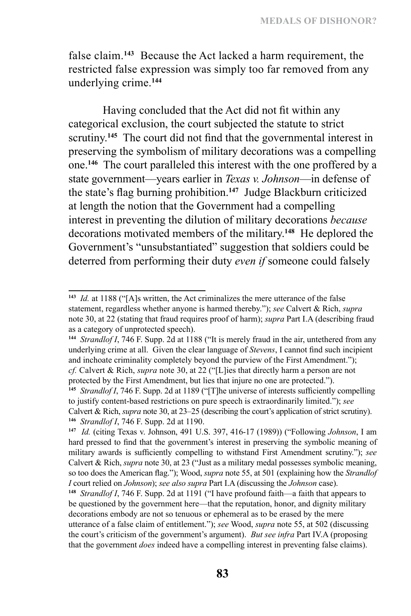false claim.**<sup>143</sup>** Because the Act lacked a harm requirement, the restricted false expression was simply too far removed from any underlying crime.**<sup>144</sup>**

Having concluded that the Act did not fit within any categorical exclusion, the court subjected the statute to strict scrutiny.**<sup>145</sup>** The court did not find that the governmental interest in preserving the symbolism of military decorations was a compelling one.**<sup>146</sup>** The court paralleled this interest with the one proffered by a state government—years earlier in *Texas v. Johnson*—in defense of the state's flag burning prohibition.**<sup>147</sup>** Judge Blackburn criticized at length the notion that the Government had a compelling interest in preventing the dilution of military decorations *because* decorations motivated members of the military.**<sup>148</sup>** He deplored the Government's "unsubstantiated" suggestion that soldiers could be deterred from performing their duty *even if* someone could falsely

**<sup>143</sup>** *Id.* at 1188 ("[A]s written, the Act criminalizes the mere utterance of the false statement, regardless whether anyone is harmed thereby."); *see* Calvert & Rich, *supra* note 30, at 22 (stating that fraud requires proof of harm); *supra* Part I.A (describing fraud as a category of unprotected speech).

**<sup>144</sup>** *Strandlof I*, 746 F. Supp. 2d at 1188 ("It is merely fraud in the air, untethered from any underlying crime at all. Given the clear language of *Stevens*, I cannot find such incipient and inchoate criminality completely beyond the purview of the First Amendment."); *cf.* Calvert & Rich, *supra* note 30, at 22 ("[L]ies that directly harm a person are not protected by the First Amendment, but lies that injure no one are protected.").

<sup>&</sup>lt;sup>145</sup> *Strandlof I*, 746 F. Supp. 2d at 1189 ("[T]he universe of interests sufficiently compelling to justify content-based restrictions on pure speech is extraordinarily limited."); *see*  Calvert & Rich, *supra* note 30, at 23–25 (describing the court's application of strict scrutiny). **<sup>146</sup>** *Strandlof I*, 746 F. Supp. 2d at 1190.

**<sup>147</sup>** *Id.* (citing Texas v. Johnson, 491 U.S. 397, 416-17 (1989)) ("Following *Johnson*, I am hard pressed to find that the government's interest in preserving the symbolic meaning of military awards is sufficiently compelling to withstand First Amendment scrutiny."); *see*  Calvert & Rich, *supra* note 30, at 23 ("Just as a military medal possesses symbolic meaning, so too does the American flag."); Wood, *supra* note 55, at 501 (explaining how the *Strandlof I* court relied on *Johnson*); *see also supra* Part I.A (discussing the *Johnson* case).

**<sup>148</sup>** *Strandlof I*, 746 F. Supp. 2d at 1191 ("I have profound faith—a faith that appears to be questioned by the government here—that the reputation, honor, and dignity military decorations embody are not so tenuous or ephemeral as to be erased by the mere utterance of a false claim of entitlement."); *see* Wood, *supra* note 55, at 502 (discussing the court's criticism of the government's argument). *But see infra* Part IV.A (proposing that the government *does* indeed have a compelling interest in preventing false claims).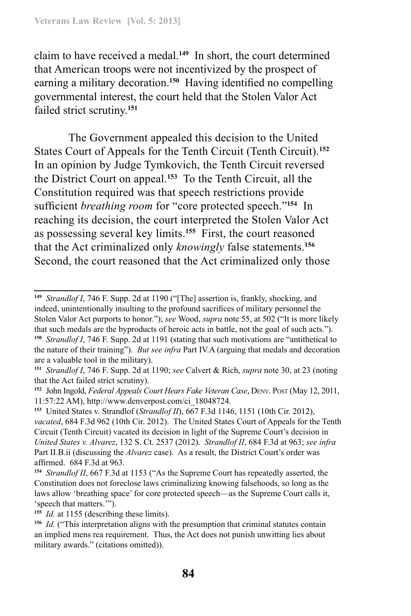claim to have received a medal.**<sup>149</sup>** In short, the court determined that American troops were not incentivized by the prospect of earning a military decoration.**<sup>150</sup>** Having identified no compelling governmental interest, the court held that the Stolen Valor Act failed strict scrutiny.**<sup>151</sup>**

The Government appealed this decision to the United States Court of Appeals for the Tenth Circuit (Tenth Circuit).**<sup>152</sup>** In an opinion by Judge Tymkovich, the Tenth Circuit reversed the District Court on appeal.**<sup>153</sup>** To the Tenth Circuit, all the Constitution required was that speech restrictions provide sufficient *breathing room* for "core protected speech."**<sup>154</sup>** In reaching its decision, the court interpreted the Stolen Valor Act as possessing several key limits.**<sup>155</sup>** First, the court reasoned that the Act criminalized only *knowingly* false statements.**<sup>156</sup>** Second, the court reasoned that the Act criminalized only those

**<sup>155</sup>** *Id.* at 1155 (describing these limits).

**<sup>149</sup>** *Strandlof I*, 746 F. Supp. 2d at 1190 ("[The] assertion is, frankly, shocking, and indeed, unintentionally insulting to the profound sacrifices of military personnel the Stolen Valor Act purports to honor."); *see* Wood, *supra* note 55, at 502 ("It is more likely that such medals are the byproducts of heroic acts in battle, not the goal of such acts."). **<sup>150</sup>** *Strandlof I*, 746 F. Supp. 2d at 1191 (stating that such motivations are "antithetical to the nature of their training"). *But see infra* Part IV.A (arguing that medals and decoration are a valuable tool in the military).

**<sup>151</sup>** *Strandlof I*, 746 F. Supp. 2d at 1190; *see* Calvert & Rich, *supra* note 30, at 23 (noting that the Act failed strict scrutiny).

**<sup>152</sup>** John Ingold, *Federal Appeals Court Hears Fake Veteran Case*, Denv. Post (May 12, 2011, 11:57:22 AM), http://www.denverpost.com/ci\_18048724.

**<sup>153</sup>** United States v. Strandlof (*Strandlof II*), 667 F.3d 1146, 1151 (10th Cir. 2012), *vacated*, 684 F.3d 962 (10th Cir. 2012). The United States Court of Appeals for the Tenth Circuit (Tenth Circuit) vacated its decision in light of the Supreme Court's decision in *United States v. Alvarez*, 132 S. Ct. 2537 (2012). *Strandlof II*, 684 F.3d at 963; *see infra* Part II.B.ii (discussing the *Alvarez* case). As a result, the District Court's order was affirmed. 684 F.3d at 963.

**<sup>154</sup>** *Strandlof II*, 667 F.3d at 1153 ("As the Supreme Court has repeatedly asserted, the Constitution does not foreclose laws criminalizing knowing falsehoods, so long as the laws allow 'breathing space' for core protected speech—as the Supreme Court calls it, 'speech that matters.'").

**<sup>156</sup>** *Id.* ("This interpretation aligns with the presumption that criminal statutes contain an implied mens rea requirement. Thus, the Act does not punish unwitting lies about military awards." (citations omitted)).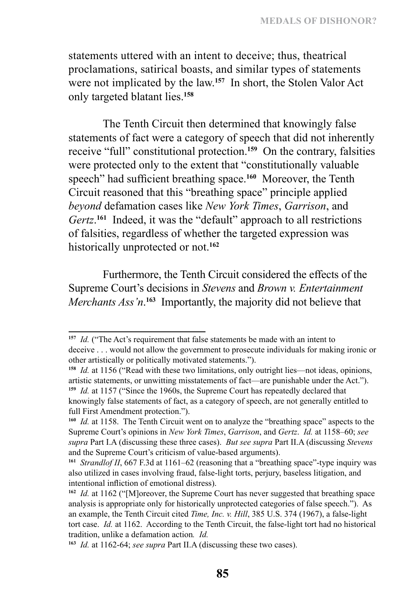statements uttered with an intent to deceive; thus, theatrical proclamations, satirical boasts, and similar types of statements were not implicated by the law.**<sup>157</sup>** In short, the Stolen Valor Act only targeted blatant lies.**<sup>158</sup>**

The Tenth Circuit then determined that knowingly false statements of fact were a category of speech that did not inherently receive "full" constitutional protection.**<sup>159</sup>** On the contrary, falsities were protected only to the extent that "constitutionally valuable speech" had sufficient breathing space.**<sup>160</sup>** Moreover, the Tenth Circuit reasoned that this "breathing space" principle applied *beyond* defamation cases like *New York Times*, *Garrison*, and *Gertz*. **<sup>161</sup>** Indeed, it was the "default" approach to all restrictions of falsities, regardless of whether the targeted expression was historically unprotected or not.**<sup>162</sup>**

Furthermore, the Tenth Circuit considered the effects of the Supreme Court's decisions in *Stevens* and *Brown v. Entertainment Merchants Ass'n*. **<sup>163</sup>** Importantly, the majority did not believe that

**<sup>158</sup>** *Id.* at 1156 ("Read with these two limitations, only outright lies—not ideas, opinions, artistic statements, or unwitting misstatements of fact—are punishable under the Act."). **<sup>159</sup>** *Id.* at 1157 ("Since the 1960s, the Supreme Court has repeatedly declared that knowingly false statements of fact, as a category of speech, are not generally entitled to full First Amendment protection.").

**<sup>157</sup>** *Id.* ("The Act's requirement that false statements be made with an intent to deceive . . . would not allow the government to prosecute individuals for making ironic or other artistically or politically motivated statements.").

**<sup>160</sup>** *Id.* at 1158. The Tenth Circuit went on to analyze the "breathing space" aspects to the Supreme Court's opinions in *New York Times*, *Garrison*, and *Gertz*. *Id.* at 1158–60; *see supra* Part I.A (discussing these three cases). *But see supra* Part II.A (discussing *Stevens*  and the Supreme Court's criticism of value-based arguments).

**<sup>161</sup>** *Strandlof II*, 667 F.3d at 1161–62 (reasoning that a "breathing space"-type inquiry was also utilized in cases involving fraud, false-light torts, perjury, baseless litigation, and intentional infliction of emotional distress).

**<sup>162</sup>** *Id.* at 1162 ("[M]oreover, the Supreme Court has never suggested that breathing space analysis is appropriate only for historically unprotected categories of false speech."). As an example, the Tenth Circuit cited *Time, Inc. v. Hill*, 385 U.S. 374 (1967), a false-light tort case. *Id.* at 1162. According to the Tenth Circuit, the false-light tort had no historical tradition, unlike a defamation action*. Id.* 

**<sup>163</sup>** *Id.* at 1162-64; *see supra* Part II.A (discussing these two cases).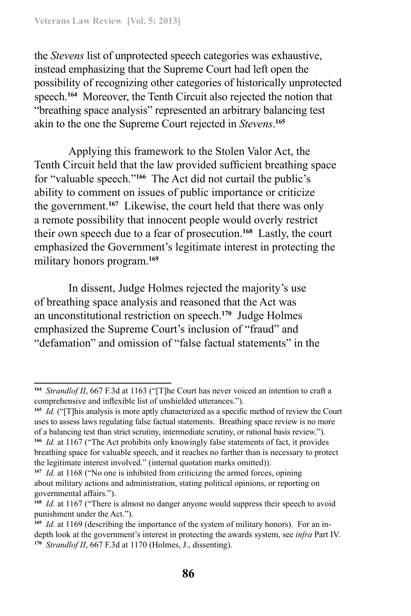the *Stevens* list of unprotected speech categories was exhaustive, instead emphasizing that the Supreme Court had left open the possibility of recognizing other categories of historically unprotected speech.**<sup>164</sup>** Moreover, the Tenth Circuit also rejected the notion that "breathing space analysis" represented an arbitrary balancing test akin to the one the Supreme Court rejected in *Stevens*. **165**

Applying this framework to the Stolen Valor Act, the Tenth Circuit held that the law provided sufficient breathing space for "valuable speech."**<sup>166</sup>** The Act did not curtail the public's ability to comment on issues of public importance or criticize the government.**<sup>167</sup>** Likewise, the court held that there was only a remote possibility that innocent people would overly restrict their own speech due to a fear of prosecution.**<sup>168</sup>** Lastly, the court emphasized the Government's legitimate interest in protecting the military honors program.**<sup>169</sup>**

In dissent, Judge Holmes rejected the majority's use of breathing space analysis and reasoned that the Act was an unconstitutional restriction on speech.**<sup>170</sup>** Judge Holmes emphasized the Supreme Court's inclusion of "fraud" and "defamation" and omission of "false factual statements" in the

**<sup>164</sup>** *Strandlof II*, 667 F.3d at 1163 ("[T]he Court has never voiced an intention to craft a comprehensive and inflexible list of unshielded utterances.").

**<sup>165</sup>** *Id.* ("[T]his analysis is more aptly characterized as a specific method of review the Court uses to assess laws regulating false factual statements. Breathing space review is no more of a balancing test than strict scrutiny, intermediate scrutiny, or rational basis review."). **<sup>166</sup>** *Id.* at 1167 ("The Act prohibits only knowingly false statements of fact, it provides breathing space for valuable speech, and it reaches no farther than is necessary to protect

the legitimate interest involved." (internal quotation marks omitted)).

**<sup>167</sup>** *Id.* at 1168 ("No one is inhibited from criticizing the armed forces, opining about military actions and administration, stating political opinions, or reporting on governmental affairs.").

**<sup>168</sup>** *Id.* at 1167 ("There is almost no danger anyone would suppress their speech to avoid punishment under the Act.").

**<sup>169</sup>** *Id.* at 1169 (describing the importance of the system of military honors). For an indepth look at the government's interest in protecting the awards system, see *infra* Part IV. **<sup>170</sup>** *Strandlof II*, 667 F.3d at 1170 (Holmes, J., dissenting).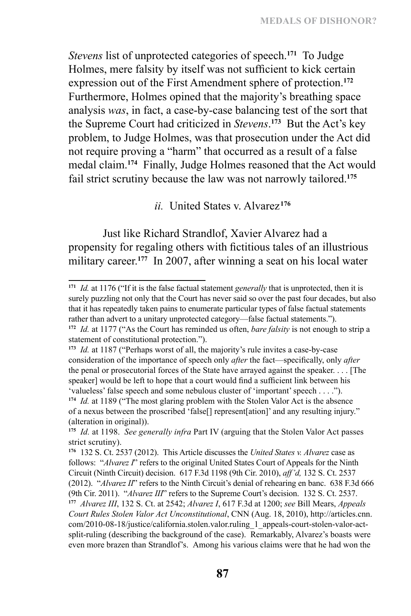*Stevens* list of unprotected categories of speech.**<sup>171</sup>** To Judge Holmes, mere falsity by itself was not sufficient to kick certain expression out of the First Amendment sphere of protection.**<sup>172</sup>** Furthermore, Holmes opined that the majority's breathing space analysis *was*, in fact, a case-by-case balancing test of the sort that the Supreme Court had criticized in *Stevens*. **<sup>173</sup>** But the Act's key problem, to Judge Holmes, was that prosecution under the Act did not require proving a "harm" that occurred as a result of a false medal claim.**<sup>174</sup>** Finally, Judge Holmes reasoned that the Act would fail strict scrutiny because the law was not narrowly tailored.**<sup>175</sup>**

*ii.* United States v. Alvarez**<sup>176</sup>**

Just like Richard Strandlof, Xavier Alvarez had a propensity for regaling others with fictitious tales of an illustrious military career.<sup>177</sup> In 2007, after winning a seat on his local water

**<sup>171</sup>** *Id.* at 1176 ("If it is the false factual statement *generally* that is unprotected, then it is surely puzzling not only that the Court has never said so over the past four decades, but also that it has repeatedly taken pains to enumerate particular types of false factual statements rather than advert to a unitary unprotected category—false factual statements."). **<sup>172</sup>** *Id.* at 1177 ("As the Court has reminded us often, *bare falsity* is not enough to strip a

statement of constitutional protection.").

**<sup>173</sup>** *Id.* at 1187 ("Perhaps worst of all, the majority's rule invites a case-by-case consideration of the importance of speech only *after* the fact—specifically, only *after* the penal or prosecutorial forces of the State have arrayed against the speaker. . . . [The speaker] would be left to hope that a court would find a sufficient link between his 'valueless' false speech and some nebulous cluster of 'important' speech . . . .").

**<sup>174</sup>** *Id.* at 1189 ("The most glaring problem with the Stolen Valor Act is the absence of a nexus between the proscribed 'false[] represent[ation]' and any resulting injury." (alteration in original)).

**<sup>175</sup>** *Id.* at 1198. *See generally infra* Part IV (arguing that the Stolen Valor Act passes strict scrutiny).

**<sup>176</sup>** 132 S. Ct. 2537 (2012). This Article discusses the *United States v. Alvarez* case as follows: "*Alvarez I*" refers to the original United States Court of Appeals for the Ninth Circuit (Ninth Circuit) decision. 617 F.3d 1198 (9th Cir. 2010), *aff'd,* 132 S. Ct. 2537 (2012). "*Alvarez II*" refers to the Ninth Circuit's denial of rehearing en banc. 638 F.3d 666 (9th Cir. 2011). "*Alvarez III*" refers to the Supreme Court's decision. 132 S. Ct. 2537. **<sup>177</sup>** *Alvarez III*, 132 S. Ct. at 2542; *Alvarez I*, 617 F.3d at 1200; *see* Bill Mears, *Appeals Court Rules Stolen Valor Act Unconstitutional*, CNN (Aug. 18, 2010), http://articles.cnn. com/2010-08-18/justice/california.stolen.valor.ruling\_1\_appeals-court-stolen-valor-actsplit-ruling (describing the background of the case). Remarkably, Alvarez's boasts were even more brazen than Strandlof's. Among his various claims were that he had won the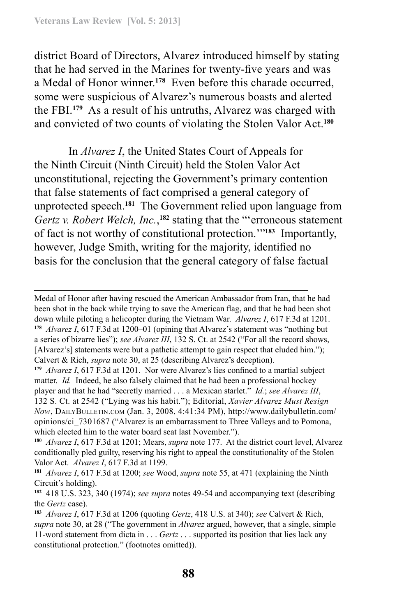district Board of Directors, Alvarez introduced himself by stating that he had served in the Marines for twenty-five years and was a Medal of Honor winner.**<sup>178</sup>** Even before this charade occurred, some were suspicious of Alvarez's numerous boasts and alerted the FBI.**<sup>179</sup>** As a result of his untruths, Alvarez was charged with and convicted of two counts of violating the Stolen Valor Act.**<sup>180</sup>**

In *Alvarez I*, the United States Court of Appeals for the Ninth Circuit (Ninth Circuit) held the Stolen Valor Act unconstitutional, rejecting the Government's primary contention that false statements of fact comprised a general category of unprotected speech.**<sup>181</sup>** The Government relied upon language from Gertz v. Robert Welch, Inc.,<sup>182</sup> stating that the "'erroneous statement of fact is not worthy of constitutional protection.'"**<sup>183</sup>** Importantly, however, Judge Smith, writing for the majority, identified no basis for the conclusion that the general category of false factual

Medal of Honor after having rescued the American Ambassador from Iran, that he had been shot in the back while trying to save the American flag, and that he had been shot down while piloting a helicopter during the Vietnam War. *Alvarez I*, 617 F.3d at 1201. **<sup>178</sup>** *Alvarez I*, 617 F.3d at 1200–01 (opining that Alvarez's statement was "nothing but a series of bizarre lies"); *see Alvarez III*, 132 S. Ct. at 2542 ("For all the record shows, [Alvarez's] statements were but a pathetic attempt to gain respect that eluded him."); Calvert & Rich, *supra* note 30, at 25 (describing Alvarez's deception).

**<sup>179</sup>** *Alvarez I*, 617 F.3d at 1201. Nor were Alvarez's lies confined to a martial subject matter. *Id.* Indeed, he also falsely claimed that he had been a professional hockey player and that he had "secretly married . . . a Mexican starlet." *Id.*; *see Alvarez III*, 132 S. Ct. at 2542 ("Lying was his habit."); Editorial, *Xavier Alvarez Must Resign Now*, DailyBulletin.com (Jan. 3, 2008, 4:41:34 PM), http://www.dailybulletin.com/ opinions/ci\_7301687 ("Alvarez is an embarrassment to Three Valleys and to Pomona, which elected him to the water board seat last November.").

**<sup>180</sup>** *Alvarez I*, 617 F.3d at 1201; Mears, *supra* note 177. At the district court level, Alvarez conditionally pled guilty, reserving his right to appeal the constitutionality of the Stolen Valor Act. *Alvarez I*, 617 F.3d at 1199.

**<sup>181</sup>** *Alvarez I*, 617 F.3d at 1200; *see* Wood, *supra* note 55, at 471 (explaining the Ninth Circuit's holding).

**<sup>182</sup>** 418 U.S. 323, 340 (1974); *see supra* notes 49-54 and accompanying text (describing the *Gertz* case).

**<sup>183</sup>** *Alvarez I*, 617 F.3d at 1206 (quoting *Gertz*, 418 U.S. at 340); *see* Calvert & Rich, *supra* note 30, at 28 ("The government in *Alvarez* argued, however, that a single, simple 11-word statement from dicta in . . . *Gertz* . . . supported its position that lies lack any constitutional protection." (footnotes omitted)).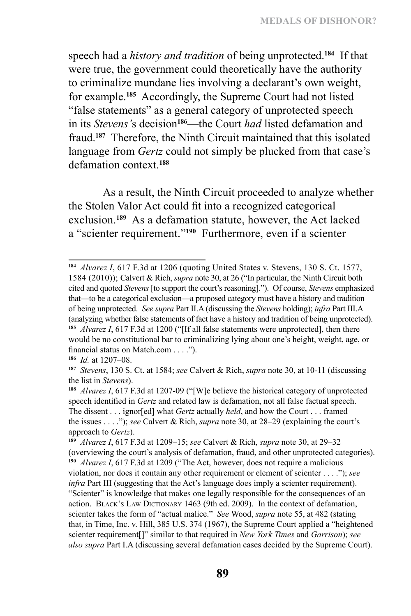speech had a *history and tradition* of being unprotected.**<sup>184</sup>** If that were true, the government could theoretically have the authority to criminalize mundane lies involving a declarant's own weight, for example.**<sup>185</sup>** Accordingly, the Supreme Court had not listed "false statements" as a general category of unprotected speech in its *Stevens'*s decision**<sup>186</sup>**—the Court *had* listed defamation and fraud.**<sup>187</sup>** Therefore, the Ninth Circuit maintained that this isolated language from *Gertz* could not simply be plucked from that case's defamation context.**<sup>188</sup>**

As a result, the Ninth Circuit proceeded to analyze whether the Stolen Valor Act could fit into a recognized categorical exclusion.**<sup>189</sup>** As a defamation statute, however, the Act lacked a "scienter requirement."**<sup>190</sup>** Furthermore, even if a scienter

**<sup>184</sup>** *Alvarez I*, 617 F.3d at 1206 (quoting United States v. Stevens, 130 S. Ct. 1577, 1584 (2010)); Calvert & Rich, *supra* note 30, at 26 ("In particular, the Ninth Circuit both cited and quoted *Stevens* [to support the court's reasoning]."). Of course, *Stevens* emphasized that—to be a categorical exclusion—a proposed category must have a history and tradition of being unprotected. *See supra* Part II.A (discussing the *Stevens* holding); *infra* Part III.A (analyzing whether false statements of fact have a history and tradition of being unprotected). **<sup>185</sup>** *Alvarez I*, 617 F.3d at 1200 ("[If all false statements were unprotected], then there would be no constitutional bar to criminalizing lying about one's height, weight, age, or financial status on Match.com . . . .").

**<sup>186</sup>** *Id.* at 1207–08.

**<sup>187</sup>** *Stevens*, 130 S. Ct. at 1584; *see* Calvert & Rich, *supra* note 30, at 10-11 (discussing the list in *Stevens*).

**<sup>188</sup>** *Alvarez I*, 617 F.3d at 1207-09 ("[W]e believe the historical category of unprotected speech identified in *Gertz* and related law is defamation, not all false factual speech. The dissent . . . ignor[ed] what *Gertz* actually *held*, and how the Court . . . framed the issues . . . ."); *see* Calvert & Rich, *supra* note 30, at 28–29 (explaining the court's approach to *Gertz*).

**<sup>189</sup>** *Alvarez I*, 617 F.3d at 1209–15; *see* Calvert & Rich, *supra* note 30, at 29–32 (overviewing the court's analysis of defamation, fraud, and other unprotected categories). **<sup>190</sup>** *Alvarez I*, 617 F.3d at 1209 ("The Act, however, does not require a malicious violation, nor does it contain any other requirement or element of scienter . . . ."); *see infra* Part III (suggesting that the Act's language does imply a scienter requirement). "Scienter" is knowledge that makes one legally responsible for the consequences of an action. BLACK's LAW DICTIONARY 1463 (9th ed. 2009). In the context of defamation, scienter takes the form of "actual malice." *See* Wood, *supra* note 55, at 482 (stating that, in Time, Inc. v. Hill, 385 U.S. 374 (1967), the Supreme Court applied a "heightened scienter requirement[]" similar to that required in *New York Times* and *Garrison*); *see also supra* Part I.A (discussing several defamation cases decided by the Supreme Court).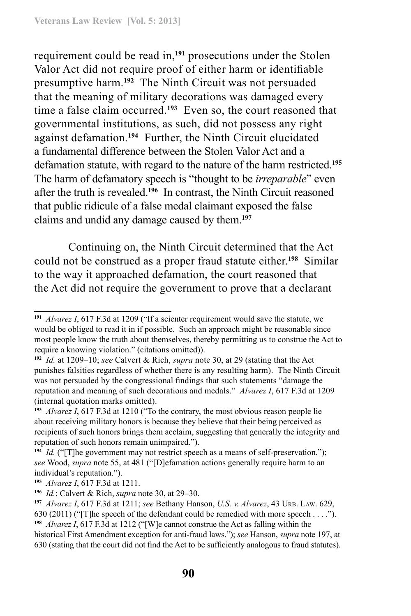requirement could be read in,**<sup>191</sup>** prosecutions under the Stolen Valor Act did not require proof of either harm or identifiable presumptive harm.**<sup>192</sup>** The Ninth Circuit was not persuaded that the meaning of military decorations was damaged every time a false claim occurred.**<sup>193</sup>** Even so, the court reasoned that governmental institutions, as such, did not possess any right against defamation.**<sup>194</sup>** Further, the Ninth Circuit elucidated a fundamental difference between the Stolen Valor Act and a defamation statute, with regard to the nature of the harm restricted.**<sup>195</sup>** The harm of defamatory speech is "thought to be *irreparable*" even after the truth is revealed.**<sup>196</sup>** In contrast, the Ninth Circuit reasoned that public ridicule of a false medal claimant exposed the false claims and undid any damage caused by them.**<sup>197</sup>**

Continuing on, the Ninth Circuit determined that the Act could not be construed as a proper fraud statute either.**<sup>198</sup>** Similar to the way it approached defamation, the court reasoned that the Act did not require the government to prove that a declarant

**<sup>198</sup>** *Alvarez I*, 617 F.3d at 1212 ("[W]e cannot construe the Act as falling within the

**<sup>191</sup>** *Alvarez I*, 617 F.3d at 1209 ("If a scienter requirement would save the statute, we would be obliged to read it in if possible. Such an approach might be reasonable since most people know the truth about themselves, thereby permitting us to construe the Act to require a knowing violation." (citations omitted)).

**<sup>192</sup>** *Id.* at 1209–10; *see* Calvert & Rich, *supra* note 30, at 29 (stating that the Act punishes falsities regardless of whether there is any resulting harm). The Ninth Circuit was not persuaded by the congressional findings that such statements "damage the reputation and meaning of such decorations and medals." *Alvarez I*, 617 F.3d at 1209 (internal quotation marks omitted).

**<sup>193</sup>** *Alvarez I*, 617 F.3d at 1210 ("To the contrary, the most obvious reason people lie about receiving military honors is because they believe that their being perceived as recipients of such honors brings them acclaim, suggesting that generally the integrity and reputation of such honors remain unimpaired.").

**<sup>194</sup>** *Id.* ("[T]he government may not restrict speech as a means of self-preservation."); *see* Wood, *supra* note 55, at 481 ("[D]efamation actions generally require harm to an individual's reputation.").

**<sup>195</sup>** *Alvarez I*, 617 F.3d at 1211.

**<sup>196</sup>** *Id.*; Calvert & Rich, *supra* note 30, at 29–30.

**<sup>197</sup>** *Alvarez I*, 617 F.3d at 1211; *see* Bethany Hanson, *U.S. v. Alvarez*, 43 Urb. Law. 629, 630 (2011) ("[T]he speech of the defendant could be remedied with more speech . . . .").

historical First Amendment exception for anti-fraud laws."); *see* Hanson, *supra* note 197, at 630 (stating that the court did not find the Act to be sufficiently analogous to fraud statutes).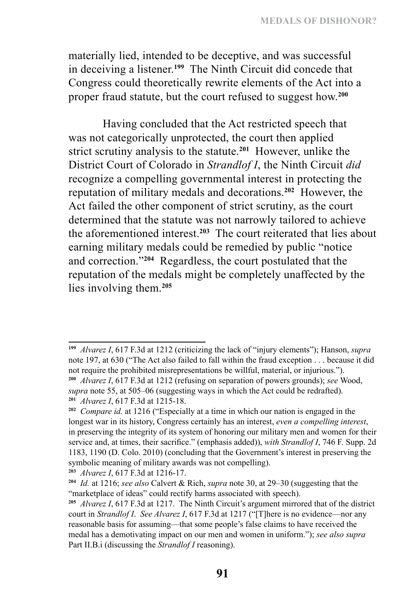materially lied, intended to be deceptive, and was successful in deceiving a listener.**<sup>199</sup>** The Ninth Circuit did concede that Congress could theoretically rewrite elements of the Act into a proper fraud statute, but the court refused to suggest how.**<sup>200</sup>**

Having concluded that the Act restricted speech that was not categorically unprotected, the court then applied strict scrutiny analysis to the statute.**<sup>201</sup>** However, unlike the District Court of Colorado in *Strandlof I*, the Ninth Circuit *did*  recognize a compelling governmental interest in protecting the reputation of military medals and decorations.**<sup>202</sup>** However, the Act failed the other component of strict scrutiny, as the court determined that the statute was not narrowly tailored to achieve the aforementioned interest.**<sup>203</sup>** The court reiterated that lies about earning military medals could be remedied by public "notice and correction."**<sup>204</sup>** Regardless, the court postulated that the reputation of the medals might be completely unaffected by the lies involving them.**<sup>205</sup>**

**<sup>199</sup>** *Alvarez I*, 617 F.3d at 1212 (criticizing the lack of "injury elements"); Hanson, *supra*  note 197, at 630 ("The Act also failed to fall within the fraud exception . . . because it did not require the prohibited misrepresentations be willful, material, or injurious."). **<sup>200</sup>** *Alvarez I*, 617 F.3d at 1212 (refusing on separation of powers grounds); *see* Wood,

*supra* note 55, at 505–06 (suggesting ways in which the Act could be redrafted). **<sup>201</sup>** *Alvarez I*, 617 F.3d at 1215-18.

**<sup>202</sup>** *Compare id.* at 1216 ("Especially at a time in which our nation is engaged in the longest war in its history, Congress certainly has an interest, *even a compelling interest*, in preserving the integrity of its system of honoring our military men and women for their service and, at times, their sacrifice." (emphasis added)), *with Strandlof I*, 746 F. Supp. 2d 1183, 1190 (D. Colo. 2010) (concluding that the Government's interest in preserving the symbolic meaning of military awards was not compelling).

**<sup>203</sup>** *Alvarez I*, 617 F.3d at 1216-17.

**<sup>204</sup>** *Id.* at 1216; *see also* Calvert & Rich, *supra* note 30, at 29–30 (suggesting that the "marketplace of ideas" could rectify harms associated with speech).

**<sup>205</sup>** *Alvarez I*, 617 F.3d at 1217. The Ninth Circuit's argument mirrored that of the district court in *Strandlof I*. *See Alvarez I*, 617 F.3d at 1217 ("[T]here is no evidence—nor any reasonable basis for assuming—that some people's false claims to have received the medal has a demotivating impact on our men and women in uniform."); *see also supra*  Part II.B.i (discussing the *Strandlof I* reasoning).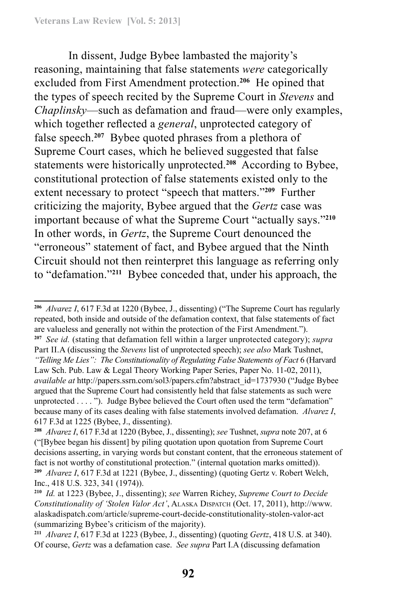In dissent, Judge Bybee lambasted the majority's reasoning, maintaining that false statements *were* categorically excluded from First Amendment protection.**<sup>206</sup>** He opined that the types of speech recited by the Supreme Court in *Stevens* and *Chaplinsky*—such as defamation and fraud—were only examples, which together reflected a *general*, unprotected category of false speech.**<sup>207</sup>** Bybee quoted phrases from a plethora of Supreme Court cases, which he believed suggested that false statements were historically unprotected.**<sup>208</sup>** According to Bybee, constitutional protection of false statements existed only to the extent necessary to protect "speech that matters."**<sup>209</sup>** Further criticizing the majority, Bybee argued that the *Gertz* case was important because of what the Supreme Court "actually says."**<sup>210</sup>** In other words, in *Gertz*, the Supreme Court denounced the "erroneous" statement of fact, and Bybee argued that the Ninth Circuit should not then reinterpret this language as referring only to "defamation."**<sup>211</sup>** Bybee conceded that, under his approach, the

**<sup>207</sup>** *See id.* (stating that defamation fell within a larger unprotected category); *supra*  Part II.A (discussing the *Stevens* list of unprotected speech); *see also* Mark Tushnet, *"Telling Me Lies": The Constitutionality of Regulating False Statements of Fact* 6 (Harvard

**<sup>206</sup>** *Alvarez I*, 617 F.3d at 1220 (Bybee, J., dissenting) ("The Supreme Court has regularly repeated, both inside and outside of the defamation context, that false statements of fact are valueless and generally not within the protection of the First Amendment.").

Law Sch. Pub. Law & Legal Theory Working Paper Series, Paper No. 11-02, 2011), *available at* http://papers.ssrn.com/sol3/papers.cfm?abstract\_id=1737930 ("Judge Bybee argued that the Supreme Court had consistently held that false statements as such were unprotected . . . . "). Judge Bybee believed the Court often used the term "defamation" because many of its cases dealing with false statements involved defamation. *Alvarez I*, 617 F.3d at 1225 (Bybee, J., dissenting).

**<sup>208</sup>** *Alvarez I*, 617 F.3d at 1220 (Bybee, J., dissenting); *see* Tushnet, *supra* note 207, at 6 ("[Bybee began his dissent] by piling quotation upon quotation from Supreme Court decisions asserting, in varying words but constant content, that the erroneous statement of fact is not worthy of constitutional protection." (internal quotation marks omitted)). **<sup>209</sup>** *Alvarez I*, 617 F.3d at 1221 (Bybee, J., dissenting) (quoting Gertz v. Robert Welch, Inc., 418 U.S. 323, 341 (1974)).

**<sup>210</sup>** *Id.* at 1223 (Bybee, J., dissenting); *see* Warren Richey, *Supreme Court to Decide Constitutionality of 'Stolen Valor Act'*, Alaska Dispatch (Oct. 17, 2011), http://www. alaskadispatch.com/article/supreme-court-decide-constitutionality-stolen-valor-act (summarizing Bybee's criticism of the majority).

**<sup>211</sup>** *Alvarez I*, 617 F.3d at 1223 (Bybee, J., dissenting) (quoting *Gertz*, 418 U.S. at 340). Of course, *Gertz* was a defamation case. *See supra* Part I.A (discussing defamation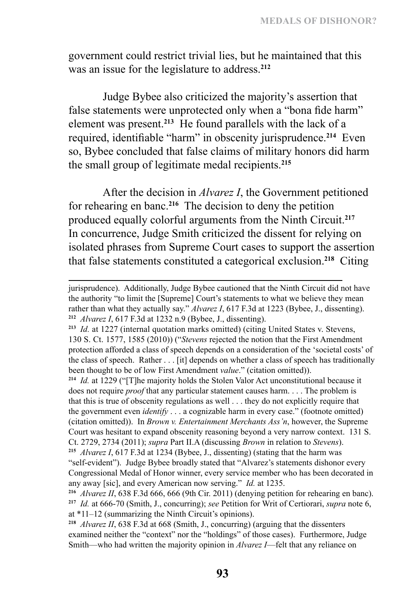government could restrict trivial lies, but he maintained that this was an issue for the legislature to address.**<sup>212</sup>**

Judge Bybee also criticized the majority's assertion that false statements were unprotected only when a "bona fide harm" element was present.**<sup>213</sup>** He found parallels with the lack of a required, identifiable "harm" in obscenity jurisprudence.**<sup>214</sup>** Even so, Bybee concluded that false claims of military honors did harm the small group of legitimate medal recipients.**<sup>215</sup>**

After the decision in *Alvarez I*, the Government petitioned for rehearing en banc.**<sup>216</sup>** The decision to deny the petition produced equally colorful arguments from the Ninth Circuit.**<sup>217</sup>** In concurrence, Judge Smith criticized the dissent for relying on isolated phrases from Supreme Court cases to support the assertion that false statements constituted a categorical exclusion.**<sup>218</sup>** Citing

**<sup>214</sup>** *Id.* at 1229 ("[T]he majority holds the Stolen Valor Act unconstitutional because it does not require *proof* that any particular statement causes harm. . . . The problem is that this is true of obscenity regulations as well . . . they do not explicitly require that the government even *identify* . . . a cognizable harm in every case." (footnote omitted) (citation omitted)). In *Brown v. Entertainment Merchants Ass'n*, however, the Supreme Court was hesitant to expand obscenity reasoning beyond a very narrow context. 131 S. Ct. 2729, 2734 (2011); *supra* Part II.A (discussing *Brown* in relation to *Stevens*).

**<sup>215</sup>** *Alvarez I*, 617 F.3d at 1234 (Bybee, J., dissenting) (stating that the harm was "self-evident"). Judge Bybee broadly stated that "Alvarez's statements dishonor every Congressional Medal of Honor winner, every service member who has been decorated in any away [sic], and every American now serving." *Id.* at 1235.

jurisprudence). Additionally, Judge Bybee cautioned that the Ninth Circuit did not have the authority "to limit the [Supreme] Court's statements to what we believe they mean rather than what they actually say." *Alvarez I*, 617 F.3d at 1223 (Bybee, J., dissenting). **<sup>212</sup>** *Alvarez I*, 617 F.3d at 1232 n.9 (Bybee, J., dissenting).

**<sup>213</sup>** *Id.* at 1227 (internal quotation marks omitted) (citing United States v. Stevens, 130 S. Ct. 1577, 1585 (2010)) ("*Stevens* rejected the notion that the First Amendment protection afforded a class of speech depends on a consideration of the 'societal costs' of the class of speech. Rather . . . [it] depends on whether a class of speech has traditionally been thought to be of low First Amendment *value*." (citation omitted)).

**<sup>216</sup>** *Alvarez II*, 638 F.3d 666, 666 (9th Cir. 2011) (denying petition for rehearing en banc). **<sup>217</sup>** *Id.* at 666-70 (Smith, J., concurring); *see* Petition for Writ of Certiorari, *supra* note 6, at \*11–12 (summarizing the Ninth Circuit's opinions).

**<sup>218</sup>** *Alvarez II*, 638 F.3d at 668 (Smith, J., concurring) (arguing that the dissenters examined neither the "context" nor the "holdings" of those cases). Furthermore, Judge Smith—who had written the majority opinion in *Alvarez I*—felt that any reliance on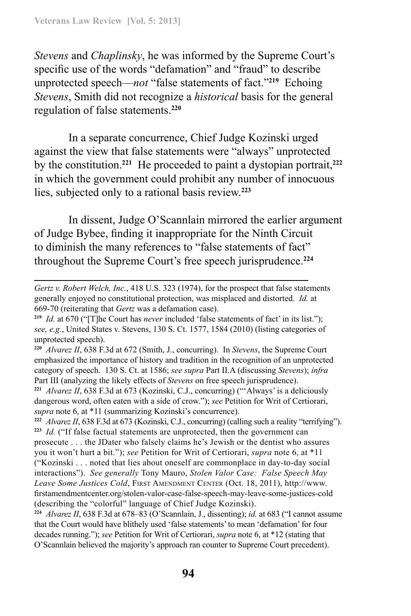*Stevens* and *Chaplinsky*, he was informed by the Supreme Court's specific use of the words "defamation" and "fraud" to describe unprotected speech—*not* "false statements of fact."**<sup>219</sup>** Echoing *Stevens*, Smith did not recognize a *historical* basis for the general regulation of false statements.**<sup>220</sup>**

In a separate concurrence, Chief Judge Kozinski urged against the view that false statements were "always" unprotected by the constitution.**<sup>221</sup>** He proceeded to paint a dystopian portrait,**<sup>222</sup>** in which the government could prohibit any number of innocuous lies, subjected only to a rational basis review.**<sup>223</sup>**

In dissent, Judge O'Scannlain mirrored the earlier argument of Judge Bybee, finding it inappropriate for the Ninth Circuit to diminish the many references to "false statements of fact" throughout the Supreme Court's free speech jurisprudence.**<sup>224</sup>**

*Gertz v. Robert Welch, Inc.*, 418 U.S. 323 (1974), for the prospect that false statements generally enjoyed no constitutional protection, was misplaced and distorted. *Id.* at 669-70 (reiterating that *Gertz* was a defamation case).

**<sup>219</sup>** *Id.* at 670 ("[T]he Court has *never* included 'false statements of fact' in its list."); *see, e.g.*, United States v. Stevens, 130 S. Ct. 1577, 1584 (2010) (listing categories of unprotected speech).

**<sup>220</sup>** *Alvarez II*, 638 F.3d at 672 (Smith, J., concurring). In *Stevens*, the Supreme Court emphasized the importance of history and tradition in the recognition of an unprotected category of speech. 130 S. Ct. at 1586; *see supra* Part II.A (discussing *Stevens*); *infra*  Part III (analyzing the likely effects of *Stevens* on free speech jurisprudence).

**<sup>221</sup>** *Alvarez II*, 638 F.3d at 673 (Kozinski, C.J., concurring) ("'Always' is a deliciously dangerous word, often eaten with a side of crow."); *see* Petition for Writ of Certiorari, *supra* note 6, at \*11 (summarizing Kozinski's concurrence).

**<sup>222</sup>** *Alvarez II*, 638 F.3d at 673 (Kozinski, C.J., concurring) (calling such a reality "terrifying"). **<sup>223</sup>** *Id.* ("If false factual statements are unprotected, then the government can prosecute . . . the JDater who falsely claims he's Jewish or the dentist who assures you it won't hurt a bit."); *see* Petition for Writ of Certiorari, *supra* note 6, at \*11 ("Kozinski . . . noted that lies about oneself are commonplace in day-to-day social interactions"). *See generally* Tony Mauro, *Stolen Valor Case: False Speech May*  Leave Some Justices Cold, FIRST AMENDMENT CENTER (Oct. 18, 2011), http://www. firstamendmentcenter.org/stolen-valor-case-false-speech-may-leave-some-justices-cold (describing the "colorful" language of Chief Judge Kozinski).

**<sup>224</sup>** *Alvarez II*, 638 F.3d at 678–83 (O'Scannlain, J., dissenting); *id.* at 683 ("I cannot assume that the Court would have blithely used 'false statements' to mean 'defamation' for four decades running."); *see* Petition for Writ of Certiorari, *supra* note 6, at \*12 (stating that O'Scannlain believed the majority's approach ran counter to Supreme Court precedent).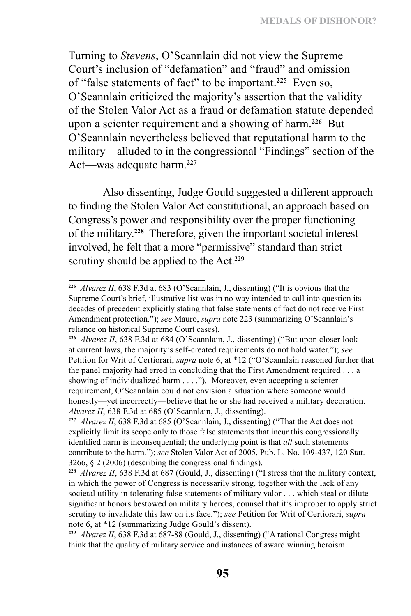Turning to *Stevens*, O'Scannlain did not view the Supreme Court's inclusion of "defamation" and "fraud" and omission of "false statements of fact" to be important.**<sup>225</sup>** Even so, O'Scannlain criticized the majority's assertion that the validity of the Stolen Valor Act as a fraud or defamation statute depended upon a scienter requirement and a showing of harm.**<sup>226</sup>** But O'Scannlain nevertheless believed that reputational harm to the military—alluded to in the congressional "Findings" section of the Act—was adequate harm.**<sup>227</sup>**

Also dissenting, Judge Gould suggested a different approach to finding the Stolen Valor Act constitutional, an approach based on Congress's power and responsibility over the proper functioning of the military.**<sup>228</sup>** Therefore, given the important societal interest involved, he felt that a more "permissive" standard than strict scrutiny should be applied to the Act.**<sup>229</sup>**

**<sup>225</sup>** *Alvarez II*, 638 F.3d at 683 (O'Scannlain, J., dissenting) ("It is obvious that the Supreme Court's brief, illustrative list was in no way intended to call into question its decades of precedent explicitly stating that false statements of fact do not receive First Amendment protection."); *see* Mauro, *supra* note 223 (summarizing O'Scannlain's reliance on historical Supreme Court cases).

**<sup>226</sup>** *Alvarez II*, 638 F.3d at 684 (O'Scannlain, J., dissenting) ("But upon closer look at current laws, the majority's self-created requirements do not hold water."); *see*  Petition for Writ of Certiorari, *supra* note 6, at \*12 ("O'Scannlain reasoned further that the panel majority had erred in concluding that the First Amendment required . . . a showing of individualized harm . . . ."). Moreover, even accepting a scienter requirement, O'Scannlain could not envision a situation where someone would honestly—yet incorrectly—believe that he or she had received a military decoration. *Alvarez II*, 638 F.3d at 685 (O'Scannlain, J., dissenting).

**<sup>227</sup>** *Alvarez II*, 638 F.3d at 685 (O'Scannlain, J., dissenting) ("That the Act does not explicitly limit its scope only to those false statements that incur this congressionally identified harm is inconsequential; the underlying point is that *all* such statements contribute to the harm."); *see* Stolen Valor Act of 2005, Pub. L. No. 109-437, 120 Stat. 3266, § 2 (2006) (describing the congressional findings).

**<sup>228</sup>** *Alvarez II*, 638 F.3d at 687 (Gould, J., dissenting) ("I stress that the military context, in which the power of Congress is necessarily strong, together with the lack of any societal utility in tolerating false statements of military valor . . . which steal or dilute significant honors bestowed on military heroes, counsel that it's improper to apply strict scrutiny to invalidate this law on its face."); *see* Petition for Writ of Certiorari, *supra* note 6, at \*12 (summarizing Judge Gould's dissent).

**<sup>229</sup>** *Alvarez II*, 638 F.3d at 687-88 (Gould, J., dissenting) ("A rational Congress might think that the quality of military service and instances of award winning heroism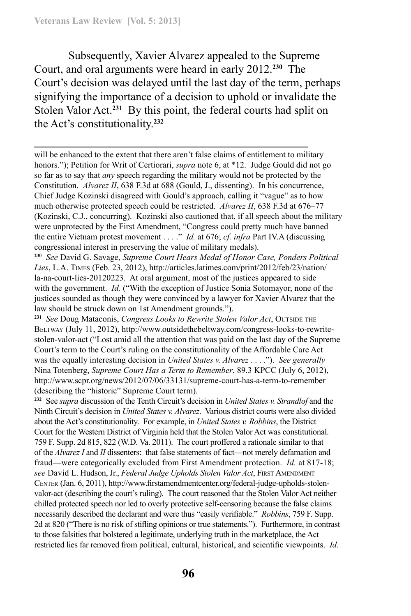Subsequently, Xavier Alvarez appealed to the Supreme Court, and oral arguments were heard in early 2012.**<sup>230</sup>** The Court's decision was delayed until the last day of the term, perhaps signifying the importance of a decision to uphold or invalidate the Stolen Valor Act.**<sup>231</sup>** By this point, the federal courts had split on the Act's constitutionality.**<sup>232</sup>**

**<sup>230</sup>** *See* David G. Savage, *Supreme Court Hears Medal of Honor Case, Ponders Political Lies*, L.A. Times (Feb. 23, 2012), http://articles.latimes.com/print/2012/feb/23/nation/ la-na-court-lies-20120223. At oral argument, most of the justices appeared to side with the government. *Id.* ("With the exception of Justice Sonia Sotomayor, none of the justices sounded as though they were convinced by a lawyer for Xavier Alvarez that the law should be struck down on 1st Amendment grounds.").

<sup>231</sup> *See Doug Mataconis, Congress Looks to Rewrite Stolen Valor Act, Outside the* Beltway (July 11, 2012), http://www.outsidethebeltway.com/congress-looks-to-rewritestolen-valor-act ("Lost amid all the attention that was paid on the last day of the Supreme Court's term to the Court's ruling on the constitutionality of the Affordable Care Act was the equally interesting decision in *United States v. Alvarez* . . . ."). *See generally*  Nina Totenberg, *Supreme Court Has a Term to Remember*, 89.3 KPCC (July 6, 2012), http://www.scpr.org/news/2012/07/06/33131/supreme-court-has-a-term-to-remember (describing the "historic" Supreme Court term).

**<sup>232</sup>** See *supra* discussion of the Tenth Circuit's decision in *United States v. Strandlof* and the Ninth Circuit's decision in *United States v. Alvarez*. Various district courts were also divided about the Act's constitutionality. For example, in *United States v. Robbins*, the District Court for the Western District of Virginia held that the Stolen Valor Act was constitutional. 759 F. Supp. 2d 815, 822 (W.D. Va. 2011). The court proffered a rationale similar to that of the *Alvarez I* and *II* dissenters: that false statements of fact—not merely defamation and fraud—were categorically excluded from First Amendment protection. *Id.* at 817-18; see David L. Hudson, Jr., *Federal Judge Upholds Stolen Valor Act*, FIRST AMENDMENT CENTER (Jan. 6, 2011), http://www.firstamendmentcenter.org/federal-judge-upholds-stolenvalor-act (describing the court's ruling). The court reasoned that the Stolen Valor Act neither chilled protected speech nor led to overly protective self-censoring because the false claims necessarily described the declarant and were thus "easily verifiable." *Robbins*, 759 F. Supp. 2d at 820 ("There is no risk of stifling opinions or true statements."). Furthermore, in contrast to those falsities that bolstered a legitimate, underlying truth in the marketplace, the Act restricted lies far removed from political, cultural, historical, and scientific viewpoints. *Id.*

will be enhanced to the extent that there aren't false claims of entitlement to military honors."); Petition for Writ of Certiorari, *supra* note 6, at \*12. Judge Gould did not go so far as to say that *any* speech regarding the military would not be protected by the Constitution. *Alvarez II*, 638 F.3d at 688 (Gould, J., dissenting). In his concurrence, Chief Judge Kozinski disagreed with Gould's approach, calling it "vague" as to how much otherwise protected speech could be restricted. *Alvarez II*, 638 F.3d at 676–77 (Kozinski, C.J., concurring). Kozinski also cautioned that, if all speech about the military were unprotected by the First Amendment, "Congress could pretty much have banned the entire Vietnam protest movement . . . ." *Id.* at 676; *cf. infra* Part IV.A (discussing congressional interest in preserving the value of military medals).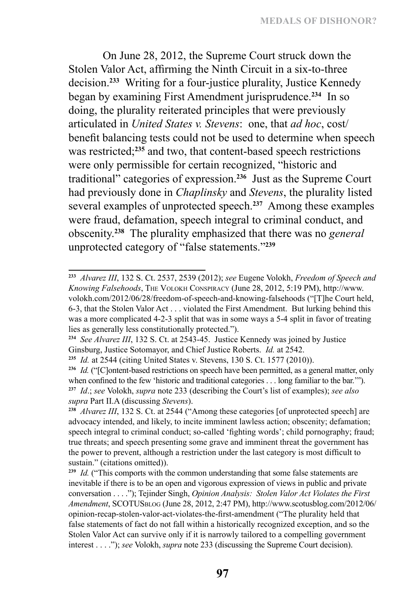On June 28, 2012, the Supreme Court struck down the Stolen Valor Act, affirming the Ninth Circuit in a six-to-three decision.**<sup>233</sup>** Writing for a four-justice plurality, Justice Kennedy began by examining First Amendment jurisprudence.**<sup>234</sup>** In so doing, the plurality reiterated principles that were previously articulated in *United States v. Stevens*: one, that *ad hoc*, cost/ benefit balancing tests could not be used to determine when speech was restricted;**<sup>235</sup>** and two, that content-based speech restrictions were only permissible for certain recognized, "historic and traditional" categories of expression.**<sup>236</sup>** Just as the Supreme Court had previously done in *Chaplinsky* and *Stevens*, the plurality listed several examples of unprotected speech.**<sup>237</sup>** Among these examples were fraud, defamation, speech integral to criminal conduct, and obscenity.**<sup>238</sup>** The plurality emphasized that there was no *general* unprotected category of "false statements."**<sup>239</sup>**

**<sup>233</sup>** *Alvarez III*, 132 S. Ct. 2537, 2539 (2012); *see* Eugene Volokh, *Freedom of Speech and Knowing Falsehoods*, The Volokh Conspiracy (June 28, 2012, 5:19 PM), http://www. volokh.com/2012/06/28/freedom-of-speech-and-knowing-falsehoods ("[T]he Court held, 6-3, that the Stolen Valor Act . . . violated the First Amendment. But lurking behind this was a more complicated 4-2-3 split that was in some ways a 5-4 split in favor of treating lies as generally less constitutionally protected.").

**<sup>234</sup>** *See Alvarez III*, 132 S. Ct. at 2543-45. Justice Kennedy was joined by Justice Ginsburg, Justice Sotomayor, and Chief Justice Roberts. *Id.* at 2542.

**<sup>235</sup>** *Id.* at 2544 (citing United States v. Stevens, 130 S. Ct. 1577 (2010)).

**<sup>236</sup>** *Id.* ("[C]ontent-based restrictions on speech have been permitted, as a general matter, only when confined to the few 'historic and traditional categories . . . long familiar to the bar.'"). **<sup>237</sup>** *Id*.; *see* Volokh, *supra* note 233 (describing the Court's list of examples); *see also supra* Part II.A (discussing *Stevens*).

**<sup>238</sup>** *Alvarez III*, 132 S. Ct. at 2544 ("Among these categories [of unprotected speech] are advocacy intended, and likely, to incite imminent lawless action; obscenity; defamation; speech integral to criminal conduct; so-called 'fighting words'; child pornography; fraud; true threats; and speech presenting some grave and imminent threat the government has the power to prevent, although a restriction under the last category is most difficult to sustain." (citations omitted)).

**<sup>239</sup>** *Id.* ("This comports with the common understanding that some false statements are inevitable if there is to be an open and vigorous expression of views in public and private conversation . . . ."); Tejinder Singh, *Opinion Analysis: Stolen Valor Act Violates the First Amendment*, SCOTUSblog (June 28, 2012, 2:47 PM), http://www.scotusblog.com/2012/06/ opinion-recap-stolen-valor-act-violates-the-first-amendment ("The plurality held that false statements of fact do not fall within a historically recognized exception, and so the Stolen Valor Act can survive only if it is narrowly tailored to a compelling government interest . . . ."); *see* Volokh, *supra* note 233 (discussing the Supreme Court decision).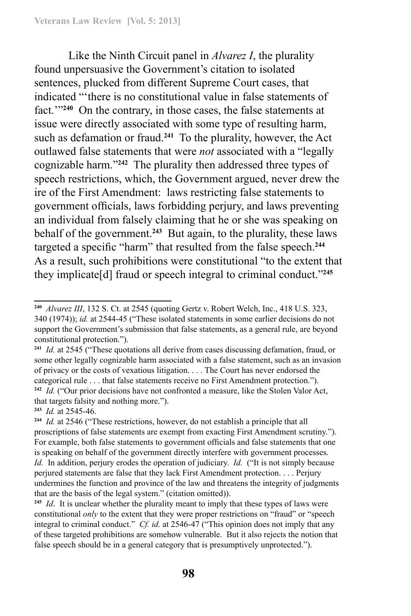Like the Ninth Circuit panel in *Alvarez I*, the plurality found unpersuasive the Government's citation to isolated sentences, plucked from different Supreme Court cases, that indicated "'there is no constitutional value in false statements of fact.'"**<sup>240</sup>** On the contrary, in those cases, the false statements at issue were directly associated with some type of resulting harm, such as defamation or fraud.**<sup>241</sup>** To the plurality, however, the Act outlawed false statements that were *not* associated with a "legally cognizable harm."**<sup>242</sup>** The plurality then addressed three types of speech restrictions, which, the Government argued, never drew the ire of the First Amendment: laws restricting false statements to government officials, laws forbidding perjury, and laws preventing an individual from falsely claiming that he or she was speaking on behalf of the government.**<sup>243</sup>** But again, to the plurality, these laws targeted a specific "harm" that resulted from the false speech.**<sup>244</sup>** As a result, such prohibitions were constitutional "to the extent that they implicate[d] fraud or speech integral to criminal conduct."**<sup>245</sup>**

**<sup>243</sup>** *Id.* at 2545-46.

**<sup>240</sup>** *Alvarez III*, 132 S. Ct. at 2545 (quoting Gertz v. Robert Welch, Inc., 418 U.S. 323, 340 (1974)); *id.* at 2544-45 ("These isolated statements in some earlier decisions do not support the Government's submission that false statements, as a general rule, are beyond constitutional protection.").

**<sup>241</sup>** *Id.* at 2545 ("These quotations all derive from cases discussing defamation, fraud, or some other legally cognizable harm associated with a false statement, such as an invasion of privacy or the costs of vexatious litigation. . . . The Court has never endorsed the categorical rule . . . that false statements receive no First Amendment protection."). **<sup>242</sup>** *Id.* ("Our prior decisions have not confronted a measure, like the Stolen Valor Act, that targets falsity and nothing more.").

**<sup>244</sup>** *Id.* at 2546 ("These restrictions, however, do not establish a principle that all proscriptions of false statements are exempt from exacting First Amendment scrutiny."). For example, both false statements to government officials and false statements that one is speaking on behalf of the government directly interfere with government processes. *Id.* In addition, perjury erodes the operation of judiciary. *Id.* ("It is not simply because perjured statements are false that they lack First Amendment protection. . . . Perjury undermines the function and province of the law and threatens the integrity of judgments that are the basis of the legal system." (citation omitted)).

<sup>&</sup>lt;sup>245</sup> *Id.* It is unclear whether the plurality meant to imply that these types of laws were constitutional *only* to the extent that they were proper restrictions on "fraud" or "speech integral to criminal conduct." *Cf. id.* at 2546-47 ("This opinion does not imply that any of these targeted prohibitions are somehow vulnerable. But it also rejects the notion that false speech should be in a general category that is presumptively unprotected.").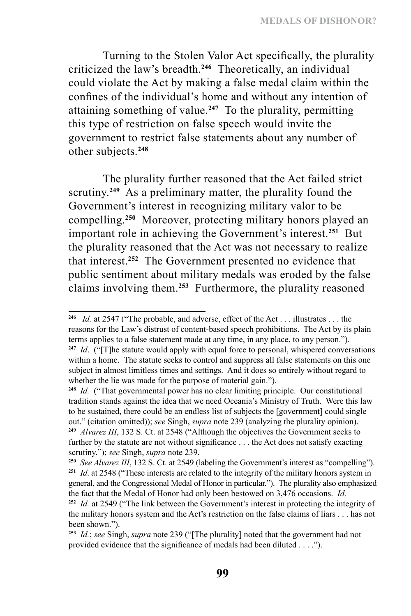**MEDALS OF DISHONOR?**

Turning to the Stolen Valor Act specifically, the plurality criticized the law's breadth.**<sup>246</sup>** Theoretically, an individual could violate the Act by making a false medal claim within the confines of the individual's home and without any intention of attaining something of value.**<sup>247</sup>** To the plurality, permitting this type of restriction on false speech would invite the government to restrict false statements about any number of other subjects.**<sup>248</sup>**

The plurality further reasoned that the Act failed strict scrutiny.<sup>249</sup> As a preliminary matter, the plurality found the Government's interest in recognizing military valor to be compelling.**<sup>250</sup>** Moreover, protecting military honors played an important role in achieving the Government's interest.**<sup>251</sup>** But the plurality reasoned that the Act was not necessary to realize that interest.**<sup>252</sup>** The Government presented no evidence that public sentiment about military medals was eroded by the false claims involving them.**<sup>253</sup>** Furthermore, the plurality reasoned

**<sup>246</sup>** *Id.* at 2547 ("The probable, and adverse, effect of the Act . . . illustrates . . . the reasons for the Law's distrust of content-based speech prohibitions. The Act by its plain terms applies to a false statement made at any time, in any place, to any person.").

**<sup>247</sup>** *Id*. ("[T]he statute would apply with equal force to personal, whispered conversations within a home. The statute seeks to control and suppress all false statements on this one subject in almost limitless times and settings. And it does so entirely without regard to whether the lie was made for the purpose of material gain.").

**<sup>248</sup>** *Id.* ("That governmental power has no clear limiting principle. Our constitutional tradition stands against the idea that we need Oceania's Ministry of Truth. Were this law to be sustained, there could be an endless list of subjects the [government] could single out." (citation omitted)); *see* Singh, *supra* note 239 (analyzing the plurality opinion). **<sup>249</sup>** *Alvarez III*, 132 S. Ct. at 2548 ("Although the objectives the Government seeks to further by the statute are not without significance . . . the Act does not satisfy exacting scrutiny."); *see* Singh, *supra* note 239.

**<sup>250</sup>** *See Alvarez III*, 132 S. Ct. at 2549 (labeling the Government's interest as "compelling"). **<sup>251</sup>** *Id*. at 2548 ("These interests are related to the integrity of the military honors system in general, and the Congressional Medal of Honor in particular."). The plurality also emphasized the fact that the Medal of Honor had only been bestowed on 3,476 occasions. *Id.*

**<sup>252</sup>** *Id.* at 2549 ("The link between the Government's interest in protecting the integrity of the military honors system and the Act's restriction on the false claims of liars . . . has not been shown.").

**<sup>253</sup>** *Id.*; *see* Singh, *supra* note 239 ("[The plurality] noted that the government had not provided evidence that the significance of medals had been diluted . . . .").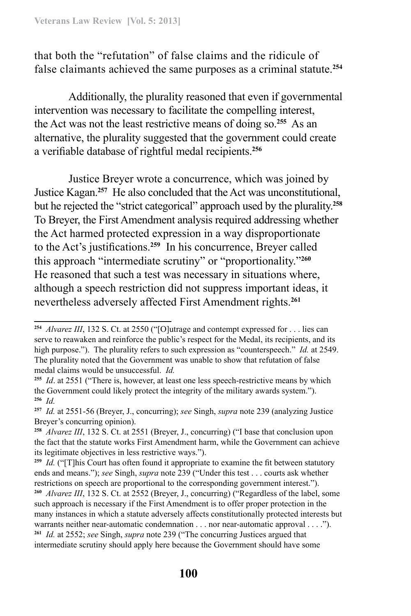that both the "refutation" of false claims and the ridicule of false claimants achieved the same purposes as a criminal statute.**<sup>254</sup>**

Additionally, the plurality reasoned that even if governmental intervention was necessary to facilitate the compelling interest, the Act was not the least restrictive means of doing so.**<sup>255</sup>** As an alternative, the plurality suggested that the government could create a verifiable database of rightful medal recipients.**<sup>256</sup>**

Justice Breyer wrote a concurrence, which was joined by Justice Kagan.**<sup>257</sup>** He also concluded that the Act was unconstitutional, but he rejected the "strict categorical" approach used by the plurality.**<sup>258</sup>** To Breyer, the First Amendment analysis required addressing whether the Act harmed protected expression in a way disproportionate to the Act's justifications.**<sup>259</sup>** In his concurrence, Breyer called this approach "intermediate scrutiny" or "proportionality."**<sup>260</sup>** He reasoned that such a test was necessary in situations where, although a speech restriction did not suppress important ideas, it nevertheless adversely affected First Amendment rights.**<sup>261</sup>**

**<sup>254</sup>** *Alvarez III*, 132 S. Ct. at 2550 ("[O]utrage and contempt expressed for . . . lies can serve to reawaken and reinforce the public's respect for the Medal, its recipients, and its high purpose."). The plurality refers to such expression as "counterspeech." *Id.* at 2549. The plurality noted that the Government was unable to show that refutation of false medal claims would be unsuccessful. *Id.*

**<sup>255</sup>** *Id*. at 2551 ("There is, however, at least one less speech-restrictive means by which the Government could likely protect the integrity of the military awards system."). **<sup>256</sup>** *Id.*

**<sup>257</sup>** *Id.* at 2551-56 (Breyer, J., concurring); *see* Singh, *supra* note 239 (analyzing Justice Breyer's concurring opinion).

**<sup>258</sup>** *Alvarez III*, 132 S. Ct. at 2551 (Breyer, J., concurring) ("I base that conclusion upon the fact that the statute works First Amendment harm, while the Government can achieve its legitimate objectives in less restrictive ways.").

**<sup>259</sup>** *Id.* ("[T]his Court has often found it appropriate to examine the fit between statutory ends and means."); *see* Singh, *supra* note 239 ("Under this test . . . courts ask whether restrictions on speech are proportional to the corresponding government interest."). **<sup>260</sup>** *Alvarez III*, 132 S. Ct. at 2552 (Breyer, J., concurring) ("Regardless of the label, some such approach is necessary if the First Amendment is to offer proper protection in the many instances in which a statute adversely affects constitutionally protected interests but warrants neither near-automatic condemnation . . . nor near-automatic approval . . . ."). **<sup>261</sup>** *Id.* at 2552; *see* Singh, *supra* note 239 ("The concurring Justices argued that intermediate scrutiny should apply here because the Government should have some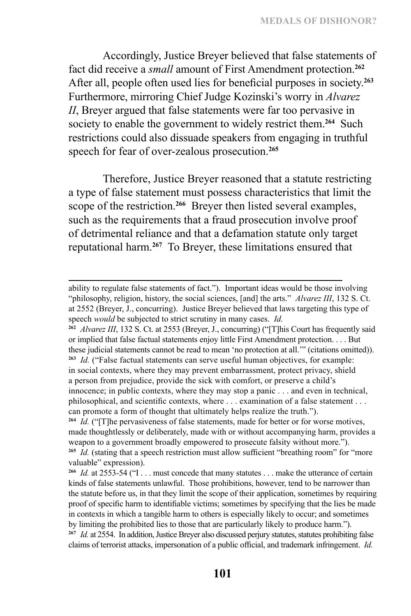Accordingly, Justice Breyer believed that false statements of fact did receive a *small* amount of First Amendment protection.**<sup>262</sup>** After all, people often used lies for beneficial purposes in society.**<sup>263</sup>** Furthermore, mirroring Chief Judge Kozinski's worry in *Alvarez II*, Breyer argued that false statements were far too pervasive in society to enable the government to widely restrict them.**<sup>264</sup>** Such restrictions could also dissuade speakers from engaging in truthful speech for fear of over-zealous prosecution.**<sup>265</sup>**

Therefore, Justice Breyer reasoned that a statute restricting a type of false statement must possess characteristics that limit the scope of the restriction.**<sup>266</sup>** Breyer then listed several examples, such as the requirements that a fraud prosecution involve proof of detrimental reliance and that a defamation statute only target reputational harm.**<sup>267</sup>** To Breyer, these limitations ensured that

**<sup>262</sup>** *Alvarez III*, 132 S. Ct. at 2553 (Breyer, J., concurring) ("[T]his Court has frequently said or implied that false factual statements enjoy little First Amendment protection. . . . But these judicial statements cannot be read to mean 'no protection at all.'" (citations omitted)). **<sup>263</sup>** *Id.* ("False factual statements can serve useful human objectives, for example: in social contexts, where they may prevent embarrassment, protect privacy, shield a person from prejudice, provide the sick with comfort, or preserve a child's innocence; in public contexts, where they may stop a panic . . . and even in technical, philosophical, and scientific contexts, where . . . examination of a false statement . . . can promote a form of thought that ultimately helps realize the truth.").

ability to regulate false statements of fact."). Important ideas would be those involving "philosophy, religion, history, the social sciences, [and] the arts." *Alvarez III*, 132 S. Ct. at 2552 (Breyer, J., concurring). Justice Breyer believed that laws targeting this type of speech *would* be subjected to strict scrutiny in many cases. *Id.*

**<sup>264</sup>** *Id.* ("[T]he pervasiveness of false statements, made for better or for worse motives, made thoughtlessly or deliberately, made with or without accompanying harm, provides a weapon to a government broadly empowered to prosecute falsity without more."). **<sup>265</sup>** *Id.* (stating that a speech restriction must allow sufficient "breathing room" for "more valuable" expression).

**<sup>266</sup>** *Id.* at 2553-54 ("I . . . must concede that many statutes . . . make the utterance of certain kinds of false statements unlawful. Those prohibitions, however, tend to be narrower than the statute before us, in that they limit the scope of their application, sometimes by requiring proof of specific harm to identifiable victims; sometimes by specifying that the lies be made in contexts in which a tangible harm to others is especially likely to occur; and sometimes by limiting the prohibited lies to those that are particularly likely to produce harm."). **<sup>267</sup>** *Id.* at 2554. In addition, Justice Breyer also discussed perjury statutes, statutes prohibiting false claims of terrorist attacks, impersonation of a public official, and trademark infringement. *Id.*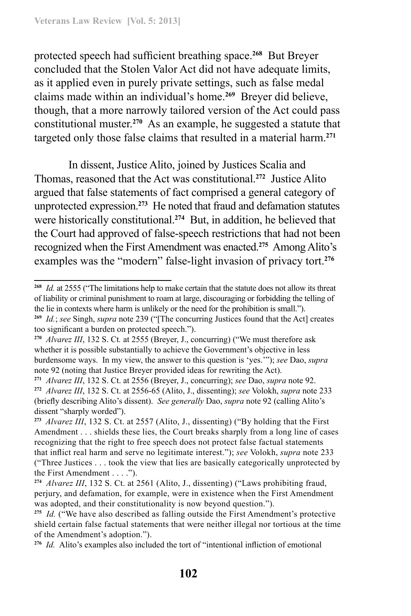protected speech had sufficient breathing space.**<sup>268</sup>** But Breyer concluded that the Stolen Valor Act did not have adequate limits, as it applied even in purely private settings, such as false medal claims made within an individual's home.**<sup>269</sup>** Breyer did believe, though, that a more narrowly tailored version of the Act could pass constitutional muster.**<sup>270</sup>** As an example, he suggested a statute that targeted only those false claims that resulted in a material harm.**<sup>271</sup>**

In dissent, Justice Alito, joined by Justices Scalia and Thomas, reasoned that the Act was constitutional.**<sup>272</sup>** Justice Alito argued that false statements of fact comprised a general category of unprotected expression.**<sup>273</sup>** He noted that fraud and defamation statutes were historically constitutional.**<sup>274</sup>** But, in addition, he believed that the Court had approved of false-speech restrictions that had not been recognized when the First Amendment was enacted.**<sup>275</sup>** Among Alito's examples was the "modern" false-light invasion of privacy tort.**<sup>276</sup>**

**<sup>268</sup>** *Id.* at 2555 ("The limitations help to make certain that the statute does not allow its threat of liability or criminal punishment to roam at large, discouraging or forbidding the telling of the lie in contexts where harm is unlikely or the need for the prohibition is small.").

**<sup>269</sup>** *Id.*; *see* Singh, *supra* note 239 ("[The concurring Justices found that the Act] creates too significant a burden on protected speech.").

**<sup>270</sup>** *Alvarez III*, 132 S. Ct*.* at 2555 (Breyer, J., concurring) ("We must therefore ask whether it is possible substantially to achieve the Government's objective in less burdensome ways. In my view, the answer to this question is 'yes.'"); *see* Dao, *supra* note 92 (noting that Justice Breyer provided ideas for rewriting the Act).

**<sup>271</sup>** *Alvarez III*, 132 S. Ct. at 2556 (Breyer, J., concurring); *see* Dao, *supra* note 92. **<sup>272</sup>** *Alvarez III*, 132 S. Ct. at 2556-65 (Alito, J., dissenting); *see* Volokh, *supra* note 233 (briefly describing Alito's dissent). *See generally* Dao, *supra* note 92 (calling Alito's dissent "sharply worded").

**<sup>273</sup>** *Alvarez III*, 132 S. Ct. at 2557 (Alito, J., dissenting) ("By holding that the First Amendment . . . shields these lies, the Court breaks sharply from a long line of cases recognizing that the right to free speech does not protect false factual statements that inflict real harm and serve no legitimate interest."); *see* Volokh, *supra* note 233 ("Three Justices . . . took the view that lies are basically categorically unprotected by the First Amendment . . . .").

**<sup>274</sup>** *Alvarez III*, 132 S. Ct. at 2561 (Alito, J., dissenting) ("Laws prohibiting fraud, perjury, and defamation, for example, were in existence when the First Amendment was adopted, and their constitutionality is now beyond question.").

**<sup>275</sup>** *Id.* ("We have also described as falling outside the First Amendment's protective shield certain false factual statements that were neither illegal nor tortious at the time of the Amendment's adoption.").

**<sup>276</sup>** *Id.* Alito's examples also included the tort of "intentional infliction of emotional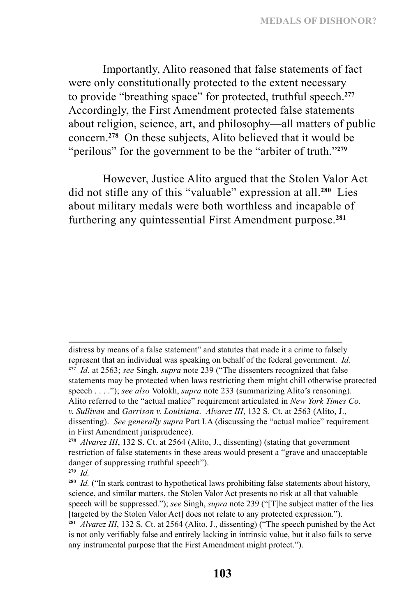Importantly, Alito reasoned that false statements of fact were only constitutionally protected to the extent necessary to provide "breathing space" for protected, truthful speech.**<sup>277</sup>** Accordingly, the First Amendment protected false statements about religion, science, art, and philosophy—all matters of public concern.**<sup>278</sup>** On these subjects, Alito believed that it would be "perilous" for the government to be the "arbiter of truth."**<sup>279</sup>**

However, Justice Alito argued that the Stolen Valor Act did not stifle any of this "valuable" expression at all.**<sup>280</sup>** Lies about military medals were both worthless and incapable of furthering any quintessential First Amendment purpose.**<sup>281</sup>**

distress by means of a false statement" and statutes that made it a crime to falsely represent that an individual was speaking on behalf of the federal government. *Id.* **<sup>277</sup>** *Id.* at 2563; *see* Singh, *supra* note 239 ("The dissenters recognized that false statements may be protected when laws restricting them might chill otherwise protected speech . . . ."); *see also* Volokh, *supra* note 233 (summarizing Alito's reasoning). Alito referred to the "actual malice" requirement articulated in *New York Times Co. v. Sullivan* and *Garrison v. Louisiana*. *Alvarez III*, 132 S. Ct. at 2563 (Alito, J., dissenting). *See generally supra* Part I.A (discussing the "actual malice" requirement in First Amendment jurisprudence).

**<sup>278</sup>** *Alvarez III*, 132 S. Ct. at 2564 (Alito, J., dissenting) (stating that government restriction of false statements in these areas would present a "grave and unacceptable danger of suppressing truthful speech").

**<sup>279</sup>** *Id.*

**<sup>280</sup>** *Id.* ("In stark contrast to hypothetical laws prohibiting false statements about history, science, and similar matters, the Stolen Valor Act presents no risk at all that valuable speech will be suppressed."); *see* Singh, *supra* note 239 ("[T]he subject matter of the lies [targeted by the Stolen Valor Act] does not relate to any protected expression.").

**<sup>281</sup>** *Alvarez III*, 132 S. Ct. at 2564 (Alito, J., dissenting) ("The speech punished by the Act is not only verifiably false and entirely lacking in intrinsic value, but it also fails to serve any instrumental purpose that the First Amendment might protect.").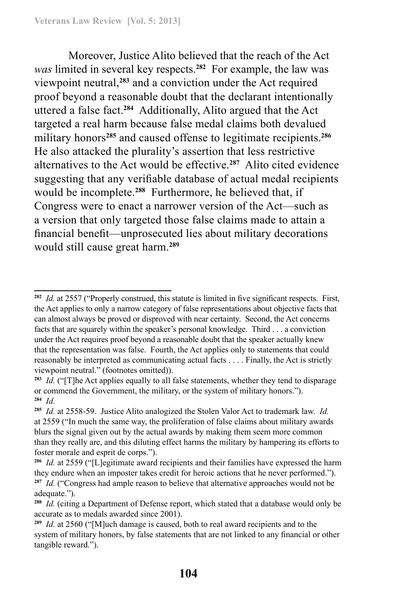Moreover, Justice Alito believed that the reach of the Act *was* limited in several key respects.**<sup>282</sup>** For example, the law was viewpoint neutral,**<sup>283</sup>** and a conviction under the Act required proof beyond a reasonable doubt that the declarant intentionally uttered a false fact.**<sup>284</sup>** Additionally, Alito argued that the Act targeted a real harm because false medal claims both devalued military honors**<sup>285</sup>** and caused offense to legitimate recipients.**<sup>286</sup>** He also attacked the plurality's assertion that less restrictive alternatives to the Act would be effective.**<sup>287</sup>** Alito cited evidence suggesting that any verifiable database of actual medal recipients would be incomplete.**<sup>288</sup>** Furthermore, he believed that, if Congress were to enact a narrower version of the Act—such as a version that only targeted those false claims made to attain a financial benefit—unprosecuted lies about military decorations would still cause great harm.**<sup>289</sup>**

**<sup>282</sup>** *Id.* at 2557 ("Properly construed, this statute is limited in five significant respects. First, the Act applies to only a narrow category of false representations about objective facts that can almost always be proved or disproved with near certainty. Second, the Act concerns facts that are squarely within the speaker's personal knowledge. Third . . . a conviction under the Act requires proof beyond a reasonable doubt that the speaker actually knew that the representation was false. Fourth, the Act applies only to statements that could reasonably be interpreted as communicating actual facts . . . . Finally, the Act is strictly viewpoint neutral." (footnotes omitted)).

**<sup>283</sup>** *Id.* ("[T]he Act applies equally to all false statements, whether they tend to disparage or commend the Government, the military, or the system of military honors."). **<sup>284</sup>** *Id.*

**<sup>285</sup>** *Id.* at 2558-59. Justice Alito analogized the Stolen Valor Act to trademark law. *Id.*  at 2559 ("In much the same way, the proliferation of false claims about military awards blurs the signal given out by the actual awards by making them seem more common than they really are, and this diluting effect harms the military by hampering its efforts to foster morale and esprit de corps.").

**<sup>286</sup>** *Id.* at 2559 ("[L]egitimate award recipients and their families have expressed the harm they endure when an imposter takes credit for heroic actions that he never performed."). **<sup>287</sup>** *Id.* ("Congress had ample reason to believe that alternative approaches would not be adequate.").

**<sup>288</sup>** *Id.* (citing a Department of Defense report, which stated that a database would only be accurate as to medals awarded since 2001).

**<sup>289</sup>** *Id.* at 2560 ("[M]uch damage is caused, both to real award recipients and to the system of military honors, by false statements that are not linked to any financial or other tangible reward.").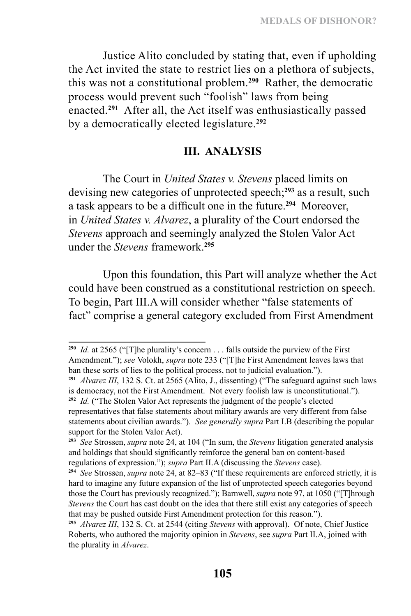Justice Alito concluded by stating that, even if upholding the Act invited the state to restrict lies on a plethora of subjects, this was not a constitutional problem.**<sup>290</sup>** Rather, the democratic process would prevent such "foolish" laws from being enacted.**<sup>291</sup>** After all, the Act itself was enthusiastically passed by a democratically elected legislature.**<sup>292</sup>**

### **III. ANALYSIS**

The Court in *United States v. Stevens* placed limits on devising new categories of unprotected speech;**<sup>293</sup>** as a result, such a task appears to be a difficult one in the future.**<sup>294</sup>** Moreover, in *United States v. Alvarez*, a plurality of the Court endorsed the *Stevens* approach and seemingly analyzed the Stolen Valor Act under the *Stevens* framework.**<sup>295</sup>**

Upon this foundation, this Part will analyze whether the Act could have been construed as a constitutional restriction on speech. To begin, Part III.A will consider whether "false statements of fact" comprise a general category excluded from First Amendment

**<sup>290</sup>** *Id.* at 2565 ("[T]he plurality's concern . . . falls outside the purview of the First Amendment."); *see* Volokh, *supra* note 233 ("[T]he First Amendment leaves laws that ban these sorts of lies to the political process, not to judicial evaluation.").

**<sup>291</sup>** *Alvarez III*, 132 S. Ct. at 2565 (Alito, J., dissenting) ("The safeguard against such laws is democracy, not the First Amendment. Not every foolish law is unconstitutional.").

**<sup>292</sup>** *Id.* ("The Stolen Valor Act represents the judgment of the people's elected representatives that false statements about military awards are very different from false statements about civilian awards."). *See generally supra* Part I.B (describing the popular support for the Stolen Valor Act).

**<sup>293</sup>** *See* Strossen, *supra* note 24, at 104 ("In sum, the *Stevens* litigation generated analysis and holdings that should significantly reinforce the general ban on content-based regulations of expression."); *supra* Part II.A (discussing the *Stevens* case).

**<sup>294</sup>** *See* Strossen, *supra* note 24, at 82–83 ("If these requirements are enforced strictly, it is hard to imagine any future expansion of the list of unprotected speech categories beyond those the Court has previously recognized."); Barnwell, *supra* note 97, at 1050 ("[T]hrough *Stevens* the Court has cast doubt on the idea that there still exist any categories of speech that may be pushed outside First Amendment protection for this reason.").

**<sup>295</sup>** *Alvarez III*, 132 S. Ct. at 2544 (citing *Stevens* with approval). Of note, Chief Justice Roberts, who authored the majority opinion in *Stevens*, see *supra* Part II.A, joined with the plurality in *Alvarez*.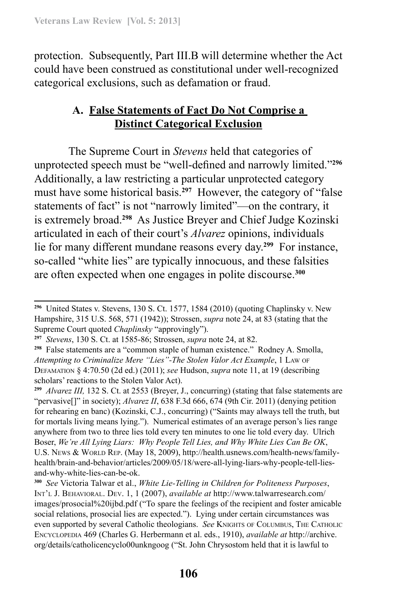protection. Subsequently, Part III.B will determine whether the Act could have been construed as constitutional under well-recognized categorical exclusions, such as defamation or fraud.

## **A. False Statements of Fact Do Not Comprise a Distinct Categorical Exclusion**

The Supreme Court in *Stevens* held that categories of unprotected speech must be "well-defined and narrowly limited."**<sup>296</sup>** Additionally, a law restricting a particular unprotected category must have some historical basis.**<sup>297</sup>** However, the category of "false statements of fact" is not "narrowly limited"—on the contrary, it is extremely broad.**<sup>298</sup>** As Justice Breyer and Chief Judge Kozinski articulated in each of their court's *Alvarez* opinions, individuals lie for many different mundane reasons every day.**<sup>299</sup>** For instance, so-called "white lies" are typically innocuous, and these falsities are often expected when one engages in polite discourse.**<sup>300</sup>**

**<sup>296</sup>** United States v. Stevens, 130 S. Ct. 1577, 1584 (2010) (quoting Chaplinsky v. New Hampshire, 315 U.S. 568, 571 (1942)); Strossen, *supra* note 24, at 83 (stating that the Supreme Court quoted *Chaplinsky* "approvingly").

**<sup>297</sup>** *Stevens*, 130 S. Ct. at 1585-86; Strossen, *supra* note 24, at 82.

**<sup>298</sup>** False statements are a "common staple of human existence." Rodney A. Smolla, *Attempting to Criminalize Mere "Lies"-The Stolen Valor Act Example*, 1 Law of Defamation § 4:70.50 (2d ed.) (2011); *see* Hudson, *supra* note 11, at 19 (describing scholars' reactions to the Stolen Valor Act).

**<sup>299</sup>** *Alvarez III,* 132 S. Ct. at 2553 (Breyer, J., concurring) (stating that false statements are "pervasive[]" in society); *Alvarez II*, 638 F.3d 666, 674 (9th Cir. 2011) (denying petition for rehearing en banc) (Kozinski, C.J., concurring) ("Saints may always tell the truth, but for mortals living means lying."). Numerical estimates of an average person's lies range anywhere from two to three lies told every ten minutes to one lie told every day. Ulrich Boser, *We're All Lying Liars: Why People Tell Lies, and Why White Lies Can Be OK*, U.S. News & WORLD REP. (May 18, 2009), http://health.usnews.com/health-news/familyhealth/brain-and-behavior/articles/2009/05/18/were-all-lying-liars-why-people-tell-liesand-why-white-lies-can-be-ok.

**<sup>300</sup>** *See* Victoria Talwar et al., *White Lie-Telling in Children for Politeness Purposes*, Int'l J. Behavioral. Dev. 1, 1 (2007), *available at* http://www.talwarresearch.com/ images/prosocial%20ijbd.pdf ("To spare the feelings of the recipient and foster amicable social relations, prosocial lies are expected."). Lying under certain circumstances was even supported by several Catholic theologians. *See* Knights of Columbus, The Catholic Encyclopedia 469 (Charles G. Herbermann et al. eds., 1910), *available at* http://archive. org/details/catholicencyclo00unkngoog ("St. John Chrysostom held that it is lawful to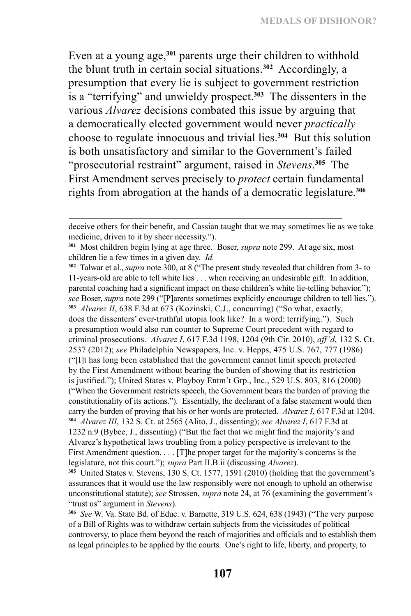Even at a young age,**<sup>301</sup>** parents urge their children to withhold the blunt truth in certain social situations.**<sup>302</sup>** Accordingly, a presumption that every lie is subject to government restriction is a "terrifying" and unwieldy prospect.**<sup>303</sup>** The dissenters in the various *Alvarez* decisions combated this issue by arguing that a democratically elected government would never *practically* choose to regulate innocuous and trivial lies.**<sup>304</sup>** But this solution is both unsatisfactory and similar to the Government's failed "prosecutorial restraint" argument, raised in *Stevens*. **<sup>305</sup>** The First Amendment serves precisely to *protect* certain fundamental rights from abrogation at the hands of a democratic legislature.**<sup>306</sup>**

**<sup>302</sup>** Talwar et al., *supra* note 300, at 8 ("The present study revealed that children from 3- to 11-years-old are able to tell white lies . . . when receiving an undesirable gift. In addition, parental coaching had a significant impact on these children's white lie-telling behavior."); *see* Boser, *supra* note 299 ("[P]arents sometimes explicitly encourage children to tell lies."). **<sup>303</sup>** *Alvarez II*, 638 F.3d at 673 (Kozinski, C.J., concurring) ("So what, exactly, does the dissenters' ever-truthful utopia look like? In a word: terrifying."). Such a presumption would also run counter to Supreme Court precedent with regard to criminal prosecutions. *Alvarez I*, 617 F.3d 1198, 1204 (9th Cir. 2010), *aff'd*, 132 S. Ct. 2537 (2012); *see* Philadelphia Newspapers, Inc. v. Hepps, 475 U.S. 767, 777 (1986) ("[I]t has long been established that the government cannot limit speech protected by the First Amendment without bearing the burden of showing that its restriction is justified."); United States v. Playboy Entm't Grp., Inc., 529 U.S. 803, 816 (2000) ("When the Government restricts speech, the Government bears the burden of proving the constitutionality of its actions."). Essentially, the declarant of a false statement would then carry the burden of proving that his or her words are protected. *Alvarez I*, 617 F.3d at 1204. **<sup>304</sup>** *Alvarez III*, 132 S. Ct. at 2565 (Alito, J., dissenting); *see Alvarez I*, 617 F.3d at 1232 n.9 (Bybee, J., dissenting) ("But the fact that we might find the majority's and Alvarez's hypothetical laws troubling from a policy perspective is irrelevant to the First Amendment question. . . . [T]he proper target for the majority's concerns is the legislature, not this court."); *supra* Part II.B.ii (discussing *Alvarez*).

**<sup>305</sup>** United States v. Stevens, 130 S. Ct. 1577, 1591 (2010) (holding that the government's assurances that it would use the law responsibly were not enough to uphold an otherwise unconstitutional statute); *see* Strossen, *supra* note 24, at 76 (examining the government's "trust us" argument in *Stevens*).

**<sup>306</sup>** *See* W. Va. State Bd. of Educ. v. Barnette, 319 U.S. 624, 638 (1943) ("The very purpose of a Bill of Rights was to withdraw certain subjects from the vicissitudes of political controversy, to place them beyond the reach of majorities and officials and to establish them as legal principles to be applied by the courts. One's right to life, liberty, and property, to

deceive others for their benefit, and Cassian taught that we may sometimes lie as we take medicine, driven to it by sheer necessity.").

**<sup>301</sup>** Most children begin lying at age three. Boser, *supra* note 299. At age six, most children lie a few times in a given day. *Id.*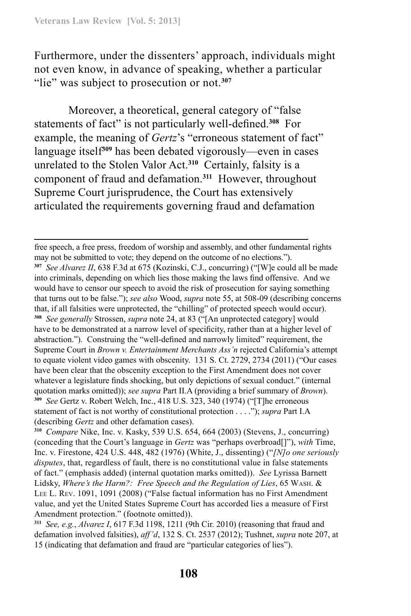Furthermore, under the dissenters' approach, individuals might not even know, in advance of speaking, whether a particular "lie" was subject to prosecution or not.**<sup>307</sup>**

Moreover, a theoretical, general category of "false statements of fact" is not particularly well-defined.**<sup>308</sup>** For example, the meaning of *Gertz*'s "erroneous statement of fact" language itself**<sup>309</sup>** has been debated vigorously—even in cases unrelated to the Stolen Valor Act.**<sup>310</sup>** Certainly, falsity is a component of fraud and defamation.**<sup>311</sup>** However, throughout Supreme Court jurisprudence, the Court has extensively articulated the requirements governing fraud and defamation

**<sup>310</sup>** *Compare* Nike, Inc. v. Kasky, 539 U.S. 654, 664 (2003) (Stevens, J., concurring) (conceding that the Court's language in *Gertz* was "perhaps overbroad[]"), *with* Time, Inc. v. Firestone, 424 U.S. 448, 482 (1976) (White, J., dissenting) ("*[N]o one seriously disputes*, that, regardless of fault, there is no constitutional value in false statements of fact." (emphasis added) (internal quotation marks omitted)). *See* Lyrissa Barnett Lidsky, *Where's the Harm?: Free Speech and the Regulation of Lies*, 65 Wash. & Lee L. Rev. 1091, 1091 (2008) ("False factual information has no First Amendment value, and yet the United States Supreme Court has accorded lies a measure of First Amendment protection." (footnote omitted)).

free speech, a free press, freedom of worship and assembly, and other fundamental rights may not be submitted to vote; they depend on the outcome of no elections."). **<sup>307</sup>** *See Alvarez II*, 638 F.3d at 675 (Kozinski, C.J., concurring) ("[W]e could all be made into criminals, depending on which lies those making the laws find offensive. And we would have to censor our speech to avoid the risk of prosecution for saying something that turns out to be false."); *see also* Wood, *supra* note 55, at 508-09 (describing concerns that, if all falsities were unprotected, the "chilling" of protected speech would occur). **<sup>308</sup>** *See generally* Strossen, *supra* note 24, at 83 ("[An unprotected category] would have to be demonstrated at a narrow level of specificity, rather than at a higher level of abstraction."). Construing the "well-defined and narrowly limited" requirement, the Supreme Court in *Brown v. Entertainment Merchants Ass'n* rejected California's attempt to equate violent video games with obscenity. 131 S. Ct. 2729, 2734 (2011) ("Our cases have been clear that the obscenity exception to the First Amendment does not cover whatever a legislature finds shocking, but only depictions of sexual conduct." (internal quotation marks omitted)); *see supra* Part II.A (providing a brief summary of *Brown*). **<sup>309</sup>** *See* Gertz v. Robert Welch, Inc., 418 U.S. 323, 340 (1974) ("[T]he erroneous statement of fact is not worthy of constitutional protection . . . ."); *supra* Part I.A (describing *Gertz* and other defamation cases).

**<sup>311</sup>** *See, e.g.*, *Alvarez I*, 617 F.3d 1198, 1211 (9th Cir. 2010) (reasoning that fraud and defamation involved falsities), *aff'd*, 132 S. Ct. 2537 (2012); Tushnet, *supra* note 207, at 15 (indicating that defamation and fraud are "particular categories of lies").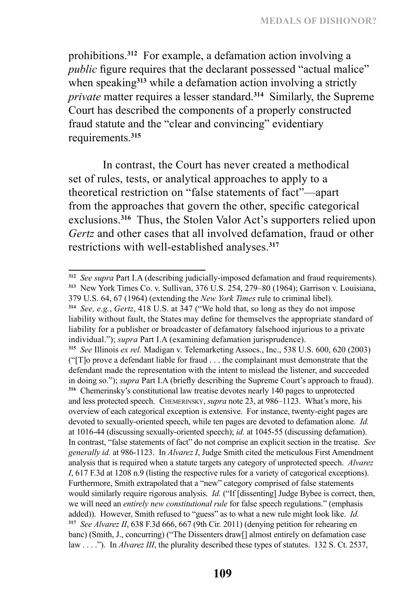prohibitions.**<sup>312</sup>** For example, a defamation action involving a *public* figure requires that the declarant possessed "actual malice" when speaking**<sup>313</sup>** while a defamation action involving a strictly *private* matter requires a lesser standard.**<sup>314</sup>** Similarly, the Supreme Court has described the components of a properly constructed fraud statute and the "clear and convincing" evidentiary requirements.**<sup>315</sup>**

In contrast, the Court has never created a methodical set of rules, tests, or analytical approaches to apply to a theoretical restriction on "false statements of fact"—apart from the approaches that govern the other, specific categorical exclusions.**<sup>316</sup>** Thus, the Stolen Valor Act's supporters relied upon *Gertz* and other cases that all involved defamation, fraud or other restrictions with well-established analyses.**<sup>317</sup>**

**<sup>315</sup>** *See* Illinois *ex rel.* Madigan v. Telemarketing Assocs., Inc., 538 U.S. 600, 620 (2003) ("[T]o prove a defendant liable for fraud . . . the complainant must demonstrate that the defendant made the representation with the intent to mislead the listener, and succeeded in doing so."); *supra* Part I.A (briefly describing the Supreme Court's approach to fraud). **<sup>316</sup>** Chemerinsky's constitutional law treatise devotes nearly 140 pages to unprotected and less protected speech. Chemerinsky, *supra* note 23, at 986–1123. What's more, his overview of each categorical exception is extensive. For instance, twenty-eight pages are devoted to sexually-oriented speech, while ten pages are devoted to defamation alone. *Id.*  at 1016-44 (discussing sexually-oriented speech); *id.* at 1045-55 (discussing defamation). In contrast, "false statements of fact" do not comprise an explicit section in the treatise. *See generally id.* at 986-1123. In *Alvarez I*, Judge Smith cited the meticulous First Amendment analysis that is required when a statute targets any category of unprotected speech. *Alvarez I*, 617 F.3d at 1208 n.9 (listing the respective rules for a variety of categorical exceptions). Furthermore, Smith extrapolated that a "new" category comprised of false statements would similarly require rigorous analysis. *Id.* ("If [dissenting] Judge Bybee is correct, then, we will need an *entirely new constitutional rule* for false speech regulations." (emphasis added)). However, Smith refused to "guess" as to what a new rule might look like. *Id.* **<sup>317</sup>** *See Alvarez II*, 638 F.3d 666, 667 (9th Cir. 2011) (denying petition for rehearing en banc) (Smith, J., concurring) ("The Dissenters draw[] almost entirely on defamation case law . . . ."). In *Alvarez III*, the plurality described these types of statutes. 132 S. Ct. 2537,

**<sup>312</sup>** *See supra* Part I.A (describing judicially-imposed defamation and fraud requirements). **<sup>313</sup>** New York Times Co. v. Sullivan, 376 U.S. 254, 279–80 (1964); Garrison v. Louisiana, 379 U.S. 64, 67 (1964) (extending the *New York Times* rule to criminal libel).

**<sup>314</sup>** *See, e.g.*, *Gertz*, 418 U.S. at 347 ("We hold that, so long as they do not impose liability without fault, the States may define for themselves the appropriate standard of liability for a publisher or broadcaster of defamatory falsehood injurious to a private individual."); *supra* Part I.A (examining defamation jurisprudence).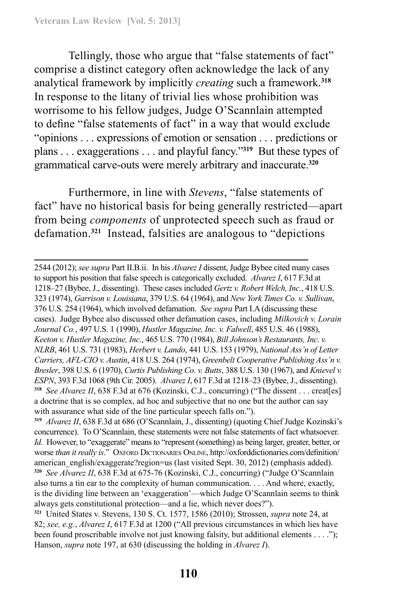Tellingly, those who argue that "false statements of fact" comprise a distinct category often acknowledge the lack of any analytical framework by implicitly *creating* such a framework.**<sup>318</sup>** In response to the litany of trivial lies whose prohibition was worrisome to his fellow judges, Judge O'Scannlain attempted to define "false statements of fact" in a way that would exclude "opinions . . . expressions of emotion or sensation . . . predictions or plans . . . exaggerations . . . and playful fancy."**<sup>319</sup>** But these types of grammatical carve-outs were merely arbitrary and inaccurate.**<sup>320</sup>**

Furthermore, in line with *Stevens*, "false statements of fact" have no historical basis for being generally restricted—apart from being *components* of unprotected speech such as fraud or defamation.**<sup>321</sup>** Instead, falsities are analogous to "depictions

2544 (2012); *see supra* Part II.B.ii. In his *Alvarez I* dissent, Judge Bybee cited many cases to support his position that false speech is categorically excluded. *Alvarez I*, 617 F.3d at 1218–27 (Bybee, J., dissenting). These cases included *Gertz v. Robert Welch, Inc.*, 418 U.S. 323 (1974), *Garrison v. Louisiana*, 379 U.S. 64 (1964), and *New York Times Co. v. Sullivan*, 376 U.S. 254 (1964), which involved defamation. *See supra* Part I.A (discussing these cases). Judge Bybee also discussed other defamation cases, including *Milkovich v. Lorain Journal Co.*, 497 U.S. 1 (1990), *Hustler Magazine, Inc. v. Falwell*, 485 U.S. 46 (1988), *Keeton v. Hustler Magazine, Inc.*, 465 U.S. 770 (1984), *Bill Johnson's Restaurants, Inc. v. NLRB*, 461 U.S. 731 (1983), *Herbert v. Lando*, 441 U.S. 153 (1979), *National Ass'n of Letter Carriers, AFL-CIO v. Austin*, 418 U.S. 264 (1974), *Greenbelt Cooperative Publishing Ass'n v. Bresler*, 398 U.S. 6 (1970), *Curtis Publishing Co. v. Butts*, 388 U.S. 130 (1967), and *Knievel v. ESPN*, 393 F.3d 1068 (9th Cir. 2005). *Alvarez I*, 617 F.3d at 1218–23 (Bybee, J., dissenting). **<sup>318</sup>** *See Alvarez II*, 638 F.3d at 676 (Kozinski, C.J., concurring) ("The dissent . . . creat[es] a doctrine that is so complex, ad hoc and subjective that no one but the author can say with assurance what side of the line particular speech falls on.").

**<sup>319</sup>** *Alvarez II*, 638 F.3d at 686 (O'Scannlain, J., dissenting) (quoting Chief Judge Kozinski's concurrence). To O'Scannlain, these statements were not false statements of fact whatsoever. *Id.* However, to "exaggerate" means to "represent (something) as being larger, greater, better, or worse *than it really is.*" OXFORD DICTIONARIES ONLINE, http://oxforddictionaries.com/definition/ american\_english/exaggerate?region=us (last visited Sept. 30, 2012) (emphasis added). **<sup>320</sup>** *See Alvarez II*, 638 F.3d at 675-76 (Kozinski, C.J., concurring) ("Judge O'Scannlain also turns a tin ear to the complexity of human communication. . . . And where, exactly, is the dividing line between an 'exaggeration'—which Judge O'Scannlain seems to think always gets constitutional protection—and a lie, which never does?").

**<sup>321</sup>** United States v. Stevens, 130 S. Ct. 1577, 1586 (2010); Strossen, *supra* note 24, at 82; *see, e.g.*, *Alvarez I*, 617 F.3d at 1200 ("All previous circumstances in which lies have been found proscribable involve not just knowing falsity, but additional elements . . . ."); Hanson, *supra* note 197, at 630 (discussing the holding in *Alvarez I*).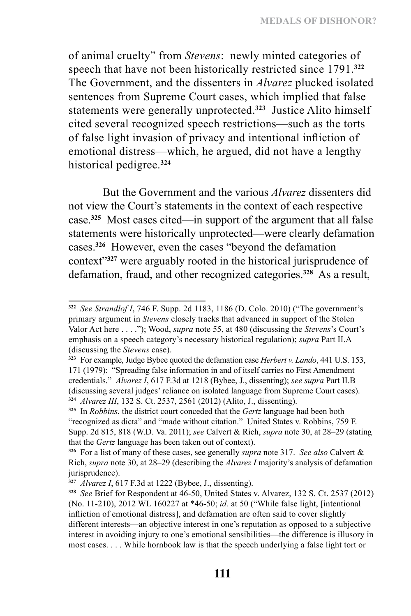of animal cruelty" from *Stevens*: newly minted categories of speech that have not been historically restricted since 1791.**<sup>322</sup>** The Government, and the dissenters in *Alvarez* plucked isolated sentences from Supreme Court cases, which implied that false statements were generally unprotected.**<sup>323</sup>** Justice Alito himself cited several recognized speech restrictions—such as the torts of false light invasion of privacy and intentional infliction of emotional distress—which, he argued, did not have a lengthy historical pedigree.**<sup>324</sup>**

But the Government and the various *Alvarez* dissenters did not view the Court's statements in the context of each respective case.**<sup>325</sup>** Most cases cited—in support of the argument that all false statements were historically unprotected—were clearly defamation cases.**<sup>326</sup>** However, even the cases "beyond the defamation context"**<sup>327</sup>** were arguably rooted in the historical jurisprudence of defamation, fraud, and other recognized categories.**<sup>328</sup>** As a result,

**<sup>322</sup>** *See Strandlof I*, 746 F. Supp. 2d 1183, 1186 (D. Colo. 2010) ("The government's primary argument in *Stevens* closely tracks that advanced in support of the Stolen Valor Act here . . . ."); Wood, *supra* note 55, at 480 (discussing the *Stevens*'s Court's emphasis on a speech category's necessary historical regulation); *supra* Part II.A (discussing the *Stevens* case).

**<sup>323</sup>** For example, Judge Bybee quoted the defamation case *Herbert v. Lando*, 441 U.S. 153, 171 (1979): "Spreading false information in and of itself carries no First Amendment credentials." *Alvarez I*, 617 F.3d at 1218 (Bybee, J., dissenting); *see supra* Part II.B (discussing several judges' reliance on isolated language from Supreme Court cases). **<sup>324</sup>** *Alvarez III*, 132 S. Ct. 2537, 2561 (2012) (Alito, J., dissenting).

**<sup>325</sup>** In *Robbins*, the district court conceded that the *Gertz* language had been both "recognized as dicta" and "made without citation." United States v. Robbins, 759 F. Supp. 2d 815, 818 (W.D. Va. 2011); *see* Calvert & Rich, *supra* note 30, at 28–29 (stating that the *Gertz* language has been taken out of context).

**<sup>326</sup>** For a list of many of these cases, see generally *supra* note 317. *See also* Calvert & Rich, *supra* note 30, at 28–29 (describing the *Alvarez I* majority's analysis of defamation jurisprudence).

**<sup>327</sup>** *Alvarez I*, 617 F.3d at 1222 (Bybee, J., dissenting).

**<sup>328</sup>** *See* Brief for Respondent at 46-50, United States v. Alvarez, 132 S. Ct. 2537 (2012) (No. 11-210), 2012 WL 160227 at \*46-50; *id.* at 50 ("While false light, [intentional infliction of emotional distress], and defamation are often said to cover slightly different interests—an objective interest in one's reputation as opposed to a subjective interest in avoiding injury to one's emotional sensibilities—the difference is illusory in most cases. . . . While hornbook law is that the speech underlying a false light tort or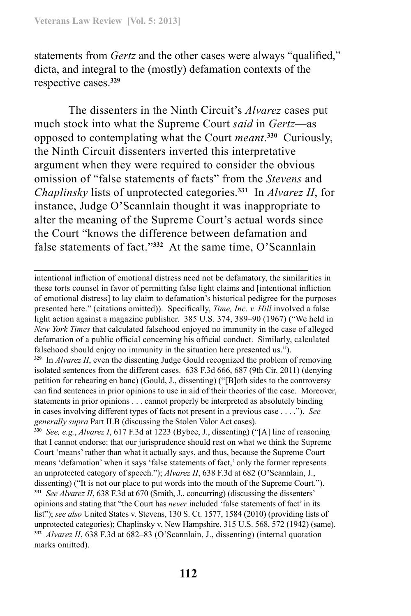statements from *Gertz* and the other cases were always "qualified," dicta, and integral to the (mostly) defamation contexts of the respective cases.**<sup>329</sup>**

The dissenters in the Ninth Circuit's *Alvarez* cases put much stock into what the Supreme Court *said* in *Gertz*—as opposed to contemplating what the Court *meant*. **<sup>330</sup>** Curiously, the Ninth Circuit dissenters inverted this interpretative argument when they were required to consider the obvious omission of "false statements of facts" from the *Stevens* and *Chaplinsky* lists of unprotected categories.**<sup>331</sup>** In *Alvarez II*, for instance, Judge O'Scannlain thought it was inappropriate to alter the meaning of the Supreme Court's actual words since the Court "knows the difference between defamation and false statements of fact."**<sup>332</sup>** At the same time, O'Scannlain

intentional infliction of emotional distress need not be defamatory, the similarities in these torts counsel in favor of permitting false light claims and [intentional infliction of emotional distress] to lay claim to defamation's historical pedigree for the purposes presented here." (citations omitted)). Specifically, *Time, Inc. v. Hill* involved a false light action against a magazine publisher. 385 U.S. 374, 389–90 (1967) ("We held in *New York Times* that calculated falsehood enjoyed no immunity in the case of alleged defamation of a public official concerning his official conduct. Similarly, calculated falsehood should enjoy no immunity in the situation here presented us.").

**<sup>329</sup>** In *Alvarez II*, even the dissenting Judge Gould recognized the problem of removing isolated sentences from the different cases. 638 F.3d 666, 687 (9th Cir. 2011) (denying petition for rehearing en banc) (Gould, J., dissenting) ("[B]oth sides to the controversy can find sentences in prior opinions to use in aid of their theories of the case. Moreover, statements in prior opinions . . . cannot properly be interpreted as absolutely binding in cases involving different types of facts not present in a previous case . . . ."). *See generally supra* Part II.B (discussing the Stolen Valor Act cases).

**<sup>330</sup>** *See, e.g.*, *Alvarez I*, 617 F.3d at 1223 (Bybee, J., dissenting) ("[A] line of reasoning that I cannot endorse: that our jurisprudence should rest on what we think the Supreme Court 'means' rather than what it actually says, and thus, because the Supreme Court means 'defamation' when it says 'false statements of fact,' only the former represents an unprotected category of speech."); *Alvarez II*, 638 F.3d at 682 (O'Scannlain, J., dissenting) ("It is not our place to put words into the mouth of the Supreme Court."). **<sup>331</sup>** *See Alvarez II*, 638 F.3d at 670 (Smith, J., concurring) (discussing the dissenters' opinions and stating that "the Court has *never* included 'false statements of fact' in its list"); *see also* United States v. Stevens, 130 S. Ct. 1577, 1584 (2010) (providing lists of unprotected categories); Chaplinsky v. New Hampshire, 315 U.S. 568, 572 (1942) (same). **<sup>332</sup>** *Alvarez II*, 638 F.3d at 682–83 (O'Scannlain, J., dissenting) (internal quotation marks omitted).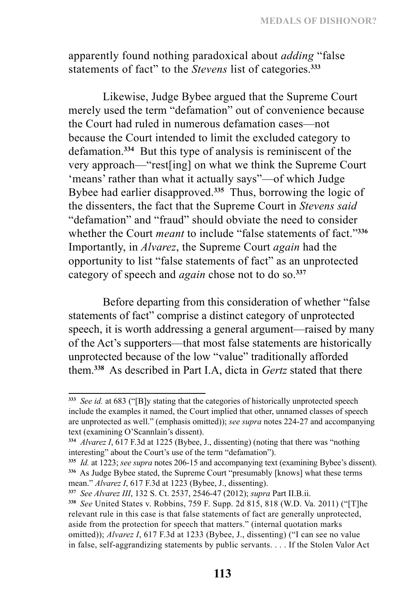apparently found nothing paradoxical about *adding* "false statements of fact" to the *Stevens* list of categories.**<sup>333</sup>**

Likewise, Judge Bybee argued that the Supreme Court merely used the term "defamation" out of convenience because the Court had ruled in numerous defamation cases—not because the Court intended to limit the excluded category to defamation.**<sup>334</sup>** But this type of analysis is reminiscent of the very approach—"rest[ing] on what we think the Supreme Court 'means' rather than what it actually says"—of which Judge Bybee had earlier disapproved.**<sup>335</sup>** Thus, borrowing the logic of the dissenters, the fact that the Supreme Court in *Stevens said* "defamation" and "fraud" should obviate the need to consider whether the Court *meant* to include "false statements of fact."**<sup>336</sup>** Importantly, in *Alvarez*, the Supreme Court *again* had the opportunity to list "false statements of fact" as an unprotected category of speech and *again* chose not to do so.**<sup>337</sup>**

Before departing from this consideration of whether "false statements of fact" comprise a distinct category of unprotected speech, it is worth addressing a general argument—raised by many of the Act's supporters—that most false statements are historically unprotected because of the low "value" traditionally afforded them.**<sup>338</sup>** As described in Part I.A, dicta in *Gertz* stated that there

**<sup>333</sup>** *See id.* at 683 ("[B]y stating that the categories of historically unprotected speech include the examples it named, the Court implied that other, unnamed classes of speech are unprotected as well." (emphasis omitted)); *see supra* notes 224-27 and accompanying text (examining O'Scannlain's dissent).

**<sup>334</sup>** *Alvarez I*, 617 F.3d at 1225 (Bybee, J., dissenting) (noting that there was "nothing interesting" about the Court's use of the term "defamation").

**<sup>335</sup>** *Id.* at 1223; *see supra* notes 206-15 and accompanying text (examining Bybee's dissent). **<sup>336</sup>** As Judge Bybee stated, the Supreme Court "presumably [knows] what these terms mean." *Alvarez I*, 617 F.3d at 1223 (Bybee, J., dissenting).

**<sup>337</sup>** *See Alvarez III*, 132 S. Ct. 2537, 2546-47 (2012); *supra* Part II.B.ii.

**<sup>338</sup>** *See* United States v. Robbins, 759 F. Supp. 2d 815, 818 (W.D. Va. 2011) ("[T]he relevant rule in this case is that false statements of fact are generally unprotected, aside from the protection for speech that matters." (internal quotation marks omitted)); *Alvarez I*, 617 F.3d at 1233 (Bybee, J., dissenting) ("I can see no value in false, self-aggrandizing statements by public servants. . . . If the Stolen Valor Act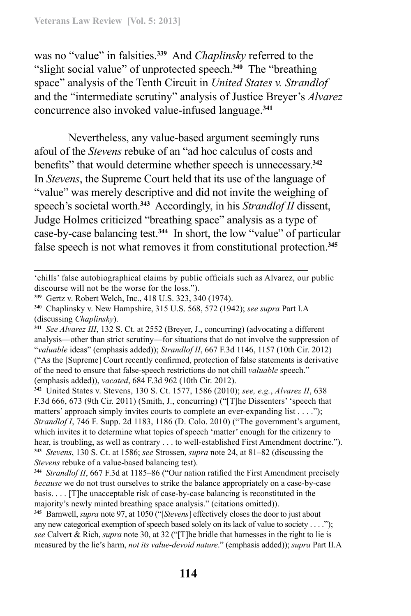was no "value" in falsities.**<sup>339</sup>** And *Chaplinsky* referred to the "slight social value" of unprotected speech.**<sup>340</sup>** The "breathing space" analysis of the Tenth Circuit in *United States v. Strandlof* and the "intermediate scrutiny" analysis of Justice Breyer's *Alvarez*  concurrence also invoked value-infused language.**<sup>341</sup>**

Nevertheless, any value-based argument seemingly runs afoul of the *Stevens* rebuke of an "ad hoc calculus of costs and benefits" that would determine whether speech is unnecessary.**<sup>342</sup>** In *Stevens*, the Supreme Court held that its use of the language of "value" was merely descriptive and did not invite the weighing of speech's societal worth.**<sup>343</sup>** Accordingly, in his *Strandlof II* dissent, Judge Holmes criticized "breathing space" analysis as a type of case-by-case balancing test.**<sup>344</sup>** In short, the low "value" of particular false speech is not what removes it from constitutional protection.**<sup>345</sup>**

**<sup>342</sup>** United States v. Stevens, 130 S. Ct. 1577, 1586 (2010); *see, e.g.*, *Alvarez II*, 638 F.3d 666, 673 (9th Cir. 2011) (Smith, J., concurring) ("[T]he Dissenters' 'speech that matters' approach simply invites courts to complete an ever-expanding list . . . ."); *Strandlof I*, 746 F. Supp. 2d 1183, 1186 (D. Colo. 2010) ("The government's argument, which invites it to determine what topics of speech 'matter' enough for the citizenry to hear, is troubling, as well as contrary . . . to well-established First Amendment doctrine."). **<sup>343</sup>** *Stevens*, 130 S. Ct. at 1586; *see* Strossen, *supra* note 24, at 81–82 (discussing the *Stevens* rebuke of a value-based balancing test).

**<sup>344</sup>** *Strandlof II*, 667 F.3d at 1185–86 ("Our nation ratified the First Amendment precisely *because* we do not trust ourselves to strike the balance appropriately on a case-by-case basis. . . . [T]he unacceptable risk of case-by-case balancing is reconstituted in the majority's newly minted breathing space analysis." (citations omitted)).

**<sup>345</sup>** Barnwell, *supra* note 97, at 1050 ("[*Stevens*] effectively closes the door to just about any new categorical exemption of speech based solely on its lack of value to society . . . ."); *see* Calvert & Rich, *supra* note 30, at 32 ("[T]he bridle that harnesses in the right to lie is measured by the lie's harm, *not its value-devoid nature*." (emphasis added)); *supra* Part II.A

<sup>&#</sup>x27;chills' false autobiographical claims by public officials such as Alvarez, our public discourse will not be the worse for the loss.").

**<sup>339</sup>** Gertz v. Robert Welch, Inc., 418 U.S. 323, 340 (1974).

**<sup>340</sup>** Chaplinsky v. New Hampshire, 315 U.S. 568, 572 (1942); *see supra* Part I.A (discussing *Chaplinsky*).

**<sup>341</sup>** *See Alvarez III*, 132 S. Ct. at 2552 (Breyer, J., concurring) (advocating a different analysis—other than strict scrutiny—for situations that do not involve the suppression of "*valuable* ideas" (emphasis added)); *Strandlof II*, 667 F.3d 1146, 1157 (10th Cir. 2012) ("As the [Supreme] Court recently confirmed, protection of false statements is derivative of the need to ensure that false-speech restrictions do not chill *valuable* speech." (emphasis added)), *vacated*, 684 F.3d 962 (10th Cir. 2012).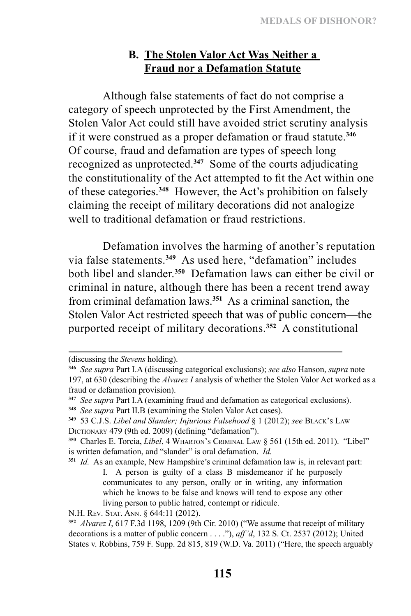# **B. The Stolen Valor Act Was Neither a Fraud nor a Defamation Statute**

Although false statements of fact do not comprise a category of speech unprotected by the First Amendment, the Stolen Valor Act could still have avoided strict scrutiny analysis if it were construed as a proper defamation or fraud statute.**<sup>346</sup>** Of course, fraud and defamation are types of speech long recognized as unprotected.**<sup>347</sup>** Some of the courts adjudicating the constitutionality of the Act attempted to fit the Act within one of these categories.**<sup>348</sup>** However, the Act's prohibition on falsely claiming the receipt of military decorations did not analogize well to traditional defamation or fraud restrictions.

Defamation involves the harming of another's reputation via false statements.**<sup>349</sup>** As used here, "defamation" includes both libel and slander.**<sup>350</sup>** Defamation laws can either be civil or criminal in nature, although there has been a recent trend away from criminal defamation laws.**<sup>351</sup>** As a criminal sanction, the Stolen Valor Act restricted speech that was of public concern—the purported receipt of military decorations.**<sup>352</sup>** A constitutional

<sup>(</sup>discussing the *Stevens* holding).

**<sup>346</sup>** *See supra* Part I.A (discussing categorical exclusions); *see also* Hanson, *supra* note 197, at 630 (describing the *Alvarez I* analysis of whether the Stolen Valor Act worked as a fraud or defamation provision).

**<sup>347</sup>** *See supra* Part I.A (examining fraud and defamation as categorical exclusions).

**<sup>348</sup>** *See supra* Part II.B (examining the Stolen Valor Act cases).

**<sup>349</sup>** 53 C.J.S. *Libel and Slander; Injurious Falsehood* § 1 (2012); *see* Black's Law DICTIONARY 479 (9th ed. 2009) (defining "defamation").

**<sup>350</sup>** Charles E. Torcia, *Libel*, 4 Wharton's Criminal Law § 561 (15th ed. 2011). "Libel" is written defamation, and "slander" is oral defamation. *Id.* 

**<sup>351</sup>** *Id.* As an example, New Hampshire's criminal defamation law is, in relevant part: I. A person is guilty of a class B misdemeanor if he purposely communicates to any person, orally or in writing, any information which he knows to be false and knows will tend to expose any other living person to public hatred, contempt or ridicule.

N.H. Rev. Stat. Ann. § 644:11 (2012).

**<sup>352</sup>** *Alvarez I*, 617 F.3d 1198, 1209 (9th Cir. 2010) ("We assume that receipt of military decorations is a matter of public concern . . . ."), *aff'd*, 132 S. Ct. 2537 (2012); United States v. Robbins, 759 F. Supp. 2d 815, 819 (W.D. Va. 2011) ("Here, the speech arguably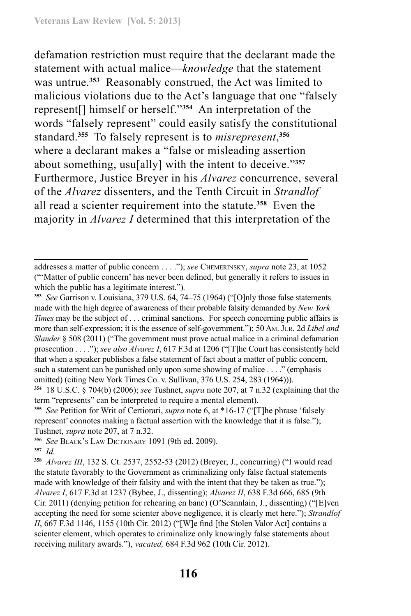defamation restriction must require that the declarant made the statement with actual malice—*knowledge* that the statement was untrue.**<sup>353</sup>** Reasonably construed, the Act was limited to malicious violations due to the Act's language that one "falsely represent[] himself or herself."**<sup>354</sup>** An interpretation of the words "falsely represent" could easily satisfy the constitutional standard.**<sup>355</sup>** To falsely represent is to *misrepresent*, **356** where a declarant makes a "false or misleading assertion about something, usu[ally] with the intent to deceive."**<sup>357</sup>** Furthermore, Justice Breyer in his *Alvarez* concurrence, several of the *Alvarez* dissenters, and the Tenth Circuit in *Strandlof* all read a scienter requirement into the statute.**<sup>358</sup>** Even the majority in *Alvarez I* determined that this interpretation of the

addresses a matter of public concern . . . ."); *see* Chemerinsky, *supra* note 23, at 1052 ("'Matter of public concern' has never been defined, but generally it refers to issues in which the public has a legitimate interest.")*.*

**<sup>353</sup>** *See* Garrison v. Louisiana, 379 U.S. 64, 74–75 (1964) ("[O]nly those false statements made with the high degree of awareness of their probable falsity demanded by *New York Times* may be the subject of . . . criminal sanctions. For speech concerning public affairs is more than self-expression; it is the essence of self-government."); 50 Am. Jur. 2d *Libel and Slander* § 508 (2011) ("The government must prove actual malice in a criminal defamation prosecution . . . ."); *see also Alvarez I*, 617 F.3d at 1206 ("[T]he Court has consistently held that when a speaker publishes a false statement of fact about a matter of public concern, such a statement can be punished only upon some showing of malice . . . ." (emphasis omitted) (citing New York Times Co. v. Sullivan, 376 U.S. 254, 283 (1964))).

**<sup>354</sup>** 18 U.S.C. § 704(b) (2006); *see* Tushnet, *supra* note 207, at 7 n.32 (explaining that the term "represents" can be interpreted to require a mental element).

**<sup>355</sup>** *See* Petition for Writ of Certiorari, *supra* note 6, at \*16-17 ("[T]he phrase 'falsely represent' connotes making a factual assertion with the knowledge that it is false."); Tushnet, *supra* note 207, at 7 n.32.

**<sup>356</sup>** *See* Black's Law Dictionary 1091 (9th ed. 2009). **<sup>357</sup>** *Id.*

**<sup>358</sup>** *Alvarez III*, 132 S. Ct. 2537, 2552-53 (2012) (Breyer, J., concurring) ("I would read the statute favorably to the Government as criminalizing only false factual statements made with knowledge of their falsity and with the intent that they be taken as true."); *Alvarez I*, 617 F.3d at 1237 (Bybee, J., dissenting); *Alvarez II*, 638 F.3d 666, 685 (9th Cir. 2011) (denying petition for rehearing en banc) (O'Scannlain, J., dissenting) ("[E]ven accepting the need for some scienter above negligence, it is clearly met here."); *Strandlof II*, 667 F.3d 1146, 1155 (10th Cir. 2012) ("[W]e find [the Stolen Valor Act] contains a scienter element, which operates to criminalize only knowingly false statements about receiving military awards."), *vacated,* 684 F.3d 962 (10th Cir. 2012).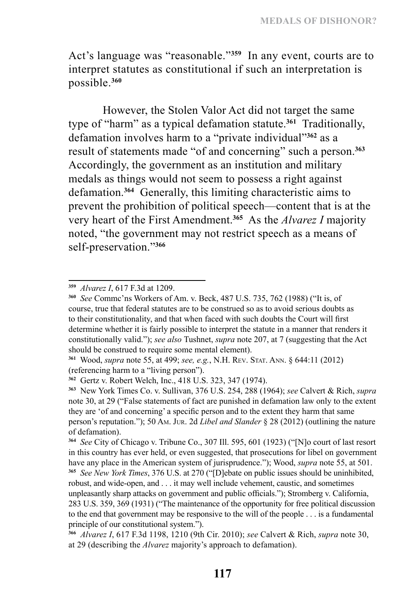Act's language was "reasonable."**<sup>359</sup>** In any event, courts are to interpret statutes as constitutional if such an interpretation is possible.**<sup>360</sup>**

However, the Stolen Valor Act did not target the same type of "harm" as a typical defamation statute.**<sup>361</sup>** Traditionally, defamation involves harm to a "private individual"**<sup>362</sup>** as a result of statements made "of and concerning" such a person.**<sup>363</sup>** Accordingly, the government as an institution and military medals as things would not seem to possess a right against defamation.**<sup>364</sup>** Generally, this limiting characteristic aims to prevent the prohibition of political speech—content that is at the very heart of the First Amendment.**<sup>365</sup>** As the *Alvarez I* majority noted, "the government may not restrict speech as a means of self-preservation."**<sup>366</sup>**

**<sup>359</sup>** *Alvarez I*, 617 F.3d at 1209.

**<sup>360</sup>** *See* Commc'ns Workers of Am. v. Beck, 487 U.S. 735, 762 (1988) ("It is, of course, true that federal statutes are to be construed so as to avoid serious doubts as to their constitutionality, and that when faced with such doubts the Court will first determine whether it is fairly possible to interpret the statute in a manner that renders it constitutionally valid."); *see also* Tushnet, *supra* note 207, at 7 (suggesting that the Act should be construed to require some mental element).

**<sup>361</sup>** Wood, *supra* note 55, at 499; *see, e.g.*, N.H. Rev. Stat. Ann. § 644:11 (2012) (referencing harm to a "living person").

**<sup>362</sup>** Gertz v. Robert Welch, Inc., 418 U.S. 323, 347 (1974).

**<sup>363</sup>** New York Times Co. v. Sullivan, 376 U.S. 254, 288 (1964); *see* Calvert & Rich, *supra* note 30, at 29 ("False statements of fact are punished in defamation law only to the extent they are 'of and concerning' a specific person and to the extent they harm that same person's reputation."); 50 Am. Jur. 2d *Libel and Slander* § 28 (2012) (outlining the nature of defamation).

**<sup>364</sup>** *See* City of Chicago v. Tribune Co., 307 Ill. 595, 601 (1923) ("[N]o court of last resort in this country has ever held, or even suggested, that prosecutions for libel on government have any place in the American system of jurisprudence."); Wood, *supra* note 55, at 501.

**<sup>365</sup>** *See New York Times*, 376 U.S. at 270 ("[D]ebate on public issues should be uninhibited, robust, and wide-open, and . . . it may well include vehement, caustic, and sometimes unpleasantly sharp attacks on government and public officials."); Stromberg v. California, 283 U.S. 359, 369 (1931) ("The maintenance of the opportunity for free political discussion to the end that government may be responsive to the will of the people . . . is a fundamental principle of our constitutional system.").

**<sup>366</sup>** *Alvarez I*, 617 F.3d 1198, 1210 (9th Cir. 2010); *see* Calvert & Rich, *supra* note 30, at 29 (describing the *Alvarez* majority's approach to defamation).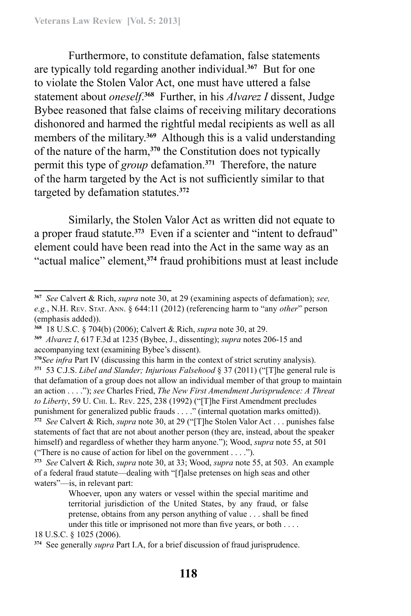Furthermore, to constitute defamation, false statements are typically told regarding another individual.**<sup>367</sup>** But for one to violate the Stolen Valor Act, one must have uttered a false statement about *oneself*. **<sup>368</sup>** Further, in his *Alvarez I* dissent, Judge Bybee reasoned that false claims of receiving military decorations dishonored and harmed the rightful medal recipients as well as all members of the military.**<sup>369</sup>** Although this is a valid understanding of the nature of the harm,**<sup>370</sup>** the Constitution does not typically permit this type of *group* defamation.**<sup>371</sup>** Therefore, the nature of the harm targeted by the Act is not sufficiently similar to that targeted by defamation statutes.**<sup>372</sup>**

Similarly, the Stolen Valor Act as written did not equate to a proper fraud statute.**<sup>373</sup>** Even if a scienter and "intent to defraud" element could have been read into the Act in the same way as an "actual malice" element,**<sup>374</sup>** fraud prohibitions must at least include

18 U.S.C. § 1025 (2006).

**<sup>367</sup>** *See* Calvert & Rich, *supra* note 30, at 29 (examining aspects of defamation); *see, e.g.*, N.H. Rev. Stat. Ann. § 644:11 (2012) (referencing harm to "any *other*" person (emphasis added)).

**<sup>368</sup>** 18 U.S.C. § 704(b) (2006); Calvert & Rich, *supra* note 30, at 29.

**<sup>369</sup>** *Alvarez I*, 617 F.3d at 1235 (Bybee, J., dissenting); *supra* notes 206-15 and accompanying text (examining Bybee's dissent).

**<sup>370</sup>***See infra* Part IV (discussing this harm in the context of strict scrutiny analysis). **<sup>371</sup>** 53 C.J.S. *Libel and Slander; Injurious Falsehood* § 37 (2011) ("[T]he general rule is that defamation of a group does not allow an individual member of that group to maintain an action . . . ."); *see* Charles Fried, *The New First Amendment Jurisprudence: A Threat to Liberty*, 59 U. Chi. L. Rev. 225, 238 (1992) ("[T]he First Amendment precludes punishment for generalized public frauds . . . ." (internal quotation marks omitted)). **<sup>372</sup>** *See* Calvert & Rich, *supra* note 30, at 29 ("[T]he Stolen Valor Act . . . punishes false statements of fact that are not about another person (they are, instead, about the speaker himself) and regardless of whether they harm anyone."); Wood, *supra* note 55, at 501 ("There is no cause of action for libel on the government . . . .").

**<sup>373</sup>** *See* Calvert & Rich, *supra* note 30, at 33; Wood, *supra* note 55, at 503. An example of a federal fraud statute—dealing with "[f]alse pretenses on high seas and other waters"—is, in relevant part:

Whoever, upon any waters or vessel within the special maritime and territorial jurisdiction of the United States, by any fraud, or false pretense, obtains from any person anything of value . . . shall be fined under this title or imprisoned not more than five years, or both . . . .

**<sup>374</sup>** See generally *supra* Part I.A, for a brief discussion of fraud jurisprudence.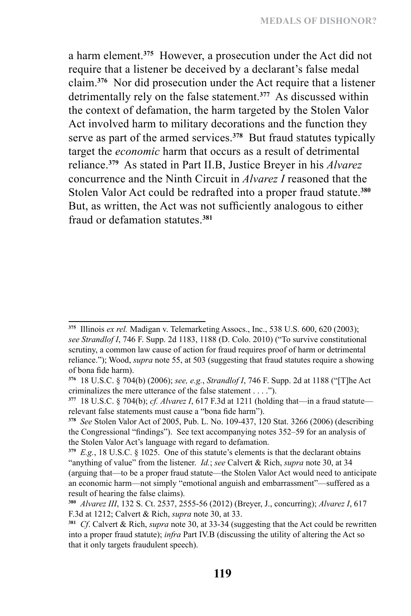a harm element.**<sup>375</sup>** However, a prosecution under the Act did not require that a listener be deceived by a declarant's false medal claim.**<sup>376</sup>** Nor did prosecution under the Act require that a listener detrimentally rely on the false statement.**<sup>377</sup>** As discussed within the context of defamation, the harm targeted by the Stolen Valor Act involved harm to military decorations and the function they serve as part of the armed services.**<sup>378</sup>** But fraud statutes typically target the *economic* harm that occurs as a result of detrimental reliance.**<sup>379</sup>** As stated in Part II.B, Justice Breyer in his *Alvarez*  concurrence and the Ninth Circuit in *Alvarez I* reasoned that the Stolen Valor Act could be redrafted into a proper fraud statute.**<sup>380</sup>** But, as written, the Act was not sufficiently analogous to either fraud or defamation statutes.**<sup>381</sup>**

**<sup>375</sup>** Illinois *ex rel.* Madigan v. Telemarketing Assocs., Inc., 538 U.S. 600, 620 (2003); *see Strandlof I*, 746 F. Supp. 2d 1183, 1188 (D. Colo. 2010) ("To survive constitutional scrutiny, a common law cause of action for fraud requires proof of harm or detrimental reliance."); Wood, *supra* note 55, at 503 (suggesting that fraud statutes require a showing of bona fide harm).

**<sup>376</sup>** 18 U.S.C. § 704(b) (2006); *see, e.g.*, *Strandlof I*, 746 F. Supp. 2d at 1188 ("[T]he Act criminalizes the mere utterance of the false statement . . . .").

**<sup>377</sup>** 18 U.S.C. § 704(b); *cf. Alvarez I*, 617 F.3d at 1211 (holding that—in a fraud statute relevant false statements must cause a "bona fide harm").

**<sup>378</sup>** *See* Stolen Valor Act of 2005, Pub. L. No. 109-437, 120 Stat. 3266 (2006) (describing the Congressional "findings"). See text accompanying notes 352–59 for an analysis of the Stolen Valor Act's language with regard to defamation.

**<sup>379</sup>** *E.g.*, 18 U.S.C. § 1025. One of this statute's elements is that the declarant obtains "anything of value" from the listener. *Id.*; *see* Calvert & Rich, *supra* note 30, at 34 (arguing that—to be a proper fraud statute—the Stolen Valor Act would need to anticipate an economic harm—not simply "emotional anguish and embarrassment"—suffered as a result of hearing the false claims).

**<sup>380</sup>** *Alvarez III*, 132 S. Ct. 2537, 2555-56 (2012) (Breyer, J., concurring); *Alvarez I*, 617 F.3d at 1212; Calvert & Rich, *supra* note 30, at 33.

**<sup>381</sup>** *Cf*. Calvert & Rich, *supra* note 30, at 33-34 (suggesting that the Act could be rewritten into a proper fraud statute); *infra* Part IV.B (discussing the utility of altering the Act so that it only targets fraudulent speech).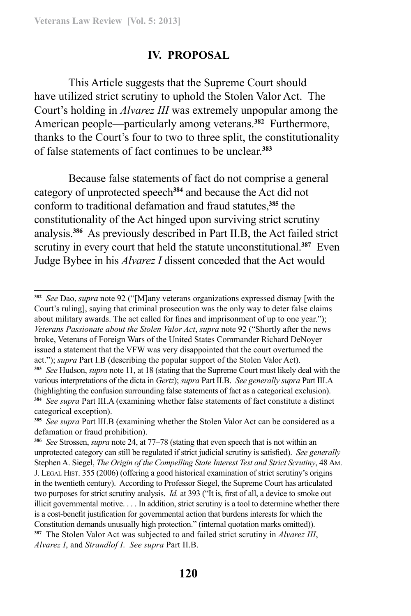### **IV. PROPOSAL**

This Article suggests that the Supreme Court should have utilized strict scrutiny to uphold the Stolen Valor Act. The Court's holding in *Alvarez III* was extremely unpopular among the American people—particularly among veterans.**<sup>382</sup>** Furthermore, thanks to the Court's four to two to three split, the constitutionality of false statements of fact continues to be unclear.**<sup>383</sup>**

Because false statements of fact do not comprise a general category of unprotected speech**<sup>384</sup>** and because the Act did not conform to traditional defamation and fraud statutes,**<sup>385</sup>** the constitutionality of the Act hinged upon surviving strict scrutiny analysis.**<sup>386</sup>** As previously described in Part II.B, the Act failed strict scrutiny in every court that held the statute unconstitutional.**<sup>387</sup>** Even Judge Bybee in his *Alvarez I* dissent conceded that the Act would

**<sup>382</sup>** *See* Dao, *supra* note 92 ("[M]any veterans organizations expressed dismay [with the Court's ruling], saying that criminal prosecution was the only way to deter false claims about military awards. The act called for fines and imprisonment of up to one year."); *Veterans Passionate about the Stolen Valor Act*, *supra* note 92 ("Shortly after the news broke, Veterans of Foreign Wars of the United States Commander Richard DeNoyer issued a statement that the VFW was very disappointed that the court overturned the act."); *supra* Part I.B (describing the popular support of the Stolen Valor Act).

**<sup>383</sup>** *See* Hudson, *supra* note 11, at 18 (stating that the Supreme Court must likely deal with the various interpretations of the dicta in *Gertz*); *supra* Part II.B. *See generally supra* Part III.A (highlighting the confusion surrounding false statements of fact as a categorical exclusion). **<sup>384</sup>** *See supra* Part III.A (examining whether false statements of fact constitute a distinct categorical exception).

**<sup>385</sup>** *See supra* Part III.B (examining whether the Stolen Valor Act can be considered as a defamation or fraud prohibition).

**<sup>386</sup>** *See* Strossen, *supra* note 24, at 77–78 (stating that even speech that is not within an unprotected category can still be regulated if strict judicial scrutiny is satisfied). *See generally* Stephen A. Siegel, *The Origin of the Compelling State Interest Test and Strict Scrutiny*, 48 Am. J. Legal Hist. 355 (2006) (offering a good historical examination of strict scrutiny's origins in the twentieth century). According to Professor Siegel, the Supreme Court has articulated two purposes for strict scrutiny analysis. *Id.* at 393 ("It is, first of all, a device to smoke out illicit governmental motive. . . . In addition, strict scrutiny is a tool to determine whether there is a cost-benefit justification for governmental action that burdens interests for which the Constitution demands unusually high protection." (internal quotation marks omitted)). **<sup>387</sup>** The Stolen Valor Act was subjected to and failed strict scrutiny in *Alvarez III*, *Alvarez I*, and *Strandlof I*. *See supra* Part II.B.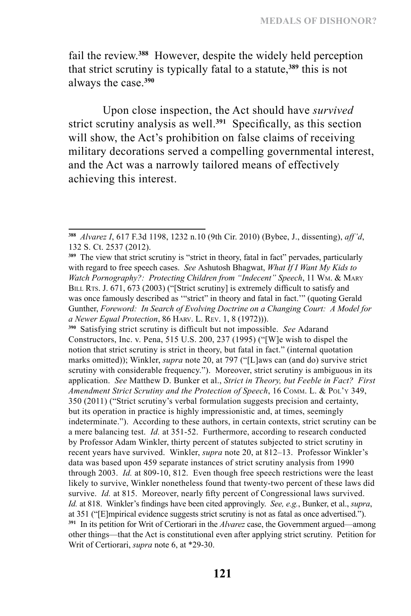fail the review.**<sup>388</sup>** However, despite the widely held perception that strict scrutiny is typically fatal to a statute,**<sup>389</sup>** this is not always the case.**<sup>390</sup>**

Upon close inspection, the Act should have *survived* strict scrutiny analysis as well.**<sup>391</sup>** Specifically, as this section will show, the Act's prohibition on false claims of receiving military decorations served a compelling governmental interest, and the Act was a narrowly tailored means of effectively achieving this interest.

**<sup>390</sup>** Satisfying strict scrutiny is difficult but not impossible. *See* Adarand Constructors, Inc. v. Pena, 515 U.S. 200, 237 (1995) ("[W]e wish to dispel the notion that strict scrutiny is strict in theory, but fatal in fact." (internal quotation marks omitted)); Winkler, *supra* note 20, at 797 ("[L]aws can (and do) survive strict scrutiny with considerable frequency."). Moreover, strict scrutiny is ambiguous in its application. *See* Matthew D. Bunker et al., *Strict in Theory, but Feeble in Fact? First*  Amendment Strict Scrutiny and the Protection of Speech, 16 COMM. L. & POL'Y 349, 350 (2011) ("Strict scrutiny's verbal formulation suggests precision and certainty, but its operation in practice is highly impressionistic and, at times, seemingly indeterminate."). According to these authors, in certain contexts, strict scrutiny can be a mere balancing test. *Id.* at 351-52. Furthermore, according to research conducted by Professor Adam Winkler, thirty percent of statutes subjected to strict scrutiny in recent years have survived. Winkler, *supra* note 20, at 812–13. Professor Winkler's data was based upon 459 separate instances of strict scrutiny analysis from 1990 through 2003. *Id.* at 809-10, 812. Even though free speech restrictions were the least likely to survive, Winkler nonetheless found that twenty-two percent of these laws did survive. *Id.* at 815. Moreover, nearly fifty percent of Congressional laws survived. *Id.* at 818. Winkler's findings have been cited approvingly. *See, e.g.*, Bunker, et al., *supra*, at 351 ("[E]mpirical evidence suggests strict scrutiny is not as fatal as once advertised."). **<sup>391</sup>** In its petition for Writ of Certiorari in the *Alvarez* case, the Government argued—among other things—that the Act is constitutional even after applying strict scrutiny. Petition for Writ of Certiorari, *supra* note 6, at \*29-30.

**<sup>388</sup>** *Alvarez I*, 617 F.3d 1198, 1232 n.10 (9th Cir. 2010) (Bybee, J., dissenting), *aff'd*, 132 S. Ct. 2537 (2012).

**<sup>389</sup>** The view that strict scrutiny is "strict in theory, fatal in fact" pervades, particularly with regard to free speech cases. *See* Ashutosh Bhagwat, *What If I Want My Kids to Watch Pornography?: Protecting Children from "Indecent" Speech*, 11 Wm. & Mary BILL RTS. J. 671, 673 (2003) ("[Strict scrutiny] is extremely difficult to satisfy and was once famously described as '"strict" in theory and fatal in fact.'" (quoting Gerald Gunther, *Foreword: In Search of Evolving Doctrine on a Changing Court: A Model for a Newer Equal Protection*, 86 Harv. L. Rev. 1, 8 (1972))).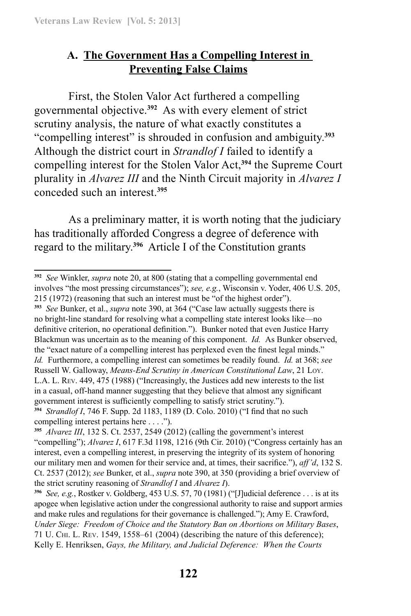## **A. The Government Has a Compelling Interest in Preventing False Claims**

First, the Stolen Valor Act furthered a compelling governmental objective.**<sup>392</sup>** As with every element of strict scrutiny analysis, the nature of what exactly constitutes a "compelling interest" is shrouded in confusion and ambiguity.**<sup>393</sup>** Although the district court in *Strandlof I* failed to identify a compelling interest for the Stolen Valor Act,**<sup>394</sup>** the Supreme Court plurality in *Alvarez III* and the Ninth Circuit majority in *Alvarez I*  conceded such an interest.**<sup>395</sup>**

As a preliminary matter, it is worth noting that the judiciary has traditionally afforded Congress a degree of deference with regard to the military.**<sup>396</sup>** Article I of the Constitution grants

**<sup>393</sup>** *See* Bunker, et al., *supra* note 390, at 364 ("Case law actually suggests there is no bright-line standard for resolving what a compelling state interest looks like—no definitive criterion, no operational definition."). Bunker noted that even Justice Harry Blackmun was uncertain as to the meaning of this component. *Id.* As Bunker observed, the "exact nature of a compelling interest has perplexed even the finest legal minds." *Id.* Furthermore, a compelling interest can sometimes be readily found. *Id.* at 368; *see* Russell W. Galloway, *Means-End Scrutiny in American Constitutional Law*, 21 Loy. L.A. L. Rev. 449, 475 (1988) ("Increasingly, the Justices add new interests to the list in a casual, off-hand manner suggesting that they believe that almost any significant government interest is sufficiently compelling to satisfy strict scrutiny."). **<sup>394</sup>** *Strandlof I*, 746 F. Supp. 2d 1183, 1189 (D. Colo. 2010) ("I find that no such

compelling interest pertains here . . . .").

**<sup>392</sup>** *See* Winkler, *supra* note 20, at 800 (stating that a compelling governmental end involves "the most pressing circumstances"); *see, e.g.*, Wisconsin v. Yoder, 406 U.S. 205, 215 (1972) (reasoning that such an interest must be "of the highest order").

**<sup>395</sup>** *Alvarez III*, 132 S. Ct. 2537, 2549 (2012) (calling the government's interest "compelling"); *Alvarez I*, 617 F.3d 1198, 1216 (9th Cir. 2010) ("Congress certainly has an interest, even a compelling interest, in preserving the integrity of its system of honoring our military men and women for their service and, at times, their sacrifice."), *aff'd*, 132 S. Ct. 2537 (2012); *see* Bunker, et al., *supra* note 390, at 350 (providing a brief overview of the strict scrutiny reasoning of *Strandlof I* and *Alvarez I*).

**<sup>396</sup>** *See, e.g.*, Rostker v. Goldberg, 453 U.S. 57, 70 (1981) ("[J]udicial deference . . . is at its apogee when legislative action under the congressional authority to raise and support armies and make rules and regulations for their governance is challenged."); Amy E. Crawford, *Under Siege: Freedom of Choice and the Statutory Ban on Abortions on Military Bases*, 71 U. Chi. L. Rev. 1549, 1558–61 (2004) (describing the nature of this deference); Kelly E. Henriksen, *Gays, the Military, and Judicial Deference: When the Courts*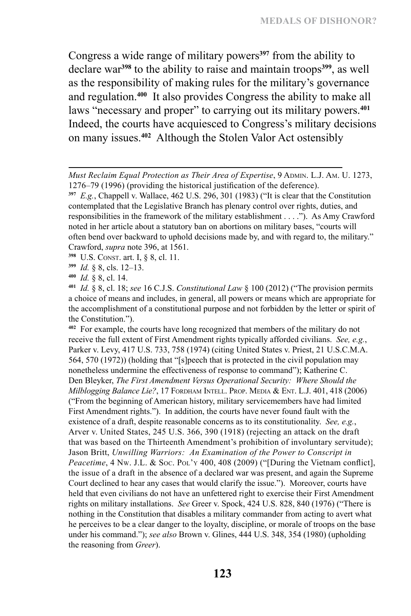Congress a wide range of military powers**<sup>397</sup>** from the ability to declare war**<sup>398</sup>** to the ability to raise and maintain troops**<sup>399</sup>**, as well as the responsibility of making rules for the military's governance and regulation.**<sup>400</sup>** It also provides Congress the ability to make all laws "necessary and proper" to carrying out its military powers.**<sup>401</sup>** Indeed, the courts have acquiesced to Congress's military decisions on many issues.**<sup>402</sup>** Although the Stolen Valor Act ostensibly

- **<sup>398</sup>** U.S. Const. art. I, § 8, cl. 11.
- **<sup>399</sup>** *Id.* § 8, cls. 12–13.
- **<sup>400</sup>** *Id.* § 8, cl. 14.

**<sup>402</sup>** For example, the courts have long recognized that members of the military do not receive the full extent of First Amendment rights typically afforded civilians. *See, e.g.*, Parker v. Levy, 417 U.S. 733, 758 (1974) (citing United States v. Priest, 21 U.S.C.M.A. 564, 570 (1972)) (holding that "[s]peech that is protected in the civil population may nonetheless undermine the effectiveness of response to command"); Katherine C. Den Bleyker, *The First Amendment Versus Operational Security: Where Should the Milblogging Balance Lie?*, 17 FORDHAM INTELL. PROP. MEDIA & ENT. L.J. 401, 418 (2006) ("From the beginning of American history, military servicemembers have had limited First Amendment rights."). In addition, the courts have never found fault with the existence of a draft, despite reasonable concerns as to its constitutionality. *See, e.g.*, Arver v. United States, 245 U.S. 366, 390 (1918) (rejecting an attack on the draft that was based on the Thirteenth Amendment's prohibition of involuntary servitude); Jason Britt, *Unwilling Warriors: An Examination of the Power to Conscript in Peacetime*, 4 Nw. J.L. & Soc. Pol'y 400, 408 (2009) ("[During the Vietnam conflict], the issue of a draft in the absence of a declared war was present, and again the Supreme Court declined to hear any cases that would clarify the issue."). Moreover, courts have held that even civilians do not have an unfettered right to exercise their First Amendment rights on military installations. *See* Greer v. Spock, 424 U.S. 828, 840 (1976) ("There is nothing in the Constitution that disables a military commander from acting to avert what he perceives to be a clear danger to the loyalty, discipline, or morale of troops on the base under his command."); *see also* Brown v. Glines, 444 U.S. 348, 354 (1980) (upholding the reasoning from *Greer*).

Must Reclaim Equal Protection as Their Area of Expertise, 9 ADMIN. L.J. AM. U. 1273, 1276–79 (1996) (providing the historical justification of the deference).

**<sup>397</sup>** *E.g.*, Chappell v. Wallace, 462 U.S. 296, 301 (1983) ("It is clear that the Constitution contemplated that the Legislative Branch has plenary control over rights, duties, and responsibilities in the framework of the military establishment . . . ."). As Amy Crawford noted in her article about a statutory ban on abortions on military bases, "courts will often bend over backward to uphold decisions made by, and with regard to, the military." Crawford, *supra* note 396, at 1561.

**<sup>401</sup>** *Id.* § 8, cl. 18; *see* 16 C.J.S. *Constitutional Law* § 100 (2012) ("The provision permits a choice of means and includes, in general, all powers or means which are appropriate for the accomplishment of a constitutional purpose and not forbidden by the letter or spirit of the Constitution.").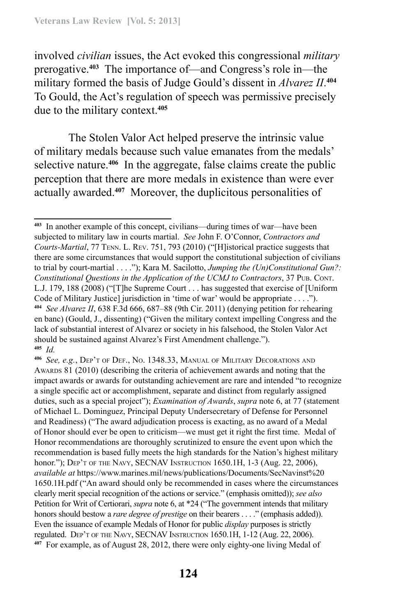involved *civilian* issues, the Act evoked this congressional *military* prerogative.**<sup>403</sup>** The importance of—and Congress's role in—the military formed the basis of Judge Gould's dissent in *Alvarez II*. **<sup>404</sup>** To Gould, the Act's regulation of speech was permissive precisely due to the military context.**<sup>405</sup>**

The Stolen Valor Act helped preserve the intrinsic value of military medals because such value emanates from the medals' selective nature.**<sup>406</sup>** In the aggregate, false claims create the public perception that there are more medals in existence than were ever actually awarded.**<sup>407</sup>** Moreover, the duplicitous personalities of

**<sup>403</sup>** In another example of this concept, civilians—during times of war—have been subjected to military law in courts martial. *See* John F. O'Connor, *Contractors and Courts-Martial*, 77 Tenn. L. Rev. 751, 793 (2010) ("[H]istorical practice suggests that there are some circumstances that would support the constitutional subjection of civilians to trial by court-martial . . . ."); Kara M. Sacilotto, *Jumping the (Un)Constitutional Gun?: Constitutional Questions in the Application of the UCMJ to Contractors*, 37 Pub. Cont. L.J. 179, 188 (2008) ("[T]he Supreme Court . . . has suggested that exercise of [Uniform Code of Military Justice] jurisdiction in 'time of war' would be appropriate . . . ."). **<sup>404</sup>** *See Alvarez II*, 638 F.3d 666, 687–88 (9th Cir. 2011) (denying petition for rehearing en banc) (Gould, J., dissenting) ("Given the military context impelling Congress and the lack of substantial interest of Alvarez or society in his falsehood, the Stolen Valor Act should be sustained against Alvarez's First Amendment challenge."). **<sup>405</sup>** *Id.*

**<sup>406</sup>** *See, e.g.*, Dep't of Def., No. 1348.33, Manual of Military Decorations and Awards 81 (2010) (describing the criteria of achievement awards and noting that the impact awards or awards for outstanding achievement are rare and intended "to recognize a single specific act or accomplishment, separate and distinct from regularly assigned duties, such as a special project"); *Examination of Awards*, *supra* note 6, at 77 (statement of Michael L. Dominguez, Principal Deputy Undersecretary of Defense for Personnel and Readiness) ("The award adjudication process is exacting, as no award of a Medal of Honor should ever be open to criticism—we must get it right the first time. Medal of Honor recommendations are thoroughly scrutinized to ensure the event upon which the recommendation is based fully meets the high standards for the Nation's highest military honor."); DEP'T OF THE NAVY, SECNAV INSTRUCTION 1650.1H, 1-3 (Aug. 22, 2006), *available at https://www.marines.mil/news/publications/Documents/SecNavinst%20* 1650.1H.pdf ("An award should only be recommended in cases where the circumstances clearly merit special recognition of the actions or service." (emphasis omitted)); *see also* Petition for Writ of Certiorari, *supra* note 6, at \*24 ("The government intends that military honors should bestow a *rare degree of prestige* on their bearers . . . ." (emphasis added)). Even the issuance of example Medals of Honor for public *display* purposes is strictly regulated. Dep't of the Navy, SECNAV Instruction 1650.1H, 1-12 (Aug. 22, 2006). **407** For example, as of August 28, 2012, there were only eighty-one living Medal of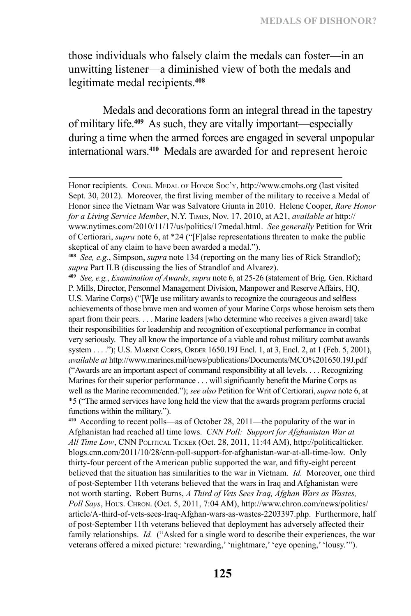those individuals who falsely claim the medals can foster—in an unwitting listener—a diminished view of both the medals and legitimate medal recipients.**<sup>408</sup>**

Medals and decorations form an integral thread in the tapestry of military life.**<sup>409</sup>** As such, they are vitally important—especially during a time when the armed forces are engaged in several unpopular international wars.**<sup>410</sup>** Medals are awarded for and represent heroic

**<sup>410</sup>** According to recent polls—as of October 28, 2011—the popularity of the war in Afghanistan had reached all time lows. *CNN Poll: Support for Afghanistan War at All Time Low*, CNN Political Ticker (Oct. 28, 2011, 11:44 AM), http://politicalticker. blogs.cnn.com/2011/10/28/cnn-poll-support-for-afghanistan-war-at-all-time-low. Only thirty-four percent of the American public supported the war, and fifty-eight percent believed that the situation has similarities to the war in Vietnam. *Id.* Moreover, one third of post-September 11th veterans believed that the wars in Iraq and Afghanistan were not worth starting. Robert Burns, *A Third of Vets Sees Iraq, Afghan Wars as Wastes,*  Poll Says, Hous. CHRON. (Oct. 5, 2011, 7:04 AM), http://www.chron.com/news/politics/ article/A-third-of-vets-sees-Iraq-Afghan-wars-as-wastes-2203397.php. Furthermore, half of post-September 11th veterans believed that deployment has adversely affected their family relationships. *Id.* ("Asked for a single word to describe their experiences, the war veterans offered a mixed picture: 'rewarding,' 'nightmare,' 'eye opening,' 'lousy.'").

Honor recipients. Cong. MEDAL OF HONOR Soc'y, http://www.cmohs.org (last visited Sept. 30, 2012). Moreover, the first living member of the military to receive a Medal of Honor since the Vietnam War was Salvatore Giunta in 2010. Helene Cooper, *Rare Honor for a Living Service Member*, N.Y. Times, Nov. 17, 2010, at A21, *available at* http:// www.nytimes.com/2010/11/17/us/politics/17medal.html. *See generally* Petition for Writ of Certiorari, *supra* note 6, at \*24 ("[F]alse representations threaten to make the public skeptical of any claim to have been awarded a medal.").

**<sup>408</sup>** *See, e.g.*, Simpson, *supra* note 134 (reporting on the many lies of Rick Strandlof); *supra* Part II.B (discussing the lies of Strandlof and Alvarez).

**<sup>409</sup>** *See, e.g.*, *Examination of Awards*, *supra* note 6, at 25-26 (statement of Brig. Gen. Richard P. Mills, Director, Personnel Management Division, Manpower and Reserve Affairs, HQ, U.S. Marine Corps) ("[W]e use military awards to recognize the courageous and selfless achievements of those brave men and women of your Marine Corps whose heroism sets them apart from their peers. . . . Marine leaders [who determine who receives a given award] take their responsibilities for leadership and recognition of exceptional performance in combat very seriously. They all know the importance of a viable and robust military combat awards system . . . ."); U.S. MARINE CORPS, ORDER 1650.19J Encl. 1, at 3, Encl. 2, at 1 (Feb. 5, 2001), *available at* http://www.marines.mil/news/publications/Documents/MCO%201650.19J.pdf ("Awards are an important aspect of command responsibility at all levels. . . . Recognizing Marines for their superior performance . . . will significantly benefit the Marine Corps as well as the Marine recommended."); *see also* Petition for Writ of Certiorari, *supra* note 6, at \*5 ("The armed services have long held the view that the awards program performs crucial functions within the military.").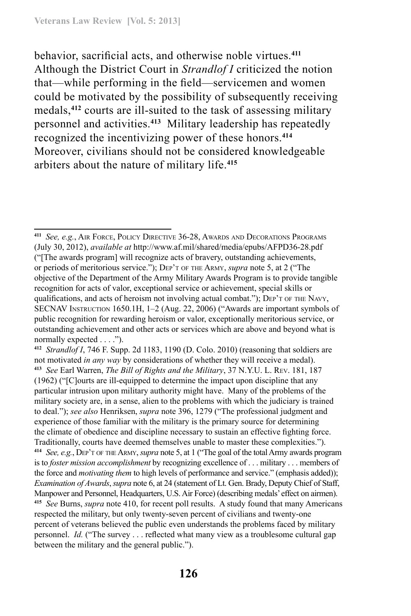behavior, sacrificial acts, and otherwise noble virtues.**<sup>411</sup>** Although the District Court in *Strandlof I* criticized the notion that—while performing in the field—servicemen and women could be motivated by the possibility of subsequently receiving medals,**<sup>412</sup>** courts are ill-suited to the task of assessing military personnel and activities.**<sup>413</sup>** Military leadership has repeatedly recognized the incentivizing power of these honors.**<sup>414</sup>** Moreover, civilians should not be considered knowledgeable arbiters about the nature of military life.**<sup>415</sup>**

**<sup>411</sup>** *See, e.g.*, Air Force, Policy Directive 36-28, Awards and Decorations Programs (July 30, 2012), *available at* http://www.af.mil/shared/media/epubs/AFPD36-28.pdf ("[The awards program] will recognize acts of bravery, outstanding achievements, or periods of meritorious service."); Dep't of the Army, *supra* note 5, at 2 ("The objective of the Department of the Army Military Awards Program is to provide tangible recognition for acts of valor, exceptional service or achievement, special skills or qualifications, and acts of heroism not involving actual combat."); DEP'T OF THE NAVY, SECNAV Instruction 1650.1H, 1–2 (Aug. 22, 2006) ("Awards are important symbols of public recognition for rewarding heroism or valor, exceptionally meritorious service, or outstanding achievement and other acts or services which are above and beyond what is normally expected . . . .").

**<sup>412</sup>** *Strandlof I*, 746 F. Supp. 2d 1183, 1190 (D. Colo. 2010) (reasoning that soldiers are not motivated *in any way* by considerations of whether they will receive a medal). **<sup>413</sup>** *See* Earl Warren, *The Bill of Rights and the Military*, 37 N.Y.U. L. Rev. 181, 187 (1962) ("[C]ourts are ill-equipped to determine the impact upon discipline that any particular intrusion upon military authority might have. Many of the problems of the military society are, in a sense, alien to the problems with which the judiciary is trained to deal."); *see also* Henriksen, *supra* note 396, 1279 ("The professional judgment and experience of those familiar with the military is the primary source for determining the climate of obedience and discipline necessary to sustain an effective fighting force. Traditionally, courts have deemed themselves unable to master these complexities."). **<sup>414</sup>** *See, e.g.*, Dep't of theArmy, *supra* note 5, at 1 ("The goal of the total Army awards program is to *foster mission accomplishment* by recognizing excellence of . . . military . . . members of the force and *motivating them* to high levels of performance and service." (emphasis added)); *Examination of Awards*, *supra* note 6, at 24 (statement of Lt. Gen. Brady, Deputy Chief of Staff, Manpower and Personnel, Headquarters, U.S. Air Force) (describing medals' effect on airmen). **<sup>415</sup>** *See* Burns, *supra* note 410, for recent poll results. A study found that many Americans respected the military, but only twenty-seven percent of civilians and twenty-one percent of veterans believed the public even understands the problems faced by military personnel. *Id.* ("The survey . . . reflected what many view as a troublesome cultural gap between the military and the general public.").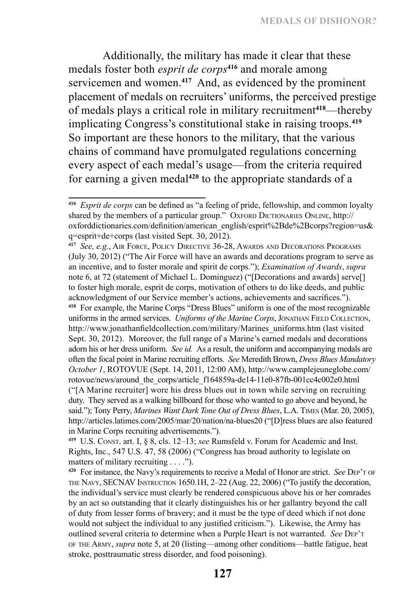Additionally, the military has made it clear that these medals foster both *esprit de corps***<sup>416</sup>** and morale among servicemen and women.**<sup>417</sup>** And, as evidenced by the prominent placement of medals on recruiters' uniforms, the perceived prestige of medals plays a critical role in military recruitment**<sup>418</sup>**—thereby implicating Congress's constitutional stake in raising troops.**<sup>419</sup>** So important are these honors to the military, that the various chains of command have promulgated regulations concerning every aspect of each medal's usage—from the criteria required for earning a given medal**<sup>420</sup>** to the appropriate standards of a

**<sup>417</sup>** *See, e.g.*, Air Force, Policy Directive 36-28, Awards and Decorations Programs (July 30, 2012) ("The Air Force will have an awards and decorations program to serve as an incentive, and to foster morale and spirit de corps."); *Examination of Awards*, *supra* note 6, at 72 (statement of Michael L. Dominguez) ("[Decorations and awards] serve[] to foster high morale, esprit de corps, motivation of others to do like deeds, and public acknowledgment of our Service member's actions, achievements and sacrifices."). **<sup>418</sup>** For example, the Marine Corps "Dress Blues" uniform is one of the most recognizable uniforms in the armed services. *Uniforms of the Marine Corps*, JONATHAN FIELD COLLECTION, http://www.jonathanfieldcollection.com/military/Marines\_uniforms.htm (last visited Sept. 30, 2012). Moreover, the full range of a Marine's earned medals and decorations adorn his or her dress uniform. *See id.* As a result, the uniform and accompanying medals are often the focal point in Marine recruiting efforts. *See* Meredith Brown, *Dress Blues Mandatory October 1*, ROTOVUE (Sept. 14, 2011, 12:00 AM), http://www.camplejeuneglobe.com/ rotovue/news/around\_the\_corps/article\_f164859a-de14-11e0-87fb-001cc4c002e0.html ("[A Marine recruiter] wore his dress blues out in town while serving on recruiting duty. They served as a walking billboard for those who wanted to go above and beyond, he said."); Tony Perry, *Marines Want Dark Tone Out of Dress Blues*, L.A. Times (Mar. 20, 2005), http://articles.latimes.com/2005/mar/20/nation/na-blues20 ("[D]ress blues are also featured in Marine Corps recruiting advertisements.").

**<sup>419</sup>** U.S. Const. art. I, § 8, cls. 12–13; *see* Rumsfeld v. Forum for Academic and Inst. Rights, Inc., 547 U.S. 47, 58 (2006) ("Congress has broad authority to legislate on matters of military recruiting . . . .").

**<sup>420</sup>** For instance, the Navy's requirements to receive a Medal of Honor are strict. *See* Dep't of the Navy, SECNAV Instruction 1650.1H, 2–22 (Aug. 22, 2006) ("To justify the decoration, the individual's service must clearly be rendered conspicuous above his or her comrades by an act so outstanding that it clearly distinguishes his or her gallantry beyond the call of duty from lesser forms of bravery; and it must be the type of deed which if not done would not subject the individual to any justified criticism."). Likewise, the Army has outlined several criteria to determine when a Purple Heart is not warranted. *See* Dep't of the Army, *supra* note 5, at 20 (listing—among other conditions—battle fatigue, heat stroke, posttraumatic stress disorder, and food poisoning).

**<sup>416</sup>** *Esprit de corps* can be defined as "a feeling of pride, fellowship, and common loyalty shared by the members of a particular group." OXFORD DICTIONARIES ONLINE, http:// oxforddictionaries.com/definition/american\_english/esprit%2Bde%2Bcorps?region=us& q=esprit+de+corps (last visited Sept. 30, 2012).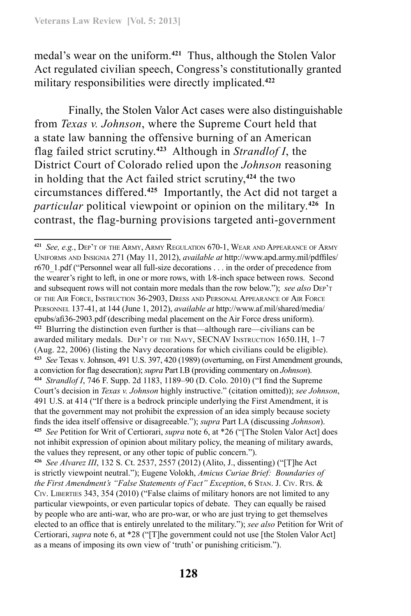medal's wear on the uniform.**<sup>421</sup>** Thus, although the Stolen Valor Act regulated civilian speech, Congress's constitutionally granted military responsibilities were directly implicated.**<sup>422</sup>**

Finally, the Stolen Valor Act cases were also distinguishable from *Texas v. Johnson*, where the Supreme Court held that a state law banning the offensive burning of an American flag failed strict scrutiny.**<sup>423</sup>** Although in *Strandlof I*, the District Court of Colorado relied upon the *Johnson* reasoning in holding that the Act failed strict scrutiny,**<sup>424</sup>** the two circumstances differed.**<sup>425</sup>** Importantly, the Act did not target a *particular* political viewpoint or opinion on the military.**<sup>426</sup>** In contrast, the flag-burning provisions targeted anti-government

**<sup>421</sup>** *See, e.g.*, Dep't of the Army, Army Regulation 670-1, Wear and Appearance of Army Uniforms and Insignia 271 (May 11, 2012), *available at* http://www.apd.army.mil/pdffiles/ r670\_1.pdf ("Personnel wear all full-size decorations . . . in the order of precedence from the wearer's right to left, in one or more rows, with 1⁄8-inch space between rows. Second and subsequent rows will not contain more medals than the row below."); *see also* Dep't of the Air Force, Instruction 36-2903, Dress and Personal Appearance of Air Force Personnel 137-41, at 144 (June 1, 2012), *available at* http://www.af.mil/shared/media/ epubs/afi36-2903.pdf (describing medal placement on the Air Force dress uniform). **<sup>422</sup>** Blurring the distinction even further is that—although rare—civilians can be awarded military medals. DEP'T OF THE NAVY, SECNAV INSTRUCTION 1650.1H, 1-7 (Aug. 22, 2006) (listing the Navy decorations for which civilians could be eligible). **<sup>423</sup>** *See* Texas v. Johnson, 491 U.S. 397, 420 (1989) (overturning, on First Amendment grounds, a conviction for flag desecration); *supra* Part I.B (providing commentary on *Johnson*). **<sup>424</sup>** *Strandlof I*, 746 F. Supp. 2d 1183, 1189–90 (D. Colo. 2010) ("I find the Supreme Court's decision in *Texas v. Johnson* highly instructive." (citation omitted)); *see Johnson*, 491 U.S. at 414 ("If there is a bedrock principle underlying the First Amendment, it is that the government may not prohibit the expression of an idea simply because society finds the idea itself offensive or disagreeable."); *supra* Part I.A (discussing *Johnson*). **<sup>425</sup>** *See* Petition for Writ of Certiorari, *supra* note 6, at \*26 ("[The Stolen Valor Act] does not inhibit expression of opinion about military policy, the meaning of military awards, the values they represent, or any other topic of public concern.").

**<sup>426</sup>** *See Alvarez III*, 132 S. Ct. 2537, 2557 (2012) (Alito, J., dissenting) ("[T]he Act is strictly viewpoint neutral."); Eugene Volokh, *Amicus Curiae Brief: Boundaries of the First Amendment's "False Statements of Fact" Exception*, 6 STAN. J. Civ. RTS. & Civ. Liberties 343, 354 (2010) ("False claims of military honors are not limited to any particular viewpoints, or even particular topics of debate. They can equally be raised by people who are anti-war, who are pro-war, or who are just trying to get themselves elected to an office that is entirely unrelated to the military."); *see also* Petition for Writ of Certiorari, *supra* note 6, at \*28 ("[T]he government could not use [the Stolen Valor Act] as a means of imposing its own view of 'truth' or punishing criticism.").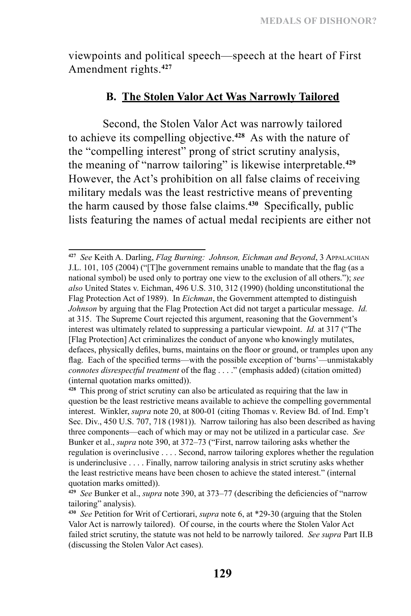viewpoints and political speech—speech at the heart of First Amendment rights.**<sup>427</sup>**

## **B. The Stolen Valor Act Was Narrowly Tailored**

Second, the Stolen Valor Act was narrowly tailored to achieve its compelling objective.**<sup>428</sup>** As with the nature of the "compelling interest" prong of strict scrutiny analysis, the meaning of "narrow tailoring" is likewise interpretable.**<sup>429</sup>** However, the Act's prohibition on all false claims of receiving military medals was the least restrictive means of preventing the harm caused by those false claims.**<sup>430</sup>** Specifically, public lists featuring the names of actual medal recipients are either not

**<sup>427</sup>** *See* Keith A. Darling, *Flag Burning: Johnson, Eichman and Beyond*, 3 Appalachian J.L. 101, 105 (2004) ("[T]he government remains unable to mandate that the flag (as a national symbol) be used only to portray one view to the exclusion of all others."); *see also* United States v. Eichman, 496 U.S. 310, 312 (1990) (holding unconstitutional the Flag Protection Act of 1989). In *Eichman*, the Government attempted to distinguish *Johnson* by arguing that the Flag Protection Act did not target a particular message. *Id.*  at 315. The Supreme Court rejected this argument, reasoning that the Government's interest was ultimately related to suppressing a particular viewpoint. *Id.* at 317 ("The [Flag Protection] Act criminalizes the conduct of anyone who knowingly mutilates, defaces, physically defiles, burns, maintains on the floor or ground, or tramples upon any flag. Each of the specified terms—with the possible exception of 'burns'—unmistakably *connotes disrespectful treatment* of the flag . . . ." (emphasis added) (citation omitted) (internal quotation marks omitted)).

**<sup>428</sup>** This prong of strict scrutiny can also be articulated as requiring that the law in question be the least restrictive means available to achieve the compelling governmental interest. Winkler, *supra* note 20, at 800-01 (citing Thomas v. Review Bd. of Ind. Emp't Sec. Div., 450 U.S. 707, 718 (1981)). Narrow tailoring has also been described as having three components—each of which may or may not be utilized in a particular case. *See*  Bunker et al., *supra* note 390, at 372–73 ("First, narrow tailoring asks whether the regulation is overinclusive . . . . Second, narrow tailoring explores whether the regulation is underinclusive . . . . Finally, narrow tailoring analysis in strict scrutiny asks whether the least restrictive means have been chosen to achieve the stated interest." (internal quotation marks omitted)).

**<sup>429</sup>** *See* Bunker et al., *supra* note 390, at 373–77 (describing the deficiencies of "narrow tailoring" analysis).

**<sup>430</sup>** *See* Petition for Writ of Certiorari, *supra* note 6, at \*29-30 (arguing that the Stolen Valor Act is narrowly tailored). Of course, in the courts where the Stolen Valor Act failed strict scrutiny, the statute was not held to be narrowly tailored. *See supra* Part II.B (discussing the Stolen Valor Act cases).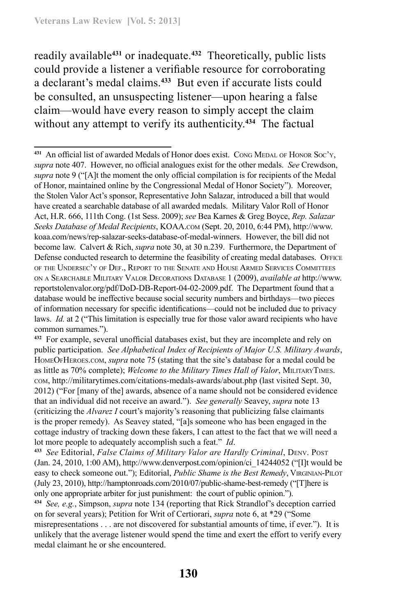readily available**<sup>431</sup>** or inadequate.**<sup>432</sup>** Theoretically, public lists could provide a listener a verifiable resource for corroborating a declarant's medal claims.**<sup>433</sup>** But even if accurate lists could be consulted, an unsuspecting listener—upon hearing a false claim—would have every reason to simply accept the claim without any attempt to verify its authenticity.**<sup>434</sup>** The factual

<sup>431</sup> An official list of awarded Medals of Honor does exist. Cong MEDAL OF HONOR Soc'y, *supra* note 407. However, no official analogues exist for the other medals. *See* Crewdson, *supra* note 9 ("[A]t the moment the only official compilation is for recipients of the Medal of Honor, maintained online by the Congressional Medal of Honor Society"). Moreover, the Stolen Valor Act's sponsor, Representative John Salazar, introduced a bill that would have created a searchable database of all awarded medals. Military Valor Roll of Honor Act, H.R. 666, 111th Cong. (1st Sess. 2009); *see* Bea Karnes & Greg Boyce, *Rep. Salazar Seeks Database of Medal Recipients*, KOAA.com (Sept. 20, 2010, 6:44 PM), http://www. koaa.com/news/rep-salazar-seeks-database-of-medal-winners. However, the bill did not become law. Calvert & Rich, *supra* note 30, at 30 n.239. Furthermore, the Department of Defense conducted research to determine the feasibility of creating medal databases. OFFICE of the Undersec'y of Def., Report to the Senate and House Armed Services Committees on <sup>a</sup> Searchable Military Valor Decorations Database 1 (2009), *available at* http://www. reportstolenvalor.org/pdf/DoD-DB-Report-04-02-2009.pdf. The Department found that a database would be ineffective because social security numbers and birthdays—two pieces of information necessary for specific identifications—could not be included due to privacy laws. *Id.* at 2 ("This limitation is especially true for those valor award recipients who have common surnames.").

**<sup>432</sup>** For example, several unofficial databases exist, but they are incomplete and rely on public participation. *See Alphabetical Index of Recipients of Major U.S. Military Awards*, HomeOfHeroes.com, *supra* note 75 (stating that the site's database for a medal could be as little as 70% complete); *Welcome to the Military Times Hall of Valor*, MilitaryTimes. com, http://militarytimes.com/citations-medals-awards/about.php (last visited Sept. 30, 2012) ("For [many of the] awards, absence of a name should not be considered evidence that an individual did not receive an award."). *See generally* Seavey, *supra* note 13 (criticizing the *Alvarez I* court's majority's reasoning that publicizing false claimants is the proper remedy). As Seavey stated, "[a]s someone who has been engaged in the cottage industry of tracking down these fakers, I can attest to the fact that we will need a lot more people to adequately accomplish such a feat." *Id*.

**<sup>433</sup>** *See* Editorial, *False Claims of Military Valor are Hardly Criminal*, Denv. Post (Jan. 24, 2010, 1:00 AM), http://www.denverpost.com/opinion/ci\_14244052 ("[I]t would be easy to check someone out."); Editorial, *Public Shame is the Best Remedy*, VIRGINIAN-PILOT (July 23, 2010), http://hamptonroads.com/2010/07/public-shame-best-remedy ("[T]here is only one appropriate arbiter for just punishment: the court of public opinion.").

**<sup>434</sup>** *See, e.g.*, Simpson, *supra* note 134 (reporting that Rick Strandlof's deception carried on for several years); Petition for Writ of Certiorari, *supra* note 6, at \*29 ("Some misrepresentations . . . are not discovered for substantial amounts of time, if ever."). It is unlikely that the average listener would spend the time and exert the effort to verify every medal claimant he or she encountered.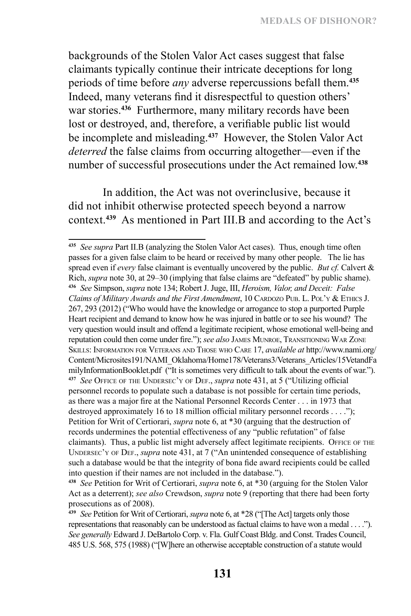backgrounds of the Stolen Valor Act cases suggest that false claimants typically continue their intricate deceptions for long periods of time before *any* adverse repercussions befall them.**<sup>435</sup>** Indeed, many veterans find it disrespectful to question others' war stories.**<sup>436</sup>** Furthermore, many military records have been lost or destroyed, and, therefore, a verifiable public list would be incomplete and misleading.**<sup>437</sup>** However, the Stolen Valor Act *deterred* the false claims from occurring altogether—even if the number of successful prosecutions under the Act remained low.**<sup>438</sup>**

In addition, the Act was not overinclusive, because it did not inhibit otherwise protected speech beyond a narrow context.**<sup>439</sup>** As mentioned in Part III.B and according to the Act's

**<sup>435</sup>** *See supra* Part II.B (analyzing the Stolen Valor Act cases). Thus, enough time often passes for a given false claim to be heard or received by many other people. The lie has spread even if *every* false claimant is eventually uncovered by the public. *But cf.* Calvert & Rich, *supra* note 30, at 29–30 (implying that false claims are "defeated" by public shame). **<sup>436</sup>** *See* Simpson, *supra* note 134; Robert J. Juge, III, *Heroism, Valor, and Deceit: False Claims of Military Awards and the First Amendment*, 10 CARDOZO PUB. L. POL'Y & ETHICS J. 267, 293 (2012) ("Who would have the knowledge or arrogance to stop a purported Purple Heart recipient and demand to know how he was injured in battle or to see his wound? The very question would insult and offend a legitimate recipient, whose emotional well-being and reputation could then come under fire."); *see also* James Munroe, Transitioning War Zone Skills: Information for Veterans and Those who Care 17, *available at* http://www.nami.org/ Content/Microsites191/NAMI\_Oklahoma/Home178/Veterans3/Veterans\_Articles/15VetandFa milyInformationBooklet.pdf ("It is sometimes very difficult to talk about the events of war."). **<sup>437</sup>** *See* Office of the Undersec'y of Def., *supra* note 431, at 5 ("Utilizing official personnel records to populate such a database is not possible for certain time periods, as there was a major fire at the National Personnel Records Center . . . in 1973 that destroyed approximately 16 to 18 million official military personnel records . . . ."); Petition for Writ of Certiorari, *supra* note 6, at \*30 (arguing that the destruction of records undermines the potential effectiveness of any "public refutation" of false claimants). Thus, a public list might adversely affect legitimate recipients. OFFICE OF THE UNDERSEC'Y OF DEF., *supra* note 431, at 7 ("An unintended consequence of establishing such a database would be that the integrity of bona fide award recipients could be called into question if their names are not included in the database.").

**<sup>438</sup>** *See* Petition for Writ of Certiorari, *supra* note 6, at \*30 (arguing for the Stolen Valor Act as a deterrent); *see also* Crewdson, *supra* note 9 (reporting that there had been forty prosecutions as of 2008).

**<sup>439</sup>** *See* Petition for Writ of Certiorari, *supra* note 6, at \*28 ("[The Act] targets only those representations that reasonably can be understood as factual claims to have won a medal . . . ."). *See generally* Edward J. DeBartolo Corp. v. Fla. Gulf Coast Bldg. and Const. Trades Council, 485 U.S. 568, 575 (1988) ("[W]here an otherwise acceptable construction of a statute would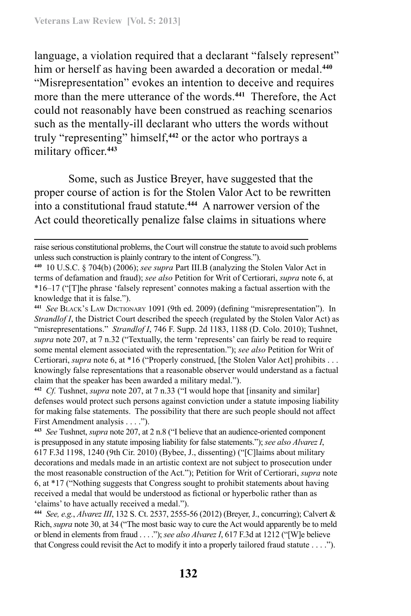language, a violation required that a declarant "falsely represent" him or herself as having been awarded a decoration or medal.**<sup>440</sup>** "Misrepresentation" evokes an intention to deceive and requires more than the mere utterance of the words.**<sup>441</sup>** Therefore, the Act could not reasonably have been construed as reaching scenarios such as the mentally-ill declarant who utters the words without truly "representing" himself,**<sup>442</sup>** or the actor who portrays a military officer.**<sup>443</sup>**

Some, such as Justice Breyer, have suggested that the proper course of action is for the Stolen Valor Act to be rewritten into a constitutional fraud statute.**<sup>444</sup>** A narrower version of the Act could theoretically penalize false claims in situations where

raise serious constitutional problems, the Court will construe the statute to avoid such problems unless such construction is plainly contrary to the intent of Congress.").

**<sup>440</sup>** 10 U.S.C. § 704(b) (2006); *see supra* Part III.B (analyzing the Stolen Valor Act in terms of defamation and fraud); *see also* Petition for Writ of Certiorari, *supra* note 6, at \*16–17 ("[T]he phrase 'falsely represent' connotes making a factual assertion with the knowledge that it is false.").

**<sup>441</sup>** *See* Black's Law Dictionary 1091 (9th ed. 2009) (defining "misrepresentation"). In *Strandlof I*, the District Court described the speech (regulated by the Stolen Valor Act) as "misrepresentations." *Strandlof I*, 746 F. Supp. 2d 1183, 1188 (D. Colo. 2010); Tushnet, *supra* note 207, at 7 n.32 ("Textually, the term 'represents' can fairly be read to require some mental element associated with the representation."); *see also* Petition for Writ of Certiorari, *supra* note 6, at \*16 ("Properly construed, [the Stolen Valor Act] prohibits . . . knowingly false representations that a reasonable observer would understand as a factual claim that the speaker has been awarded a military medal.").

**<sup>442</sup>** *Cf.* Tushnet, *supra* note 207, at 7 n.33 ("I would hope that [insanity and similar] defenses would protect such persons against conviction under a statute imposing liability for making false statements. The possibility that there are such people should not affect First Amendment analysis . . . .").

**<sup>443</sup>** *See* Tushnet, *supra* note 207, at 2 n.8 ("I believe that an audience-oriented component is presupposed in any statute imposing liability for false statements."); *see also Alvarez I*, 617 F.3d 1198, 1240 (9th Cir. 2010) (Bybee, J., dissenting) ("[C]laims about military decorations and medals made in an artistic context are not subject to prosecution under the most reasonable construction of the Act."); Petition for Writ of Certiorari, *supra* note 6, at \*17 ("Nothing suggests that Congress sought to prohibit statements about having received a medal that would be understood as fictional or hyperbolic rather than as 'claims' to have actually received a medal.").

**<sup>444</sup>** *See, e.g.*, *Alvarez III*, 132 S. Ct. 2537, 2555-56 (2012) (Breyer, J., concurring); Calvert & Rich, *supra* note 30, at 34 ("The most basic way to cure the Act would apparently be to meld or blend in elements from fraud . . . ."); *see also Alvarez I*, 617 F.3d at 1212 ("[W]e believe that Congress could revisit the Act to modify it into a properly tailored fraud statute . . . .").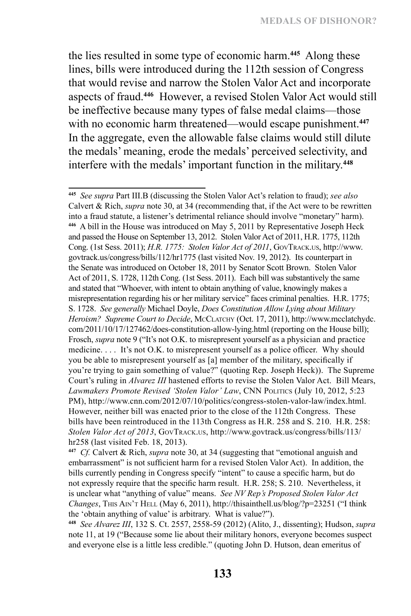the lies resulted in some type of economic harm.**<sup>445</sup>** Along these lines, bills were introduced during the 112th session of Congress that would revise and narrow the Stolen Valor Act and incorporate aspects of fraud.**<sup>446</sup>** However, a revised Stolen Valor Act would still be ineffective because many types of false medal claims—those with no economic harm threatened—would escape punishment.**<sup>447</sup>** In the aggregate, even the allowable false claims would still dilute the medals' meaning, erode the medals' perceived selectivity, and interfere with the medals' important function in the military.**<sup>448</sup>**

**<sup>445</sup>** *See supra* Part III.B (discussing the Stolen Valor Act's relation to fraud); *see also* Calvert & Rich, *supra* note 30, at 34 (recommending that, if the Act were to be rewritten into a fraud statute, a listener's detrimental reliance should involve "monetary" harm). **<sup>446</sup>** A bill in the House was introduced on May 5, 2011 by Representative Joseph Heck and passed the House on September 13, 2012. Stolen Valor Act of 2011, H.R. 1775, 112th Cong. (1st Sess. 2011); *H.R. 1775: Stolen Valor Act of 2011*, GovTrack.us, http://www. govtrack.us/congress/bills/112/hr1775 (last visited Nov. 19, 2012). Its counterpart in the Senate was introduced on October 18, 2011 by Senator Scott Brown. Stolen Valor Act of 2011, S. 1728, 112th Cong. (1st Sess. 2011). Each bill was substantively the same and stated that "Whoever, with intent to obtain anything of value, knowingly makes a misrepresentation regarding his or her military service" faces criminal penalties. H.R. 1775; S. 1728. *See generally* Michael Doyle, *Does Constitution Allow Lying about Military Heroism? Supreme Court to Decide*, McClatchy (Oct. 17, 2011), http://www.mcclatchydc. com/2011/10/17/127462/does-constitution-allow-lying.html (reporting on the House bill); Frosch, *supra* note 9 ("It's not O.K. to misrepresent yourself as a physician and practice medicine. . . . It's not O.K. to misrepresent yourself as a police officer. Why should you be able to misrepresent yourself as [a] member of the military, specifically if you're trying to gain something of value?" (quoting Rep. Joseph Heck)). The Supreme Court's ruling in *Alvarez III* hastened efforts to revise the Stolen Valor Act. Bill Mears, *Lawmakers Promote Revised 'Stolen Valor' Law*, CNN Politics (July 10, 2012, 5:23 PM), http://www.cnn.com/2012/07/10/politics/congress-stolen-valor-law/index.html. However, neither bill was enacted prior to the close of the 112th Congress. These bills have been reintroduced in the 113th Congress as H.R. 258 and S. 210. H.R. 258: *Stolen Valor Act of 2013*, GovTrack.us, http://www.govtrack.us/congress/bills/113/ hr258 (last visited Feb. 18, 2013).

**<sup>447</sup>** *Cf.* Calvert & Rich, *supra* note 30, at 34 (suggesting that "emotional anguish and embarrassment" is not sufficient harm for a revised Stolen Valor Act). In addition, the bills currently pending in Congress specify "intent" to cause a specific harm, but do not expressly require that the specific harm result. H.R. 258; S. 210. Nevertheless, it is unclear what "anything of value" means. *See NV Rep's Proposed Stolen Valor Act Changes*, THIS AIN'T HELL (May 6, 2011), http://thisainthell.us/blog/?p=23251 ("I think the 'obtain anything of value' is arbitrary. What is value?").

**<sup>448</sup>** *See Alvarez III*, 132 S. Ct. 2557, 2558-59 (2012) (Alito, J., dissenting); Hudson, *supra*  note 11, at 19 ("Because some lie about their military honors, everyone becomes suspect and everyone else is a little less credible." (quoting John D. Hutson, dean emeritus of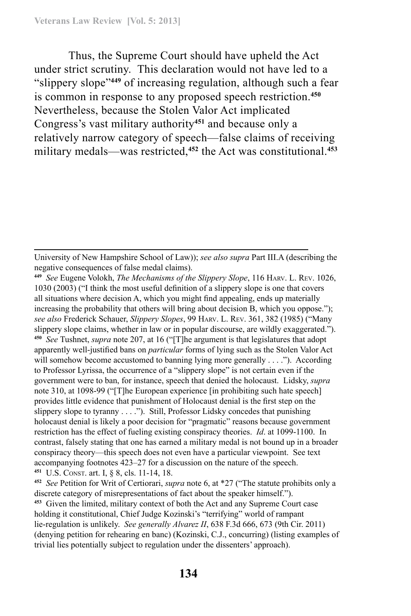Thus, the Supreme Court should have upheld the Act under strict scrutiny. This declaration would not have led to a "slippery slope"**<sup>449</sup>** of increasing regulation, although such a fear is common in response to any proposed speech restriction.**<sup>450</sup>** Nevertheless, because the Stolen Valor Act implicated Congress's vast military authority**<sup>451</sup>** and because only a relatively narrow category of speech—false claims of receiving military medals—was restricted,**<sup>452</sup>** the Act was constitutional.**<sup>453</sup>**

**<sup>452</sup>** *See* Petition for Writ of Certiorari, *supra* note 6, at \*27 ("The statute prohibits only a discrete category of misrepresentations of fact about the speaker himself.").

University of New Hampshire School of Law)); *see also supra* Part III.A (describing the negative consequences of false medal claims).

**<sup>449</sup>** *See* Eugene Volokh, *The Mechanisms of the Slippery Slope*, 116 Harv. L. Rev. 1026, 1030 (2003) ("I think the most useful definition of a slippery slope is one that covers all situations where decision A, which you might find appealing, ends up materially increasing the probability that others will bring about decision B, which you oppose."); *see also* Frederick Schauer, *Slippery Slopes*, 99 Harv. L. Rev. 361, 382 (1985) ("Many slippery slope claims, whether in law or in popular discourse, are wildly exaggerated."). **<sup>450</sup>** *See* Tushnet, *supra* note 207, at 16 ("[T]he argument is that legislatures that adopt apparently well-justified bans on *particular* forms of lying such as the Stolen Valor Act will somehow become accustomed to banning lying more generally . . . ."). According to Professor Lyrissa, the occurrence of a "slippery slope" is not certain even if the government were to ban, for instance, speech that denied the holocaust. Lidsky, *supra* note 310, at 1098-99 ("[T]he European experience [in prohibiting such hate speech] provides little evidence that punishment of Holocaust denial is the first step on the slippery slope to tyranny . . . ."). Still, Professor Lidsky concedes that punishing holocaust denial is likely a poor decision for "pragmatic" reasons because government restriction has the effect of fueling existing conspiracy theories. *Id*. at 1099-1100. In contrast, falsely stating that one has earned a military medal is not bound up in a broader conspiracy theory—this speech does not even have a particular viewpoint. See text accompanying footnotes 423–27 for a discussion on the nature of the speech. **<sup>451</sup>** U.S. Const. art. I, § 8, cls. 11-14, 18.

**<sup>453</sup>** Given the limited, military context of both the Act and any Supreme Court case holding it constitutional, Chief Judge Kozinski's "terrifying" world of rampant lie-regulation is unlikely. *See generally Alvarez II*, 638 F.3d 666, 673 (9th Cir. 2011) (denying petition for rehearing en banc) (Kozinski, C.J., concurring) (listing examples of trivial lies potentially subject to regulation under the dissenters' approach).